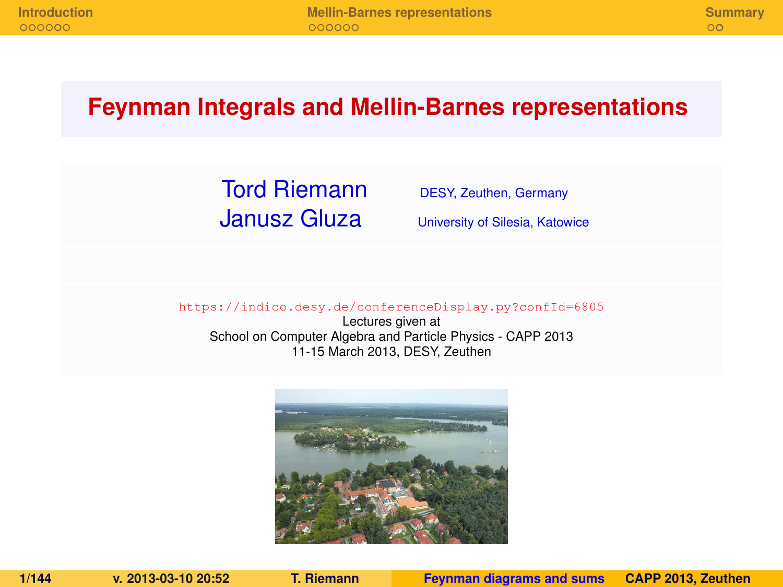#### **Feynman Integrals and Mellin-Barnes representations**

### Tord Riemann DESY, Zeuthen, Germany **Janusz Gluza** University of Silesia, Katowice

<span id="page-0-0"></span>

<https://indico.desy.de/conferenceDisplay.py?confId=6805>

Lectures given at School on Computer Algebra and Particle Physics - CAPP 2013 11-15 March 2013, DESY, Zeuthen

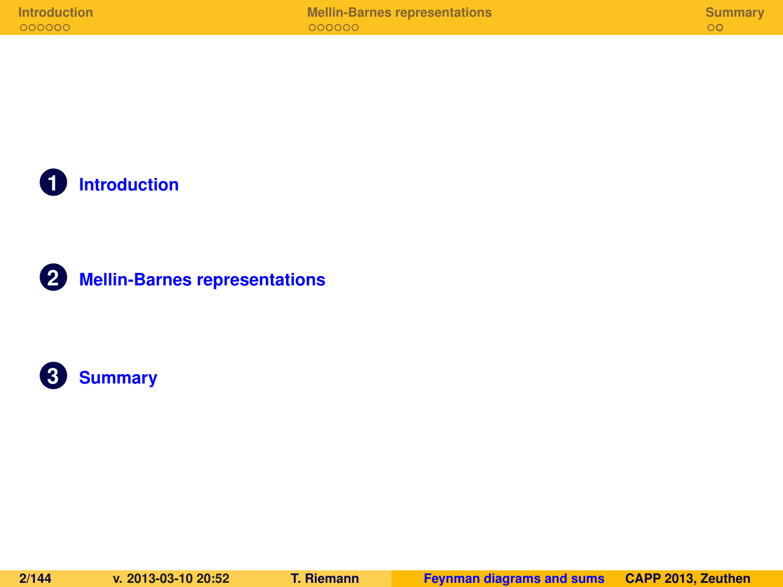**1 [Introduction](#page-124-0)**



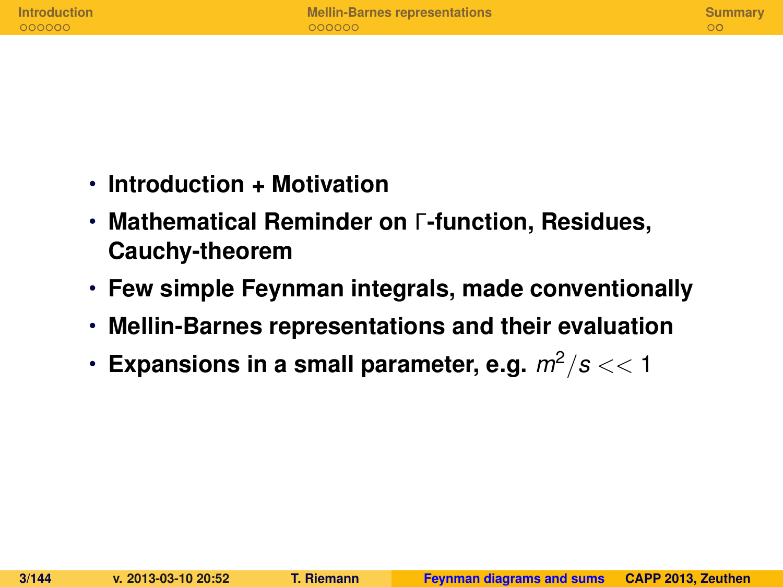| <b>Introduction</b> | <b>Mellin-Barnes representations</b> | Summary |
|---------------------|--------------------------------------|---------|
| 000000              | $000000 -$                           |         |
|                     |                                      |         |

- **Introduction + Motivation**
- **Mathematical Reminder on** Γ**-function, Residues, Cauchy-theorem**
- **Few simple Feynman integrals, made conventionally**
- **Mellin-Barnes representations and their evaluation**
- Expansions in a small parameter, e.g.  $m^2/s < 1$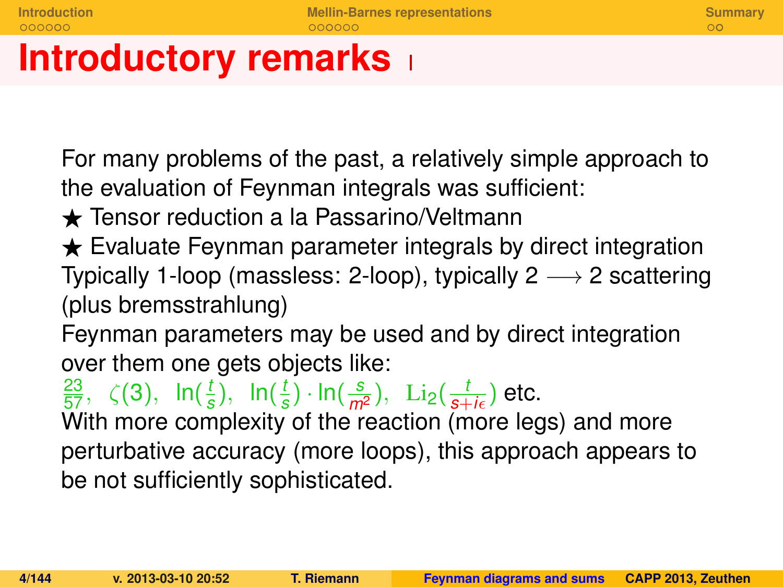# **Introductory remarks**

For many problems of the past, a relatively simple approach to the evaluation of Feynman integrals was sufficient:

- $\triangle$  Tensor reduction a la Passarino/Veltmann
- $\star$  Evaluate Feynman parameter integrals by direct integration Typically 1-loop (massless: 2-loop), typically  $2 \rightarrow 2$  scattering (plus bremsstrahlung)

Feynman parameters may be used and by direct integration over them one gets objects like:

 $\frac{23}{57}, \zeta(3), \ln(\frac{t}{5})$  $(\frac{t}{s}), \ln(\frac{t}{s})$  $\frac{t}{s}$ ) · ln( $\frac{s}{m^2}$ ), Li<sub>2</sub>( $\frac{t}{s+i\epsilon}$ ) etc.

With more complexity of the reaction (more legs) and more perturbative accuracy (more loops), this approach appears to be not sufficiently sophisticated.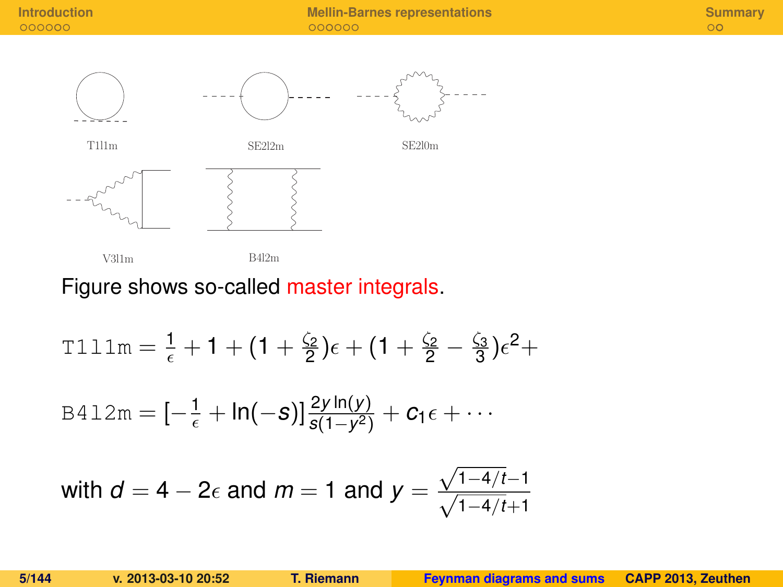**[Introduction](#page-124-0) [Mellin-Barnes representations](#page-131-0) [Summary](#page-138-0)**



#### Figure shows so-called master integrals.

T111m = 
$$
\frac{1}{\epsilon}
$$
 + 1 + (1 +  $\frac{\zeta_2}{2}$ ) $\epsilon$  + (1 +  $\frac{\zeta_2}{2}$  -  $\frac{\zeta_3}{3}$ ) $\epsilon^2$  +  
\nB412m =  $[-\frac{1}{\epsilon} + \ln(-s)]\frac{2y \ln(y)}{s(1-y^2)} + c_1\epsilon + \cdots$   
\nwith  $d = 4 - 2\epsilon$  and  $m = 1$  and  $y = \frac{\sqrt{1-4/t} - 1}{\sqrt{1-4/t} + 1}$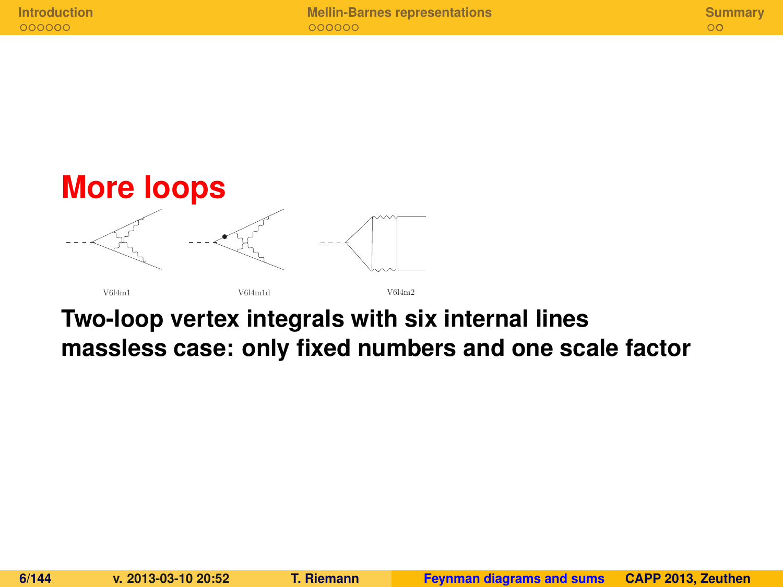

### **Two-loop vertex integrals with six internal lines massless case: only fixed numbers and one scale factor**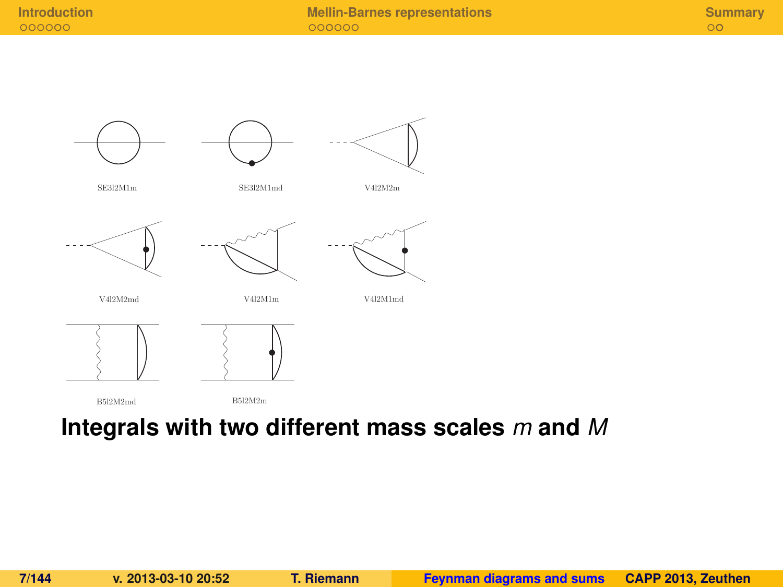



SE3l2M1m

SE3l2M1md

V4l2M2m







V4l2M2md

V4l2M1m

V4l2M1md



#### **Integrals with two different mass scales** *m* **and** *M*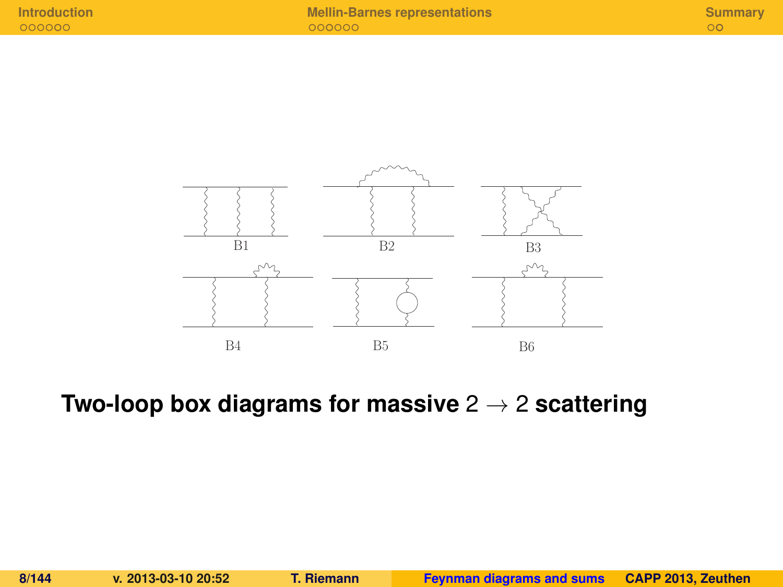

**Two-loop box diagrams for massive** 2 → 2 **scattering**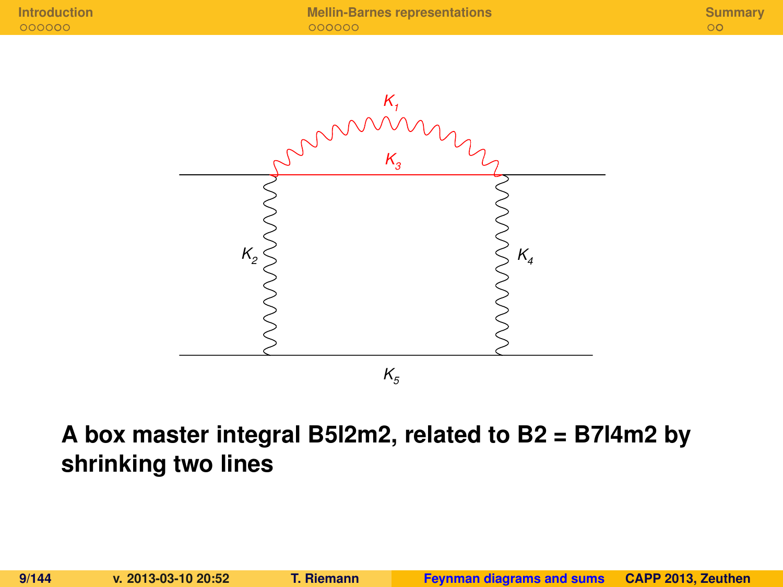

### **A box master integral B5l2m2, related to B2 = B7l4m2 by shrinking two lines**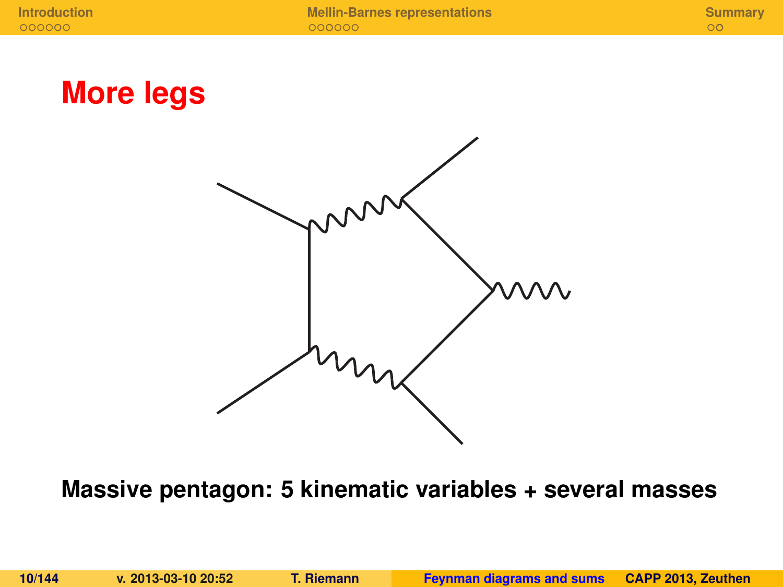**[Introduction](#page-124-0) [Mellin-Barnes representations](#page-131-0) [Summary](#page-138-0)**

**More legs**



**Massive pentagon: 5 kinematic variables + several masses**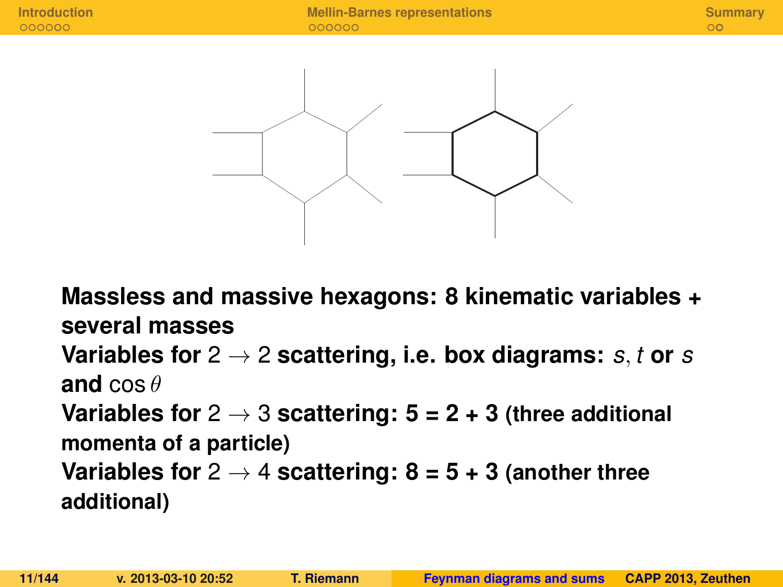

**Massless and massive hexagons: 8 kinematic variables + several masses Variables for** 2 → 2 **scattering, i.e. box diagrams:** *s*, *t* **or** *s* **and** cos θ **Variables for** 2 → 3 **scattering: 5 = 2 + 3 (three additional momenta of a particle) Variables for**  $2 \rightarrow 4$  **scattering: 8 = 5 + 3** (another three **additional)**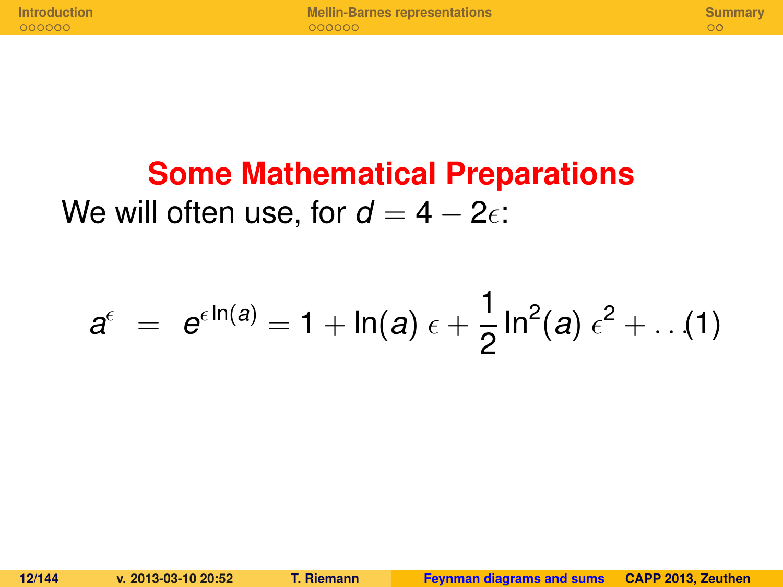**[Introduction](#page-124-0) [Mellin-Barnes representations](#page-131-0) [Summary](#page-138-0)**

## **Some Mathematical Preparations** We will often use, for  $d = 4 - 2\epsilon$ :

$$
a^{\epsilon} = e^{\epsilon \ln(a)} = 1 + \ln(a) \epsilon + \frac{1}{2} \ln^2(a) \epsilon^2 + \dots (1)
$$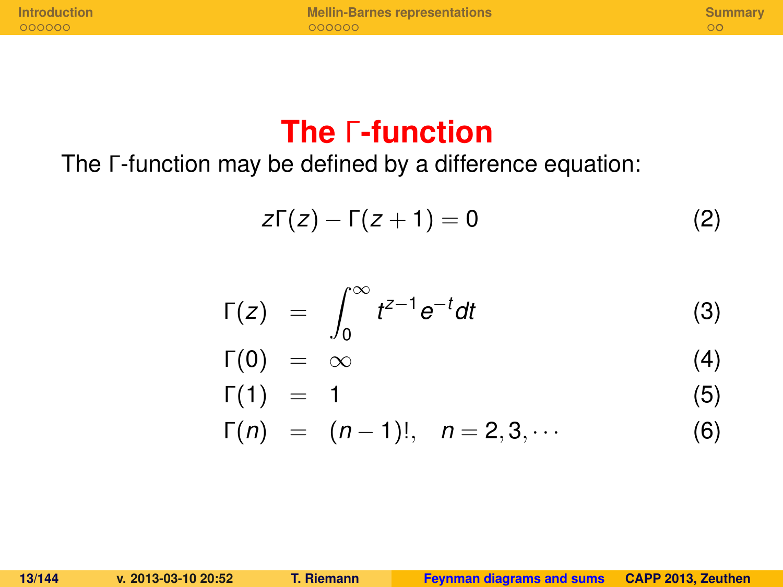**[Introduction](#page-124-0) [Mellin-Barnes representations](#page-131-0) [Summary](#page-138-0)**

### **The** Γ**-function**

The Γ-function may be defined by a difference equation:

$$
z\Gamma(z)-\Gamma(z+1)=0
$$
 (2)

$$
\Gamma(z) = \int_0^\infty t^{z-1} e^{-t} dt \tag{3}
$$

$$
\Gamma(0) = \infty \tag{4}
$$

$$
\Gamma(1) = 1 \tag{5}
$$

$$
\Gamma(n) = (n-1)!, \quad n = 2, 3, \cdots
$$
 (6)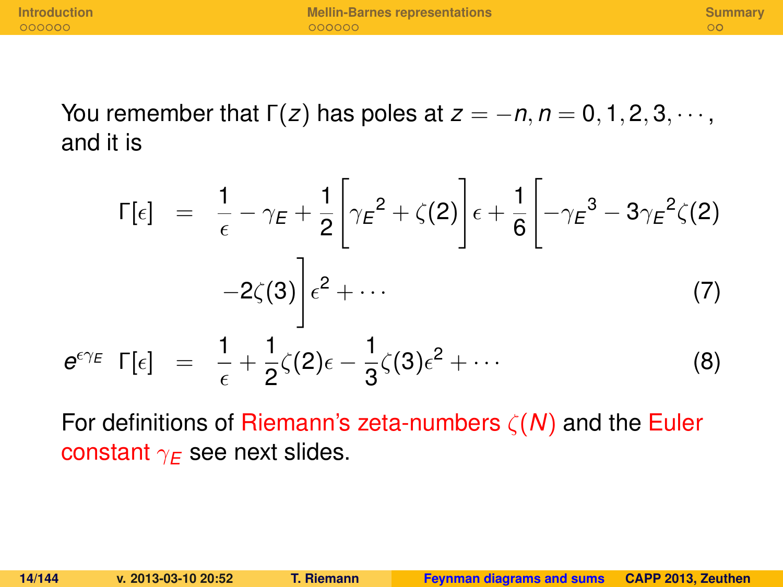You remember that  $\Gamma(z)$  has poles at  $z = -n, n = 0, 1, 2, 3, \cdots$ , and it is

$$
\Gamma[\epsilon] = \frac{1}{\epsilon} - \gamma_E + \frac{1}{2} \left[ \gamma_E^2 + \zeta(2) \right] \epsilon + \frac{1}{6} \left[ -\gamma_E^3 - 3\gamma_E^2 \zeta(2) -2\zeta(3) \right] \epsilon^2 + \cdots
$$
\n
$$
e^{\epsilon \gamma_E} \Gamma[\epsilon] = \frac{1}{\epsilon} + \frac{1}{2} \zeta(2) \epsilon - \frac{1}{3} \zeta(3) \epsilon^2 + \cdots
$$
\n(8)

For definitions of Riemann's zeta-numbers ζ(*N*) and the Euler constant  $\gamma_E$  see next slides.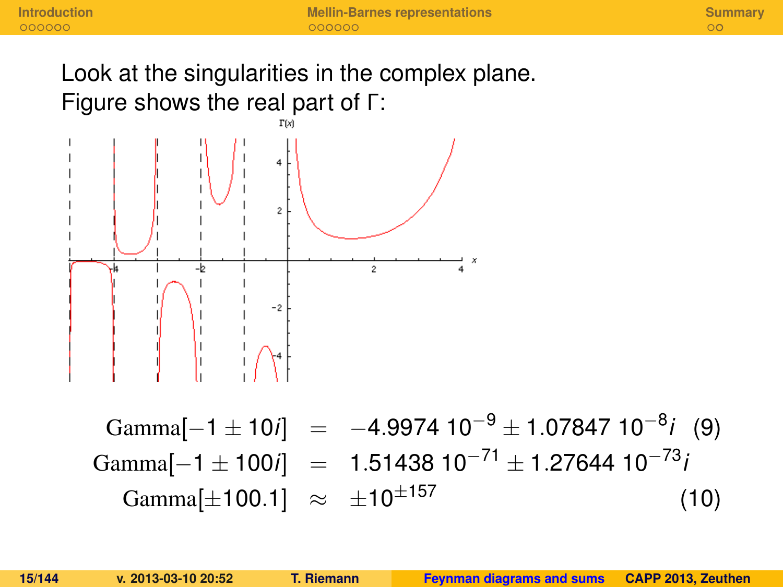Look at the singularities in the complex plane. Figure shows the real part of Γ:



Gamma[−1 ± 10*i*] = −4.9974 10−<sup>9</sup> ± 1.07847 10−<sup>8</sup> *i* (9) Gamma[-1 ± 100*i*] = 1.51438 10<sup>-71</sup> ± 1.27644 10<sup>-73</sup>*i* Gamma[ $\pm$ 100.1]  $\approx \pm 10^{\pm 157}$  (10)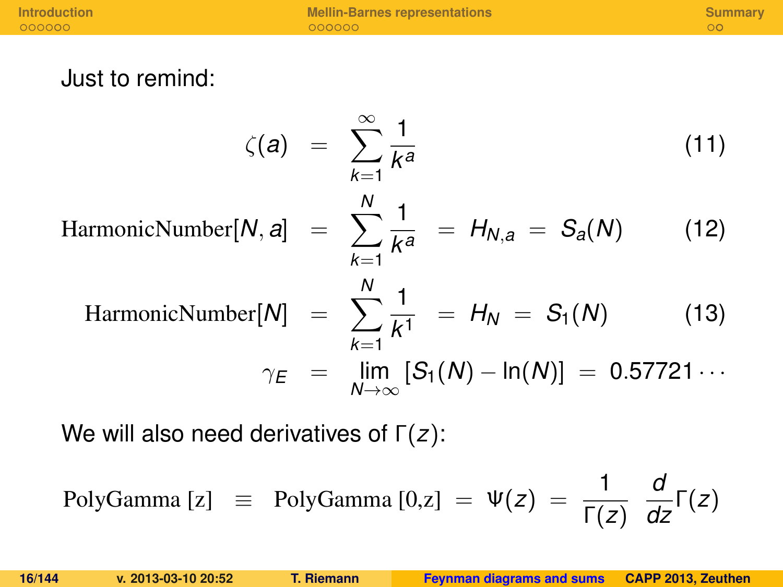**[Introduction](#page-124-0) [Mellin-Barnes representations](#page-131-0) [Summary](#page-138-0)**<br> **Introduction Summary**<br> **Intervention Cooperations** Cooperations Cooperations Cooperations Cooperations Cooperations Cooperations Cooperations Cooperations Cooperations

Just to remind:

$$
\zeta(a) = \sum_{k=1}^{\infty} \frac{1}{k^a}
$$
(11)  
HarmonicNumber[N, a] =  $\sum_{k=1}^{N} \frac{1}{k^a} = H_{N,a} = S_a(N)$  (12)  
HarmonicNumber[N] =  $\sum_{k=1}^{N} \frac{1}{k^1} = H_N = S_1(N)$  (13)  

$$
\gamma_E = \lim_{N \to \infty} [S_1(N) - \ln(N)] = 0.57721...
$$

We will also need derivatives of Γ(*z*):

PolyGamma [z] = PolyGamma [0,z] = 
$$
\Psi(z)
$$
 =  $\frac{1}{\Gamma(z)} \frac{d}{dz} \Gamma(z)$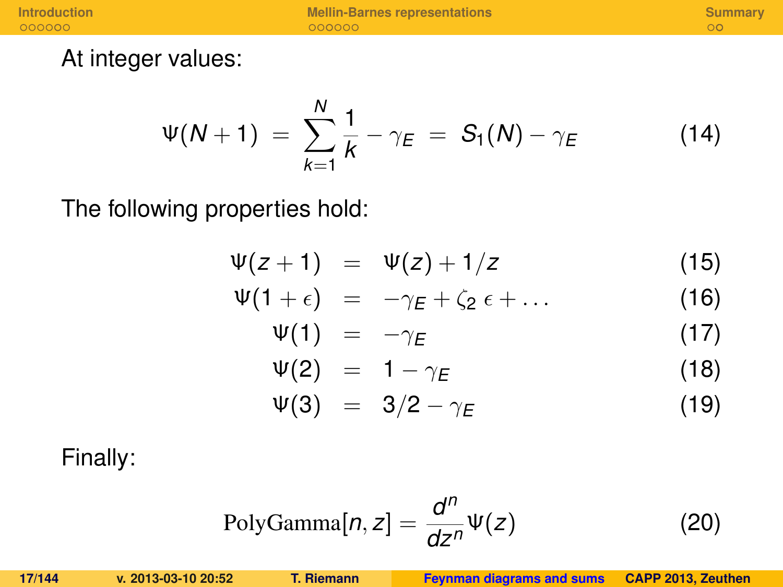**[Introduction](#page-124-0) [Mellin-Barnes representations](#page-131-0) [Summary](#page-138-0)**<br> **Introduction Summary**<br> **Intervention Cooperations** Cooperations Cooperations Cooperations Cooperations Cooperations Cooperations Cooperations Cooperations Cooperations

At integer values:

$$
\Psi(N+1) \ = \ \sum_{k=1}^{N} \frac{1}{k} - \gamma_E \ = \ S_1(N) - \gamma_E \tag{14}
$$

The following properties hold:

$$
\Psi(z+1) = \Psi(z)+1/z \qquad (15)
$$

$$
\Psi(1+\epsilon) = -\gamma_E + \zeta_2 \epsilon + \dots \qquad (16)
$$

$$
\Psi(1) = -\gamma_E \tag{17}
$$

$$
\Psi(2) = 1 - \gamma_E \tag{18}
$$

$$
\Psi(3) = 3/2 - \gamma_E \tag{19}
$$

Finally:

$$
PolyGamma[n, z] = \frac{d^n}{dz^n} \Psi(z)
$$
 (20)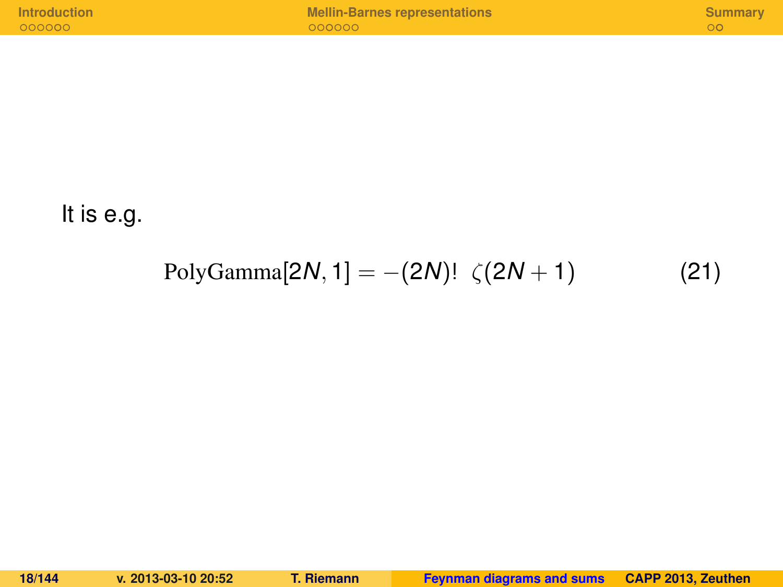| <b>Introduction</b> | <b>Mellin-Barnes representations</b> | Summary |
|---------------------|--------------------------------------|---------|
| 000000              | 000000                               |         |
|                     |                                      |         |

It is e.g.

### $PolyGamma[2N, 1] = -(2N)! \zeta(2N + 1)$  (21)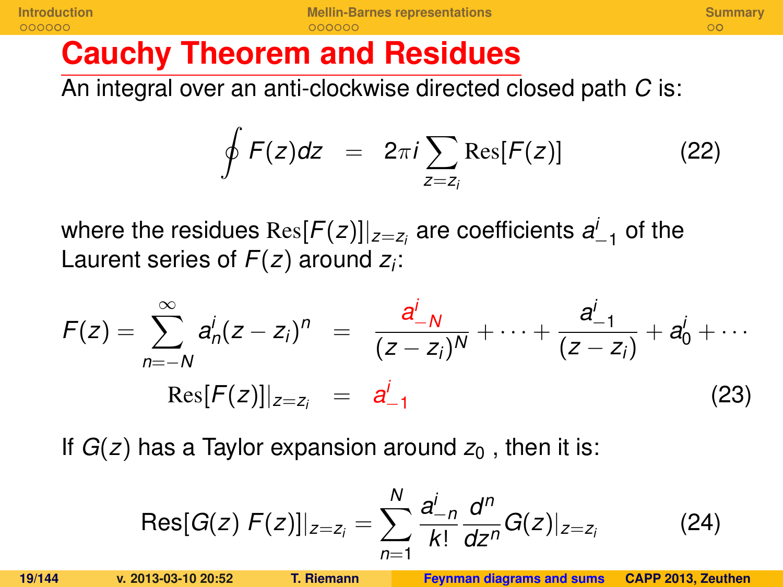## **Cauchy Theorem and Residues**

An integral over an anti-clockwise directed closed path *C* is:

$$
\oint F(z)dz = 2\pi i \sum_{z=z_i} \text{Res}[F(z)] \tag{22}
$$

where the residues  $\text{Res}[F(z)]|_{z=z_i}$  are coefficients  $a_{-1}^i$  of the Laurent series of *F*(*z*) around *z<sup>i</sup>* :

$$
F(z) = \sum_{n=-N}^{\infty} a_n^i (z-z_i)^n = \frac{a_{-N}^i}{(z-z_i)^N} + \dots + \frac{a_{-1}^i}{(z-z_i)} + a_0^i + \dots
$$
  
Res $[F(z)]|_{z=z_i} = a_{-1}^i$  (23)

If  $G(z)$  has a Taylor expansion around  $z<sub>0</sub>$ , then it is:

$$
Res[G(z) F(z)]|_{z=z_i} = \sum_{n=1}^{N} \frac{a_{-n}^{i}}{k!} \frac{d^n}{dz^n} G(z)|_{z=z_i}
$$
 (24)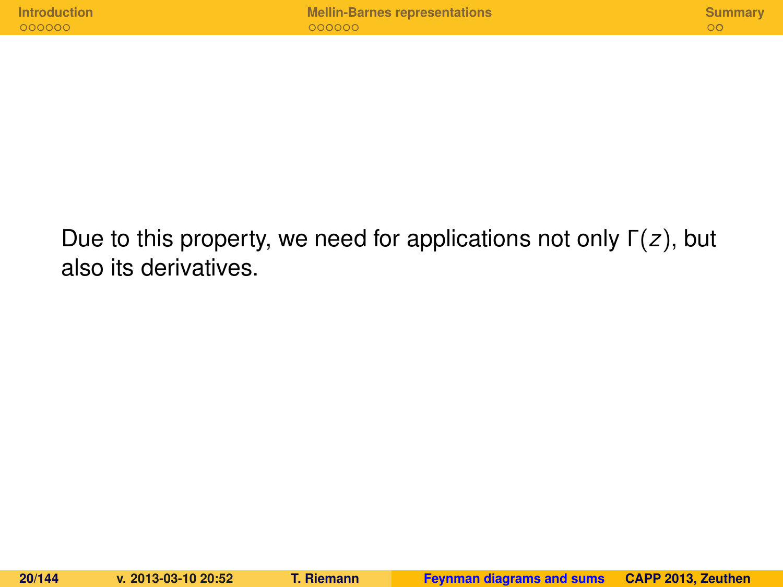Due to this property, we need for applications not only Γ(*z*), but also its derivatives.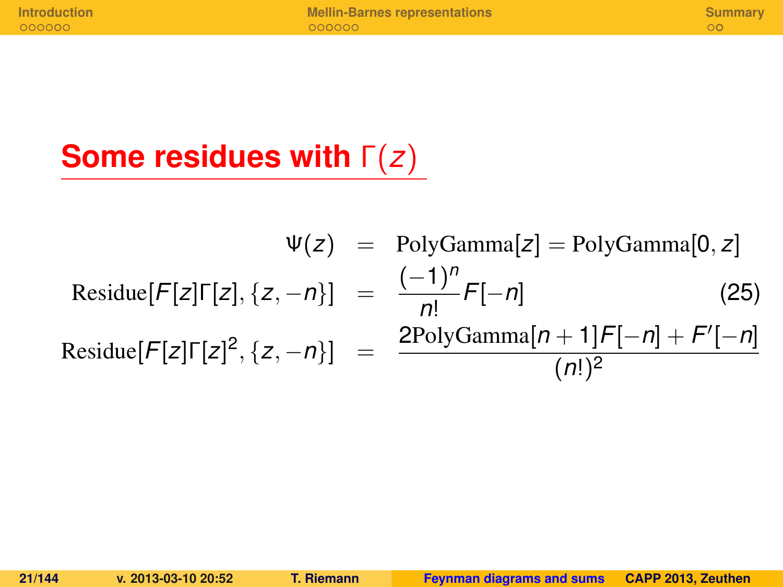## **Some residues with** Γ(*z*)

$$
\Psi(z) = \text{PolyGamma}[z] = \text{PolyGamma}[0, z]
$$
  
Residue[ $F[z] \Gamma[z], \{z, -n\}$ ] =  $\frac{(-1)^n}{n!} F[-n]$  (25)  
Residue[ $F[z] \Gamma[z]^2, \{z, -n\}$ ] =  $\frac{\text{2PolyGamma}[n + 1]F[-n] + F'[-n]}{(n!)^2}$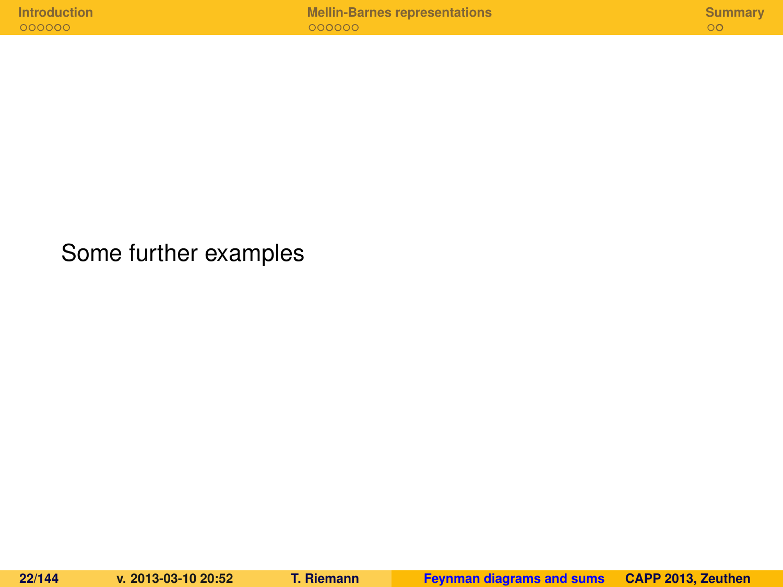Some further examples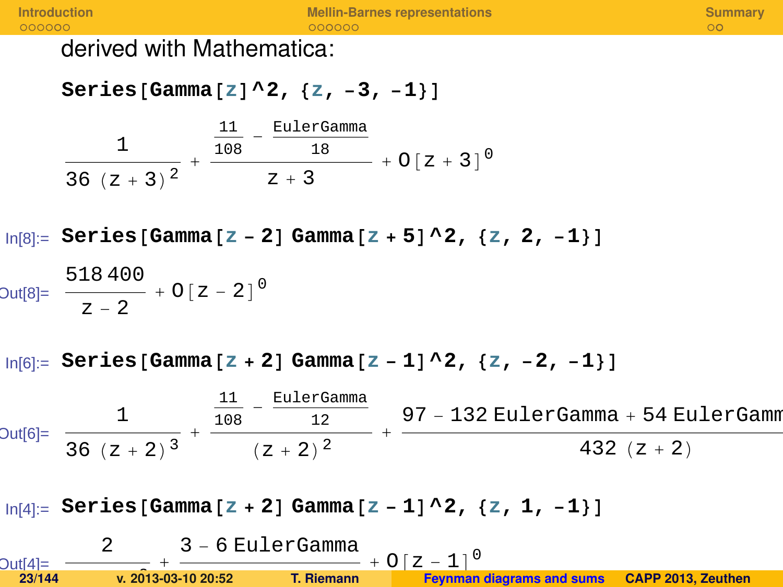derived with Mathematica:

 $\text{Series}$  [Gamma<sup>[z]</sup> ^2, {z, -3, -1}]

1  $\frac{1}{36 (z + 3)^2} + \frac{\frac{11}{108} - \frac{\text{EulerG}}{18}}{z + 3}$ 11 EulerGamma  $z + 3$  $+ O[z + 3]$ <sup>0</sup>

In[8]:= **Series** [Gamma  $\begin{bmatrix} z - 2 \end{bmatrix}$  Gamma  $\begin{bmatrix} z + 5 \end{bmatrix}$  ^ 2,  $\begin{bmatrix} z, 2, -1 \end{bmatrix}$ 

$$
Out[8] = \frac{518400}{z-2} + O[z-2]^0
$$

In[6]:= **Series@Gamma@z + 2D Gamma@z - 1D^2, 8z, -2, -1<D**

Out[6]= 1  $\frac{1}{36 (z + 2)^3} +$ 11  $\frac{11}{108} - \frac{\text{EulerGamma}}{12}$ 12 Hz + 2L 2 + 97 - 132 EulerGamma + 54 EulerGamma 432  $(z + 2)$ 

**ln**[4]:= Series [Gamma [z + 2] Gamma [z - 1] ^2, {z, 1, -1}]

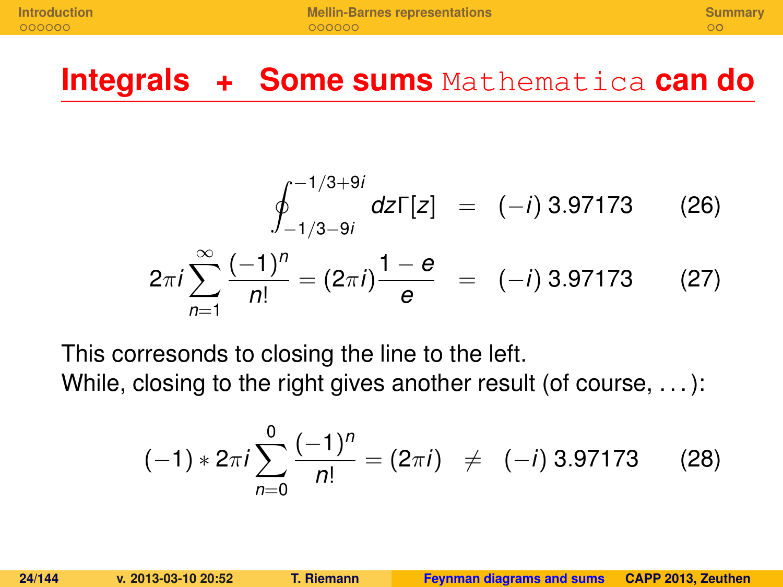### **Integrals + Some sums** Mathematica **can do**

$$
\oint_{-1/3-9i}^{-1/3+9i} dz \Gamma[z] = (-i) 3.97173
$$
 (26)  

$$
2\pi i \sum_{n=1}^{\infty} \frac{(-1)^n}{n!} = (2\pi i) \frac{1-e}{e} = (-i) 3.97173
$$
 (27)

This corresonds to closing the line to the left.

While, closing to the right gives another result (of course, ...):

$$
(-1)*2\pi i \sum_{n=0}^{0} \frac{(-1)^n}{n!} = (2\pi i) \neq (-i) 3.97173
$$
 (28)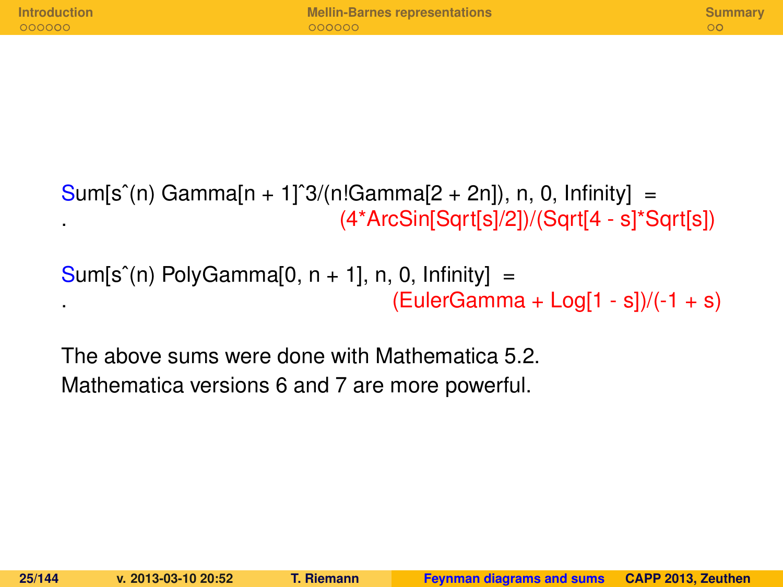$Sum[s^(n)$  Gamma[n + 1]<sup>2</sup>(n!Gamma[2 + 2n]), n, 0, Infinity] = . (4\*ArcSin[Sqrt[s]/2])/(Sqrt[4 - s]\*Sqrt[s])

 $Sum[s^(n)$  PolyGamma[0,  $n + 1$ ], n, 0, Infinity] = .  $(EulerGamma + Eog[1 - s])/(-1 + s)$ 

The above sums were done with Mathematica 5.2. Mathematica versions 6 and 7 are more powerful.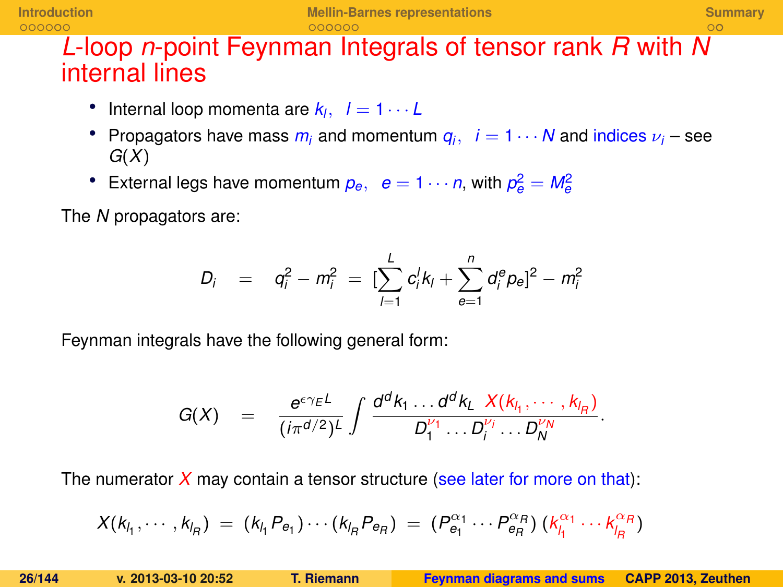### *L*-loop *n*-point Feynman Integrals of tensor rank *R* with *N* internal lines

- Internal loop momenta are  $k_l$ ,  $l = 1 \cdots L$
- Propagators have mass  $m_i$  and momentum  $q_i$ ,  $i = 1 \cdots N$  and indices  $\nu_i$  see *G*(*X*)
- External legs have momentum  $p_e$ ,  $e = 1 \cdots n$ , with  $p_e^2 = M_e^2$

The *N* propagators are:

$$
D_i = q_i^2 - m_i^2 = \left[\sum_{l=1}^L c_l^l k_l + \sum_{e=1}^n d_e^e p_e\right]^2 - m_i^2
$$

Feynman integrals have the following general form:

$$
G(X) = \frac{e^{\epsilon \gamma_E L}}{(i\pi^{d/2})^L} \int \frac{d^dk_1 \dots d^dk_L}{D_1^{\nu_1} \dots D_i^{\nu_i} \dots D_N^{\nu_N}}.
$$

The numerator  $X$  may contain a tensor structure (see later for more on that):

$$
X(k_{l_1},\cdots,k_{l_R}) = (k_{l_1}P_{e_1})\cdots(k_{l_R}P_{e_R}) = (P_{e_1}^{\alpha_1}\cdots P_{e_R}^{\alpha_R}) (k_{l_1}^{\alpha_1}\cdots k_{l_R}^{\alpha_R})
$$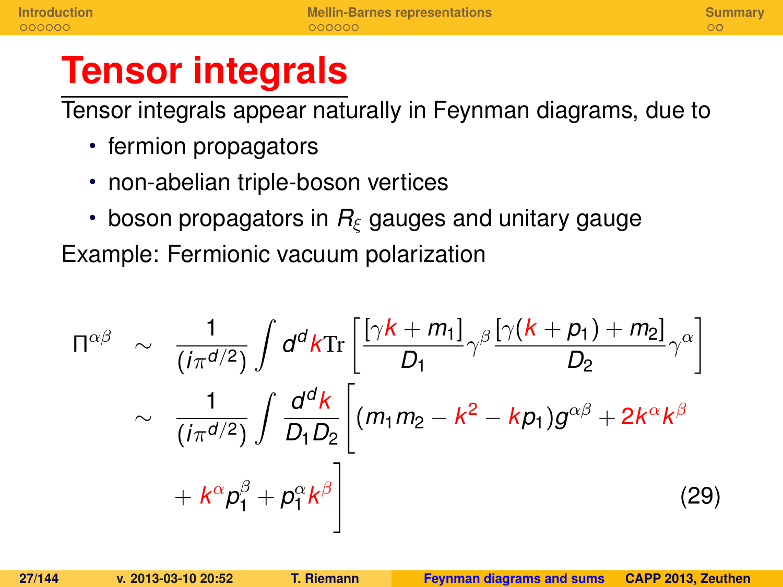# **Tensor integrals**

Tensor integrals appear naturally in Feynman diagrams, due to

- fermion propagators
- non-abelian triple-boson vertices
- $\cdot$  boson propagators in  $R_{\xi}$  gauges and unitary gauge

Example: Fermionic vacuum polarization

$$
\Pi^{\alpha\beta} \sim \frac{1}{(i\pi^{d/2})} \int d^d k \text{Tr} \left[ \frac{[\gamma k + m_1]}{D_1} \gamma^\beta \frac{[\gamma (k + p_1) + m_2]}{D_2} \gamma^\alpha \right] \sim \frac{1}{(i\pi^{d/2})} \int \frac{d^d k}{D_1 D_2} \left[ (m_1 m_2 - k^2 - k p_1) g^{\alpha\beta} + 2k^\alpha k^\beta \right. \\
\left. + k^\alpha p_1^\beta + p_1^\alpha k^\beta \right]
$$
\n(29)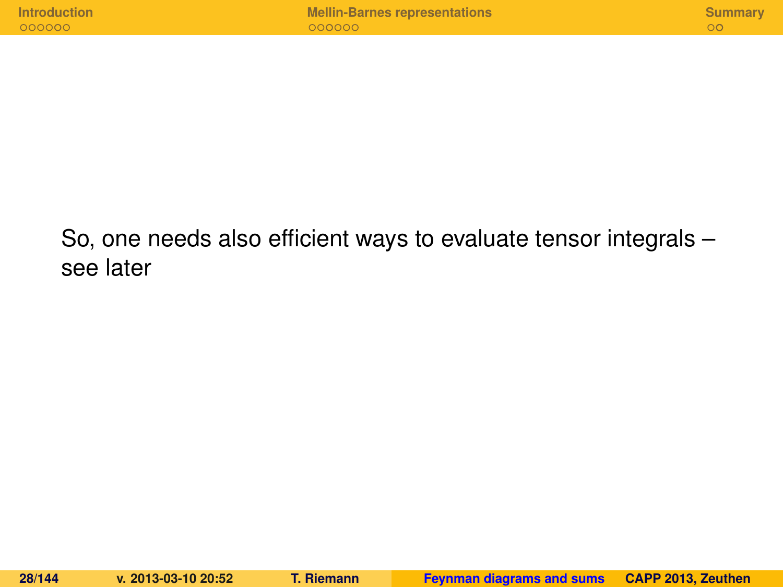So, one needs also efficient ways to evaluate tensor integrals – see later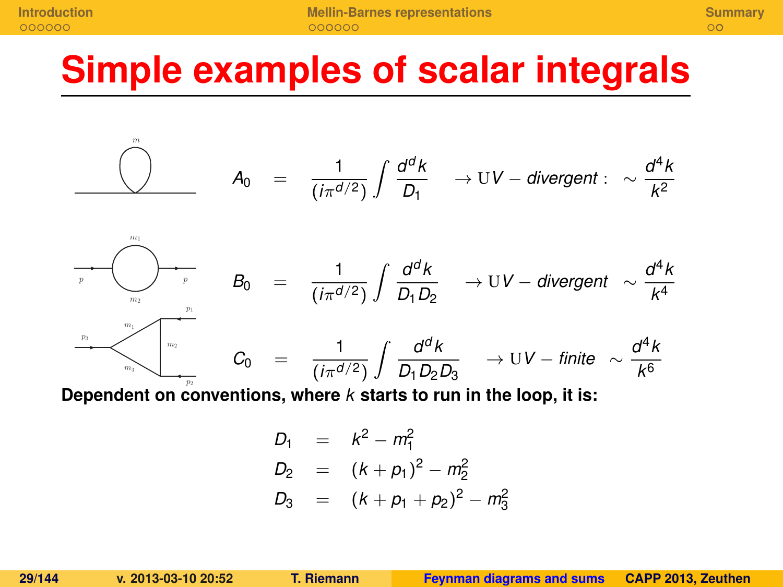$m$ 

**[Introduction](#page-124-0) [Mellin-Barnes representations](#page-131-0) [Summary](#page-138-0)**

# **Simple examples of scalar integrals**

$$
A_0 = \frac{1}{(i\pi^{d/2})}\int \frac{d^dk}{D_1} \longrightarrow UV-divergent : \sim \frac{d^4k}{k^2}
$$



Dependent on conventions, where *k* starts to run in the loop, it is:

$$
D_1 = k^2 - m_1^2
$$
  
\n
$$
D_2 = (k + p_1)^2 - m_2^2
$$
  
\n
$$
D_3 = (k + p_1 + p_2)^2 - m_3^2
$$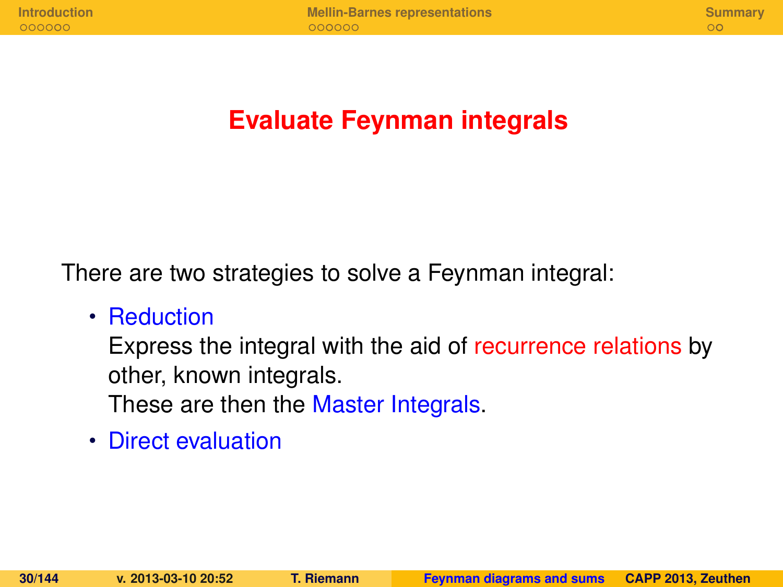### **Evaluate Feynman integrals**

There are two strategies to solve a Feynman integral:

• Reduction

Express the integral with the aid of recurrence relations by other, known integrals.

These are then the Master Integrals.

• Direct evaluation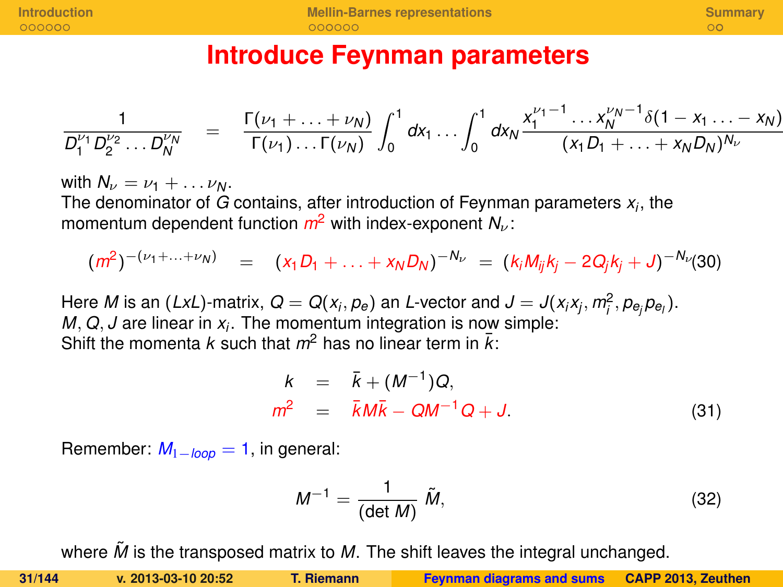### **Introduce Feynman parameters**

$$
\frac{1}{D_1^{\nu_1}D_2^{\nu_2}\dots D_N^{\nu_N}} = \frac{\Gamma(\nu_1 + \dots + \nu_N)}{\Gamma(\nu_1)\dots\Gamma(\nu_N)} \int_0^1 dx_1 \dots \int_0^1 dx_N \frac{x_1^{\nu_1 - 1}\dots x_N^{\nu_N - 1} \delta(1 - x_1 \dots - x_N)}{(x_1 D_1 + \dots + x_N D_N)^{N_\nu}}
$$

with  $N_{\nu} = \nu_1 + \ldots \nu_N$ . The denominator of *G* contains, after introduction of Feynman parameters *x<sup>i</sup>* , the momentum dependent function  $m^2$  with index-exponent  $N_{\nu}$ :

$$
(m^2)^{-(\nu_1+\ldots+\nu_N)} = (x_1D_1+\ldots+x_ND_N)^{-N_{\nu}} = (k_iM_{ij}k_j-2Q_jk_j+J)^{-N_{\nu}}(30)
$$

Here *M* is an (*LxL*)-matrix,  $Q = Q(x_i, p_e)$  an *L*-vector and  $J = J(x_i x_j, m_i^2, p_{e_i} p_{e_i})$ . *M*, *Q*, *J* are linear in *x<sup>i</sup>* . The momentum integration is now simple: Shift the momenta *k* such that  $m^2$  has no linear term in  $\bar{k}$ :

$$
k = \bar{k} + (M^{-1})Q,
$$
  
\n
$$
m^2 = \bar{k}M\bar{k} - QM^{-1}Q + J.
$$
\n(31)

Remember:  $M_{1-loop} = 1$ , in general:

$$
M^{-1} = \frac{1}{(\det M)} \tilde{M}, \qquad (32)
$$

where  $\tilde{M}$  is the transposed matrix to  $M$ . The shift leaves the integral unchanged.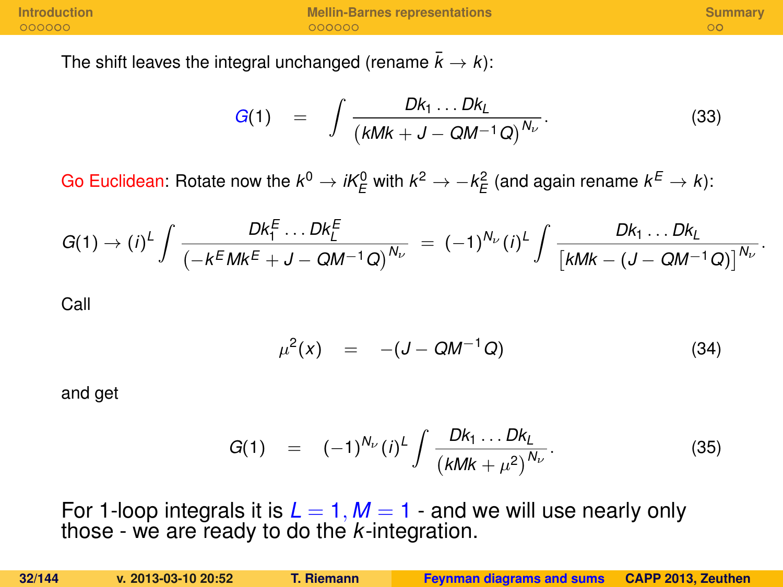The shift leaves the integral unchanged (rename  $\bar{k} \rightarrow k$ ):

$$
G(1) = \int \frac{Dk_1 \dots Dk_L}{(kMk + J - QM^{-1}Q)^{N_{\nu}}}.
$$
 (33)

Go Euclidean: Rotate now the  $k^0 \to i k^0_E$  with  $k^2 \to -k^2_E$  (and again rename  $k^E \to k$ ):

$$
G(1) \to (i)^L \int \frac{Dk_1^E \dots Dk_L^E}{(-k^E M k^E + J - Q M^{-1} Q)^{N_U}} = (-1)^{N_U} (i)^L \int \frac{Dk_1 \dots Dk_L}{[k M k - (J - Q M^{-1} Q)]^{N_U}}.
$$

Call

$$
\mu^2(x) = -(J - QM^{-1}Q) \tag{34}
$$

and get

$$
G(1) = (-1)^{N_{\nu}}(i)^{\nu} \int \frac{Dk_1 \dots Dk_{\nu}}{(\kappa M k + \mu^2)^{N_{\nu}}}.
$$
 (35)

For 1-loop integrals it is  $L = 1$ ,  $M = 1$  - and we will use nearly only those - we are ready to do the *k*-integration.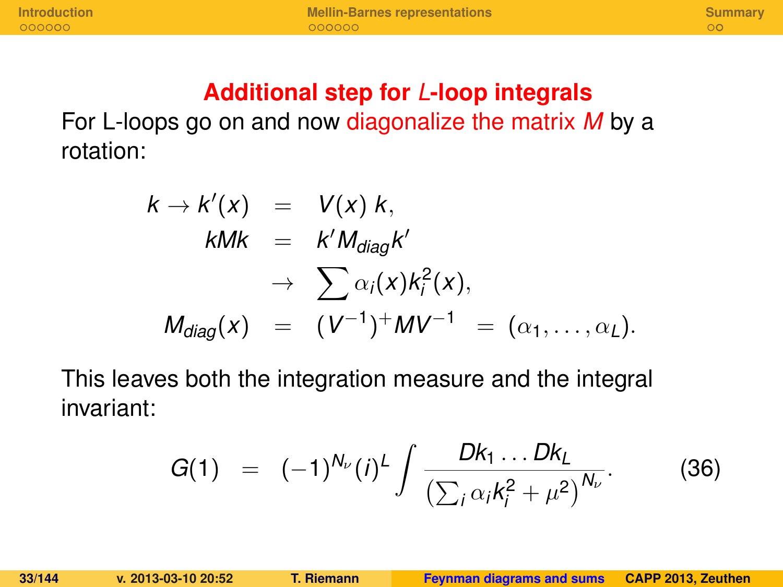### **Additional step for** *L***-loop integrals**

For L-loops go on and now diagonalize the matrix *M* by a rotation:

$$
k \rightarrow k'(x) = V(x) k,
$$
  
\n
$$
kMk = k'M_{diag}k'
$$
  
\n
$$
\rightarrow \sum \alpha_i(x)k_i^2(x),
$$
  
\n
$$
M_{diag}(x) = (V^{-1})^+ MV^{-1} = (\alpha_1, ..., \alpha_L).
$$

This leaves both the integration measure and the integral invariant:

$$
G(1) = (-1)^{N_{\nu}}(i)^{\nu} \int \frac{Dk_1 \dots Dk_{\nu}}{\left(\sum_i \alpha_i k_i^2 + \mu^2\right)^{N_{\nu}}}.
$$
 (36)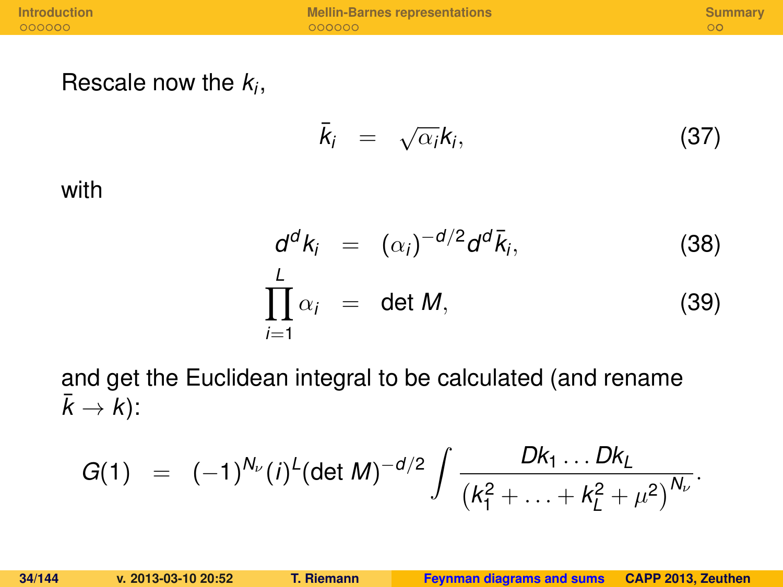Rescale now the *k<sup>i</sup>* ,

$$
\bar{k}_i = \sqrt{\alpha_i} k_i, \qquad (37)
$$

with

$$
d^{d}k_{i} = (\alpha_{i})^{-d/2}d^{d}\bar{k}_{i},
$$
\n(38)\n
$$
\prod_{i=1}^{L} \alpha_{i} = \det M,
$$
\n(39)

and get the Euclidean integral to be calculated (and rename  $\bar{k} \rightarrow k$ :

$$
G(1) = (-1)^{N_{\nu}}(i)^{L} (\det M)^{-d/2} \int \frac{Dk_1 \dots Dk_L}{(k_1^2 + \dots + k_L^2 + \mu^2)^{N_{\nu}}}.
$$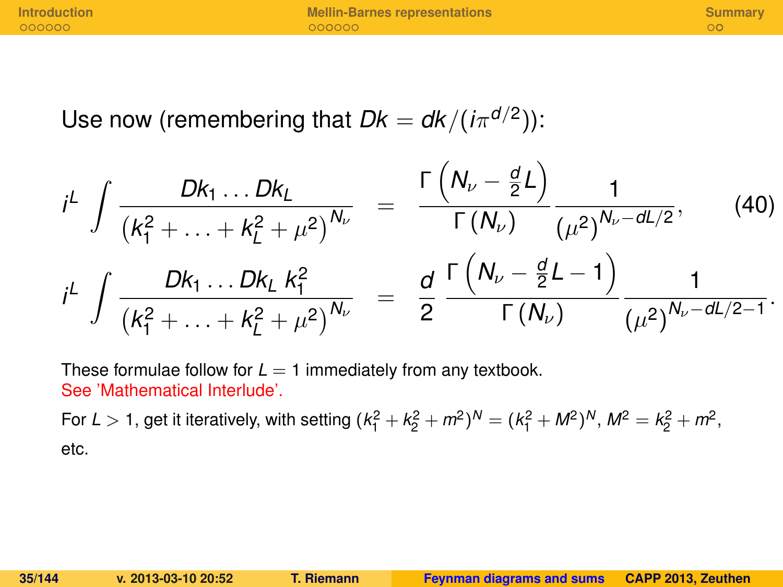**[Introduction](#page-124-0) [Mellin-Barnes representations](#page-131-0) [Summary](#page-138-0)**

Use now (remembering that  $Dk = d/k/(i\pi^{d/2}))$ :

$$
i^{L} \int \frac{Dk_{1} \dots Dk_{L}}{\left(k_{1}^{2} + \dots + k_{L}^{2} + \mu^{2}\right)^{N_{\nu}}} = \frac{\Gamma\left(N_{\nu} - \frac{d}{2}L\right)}{\Gamma\left(N_{\nu}\right)} \frac{1}{\left(\mu^{2}\right)^{N_{\nu} - dL/2}}, \qquad (40)
$$

$$
i^{L} \int \frac{Dk_{1} \dots Dk_{L} k_{1}^{2}}{\left(k_{1}^{2} + \dots + k_{L}^{2} + \mu^{2}\right)^{N_{\nu}}} = \frac{d}{2} \frac{\Gamma\left(N_{\nu} - \frac{d}{2}L - 1\right)}{\Gamma\left(N_{\nu}\right)} \frac{1}{\left(\mu^{2}\right)^{N_{\nu} - dL/2 - 1}}.
$$

These formulae follow for  $L = 1$  immediately from any textbook. See 'Mathematical Interlude'.

For *L*  $>$  1, get it iteratively, with setting  $(k_1^2 + k_2^2 + m^2)^N = (k_1^2 + M^2)^N$ ,  $M^2 = k_2^2 + m^2$ , etc.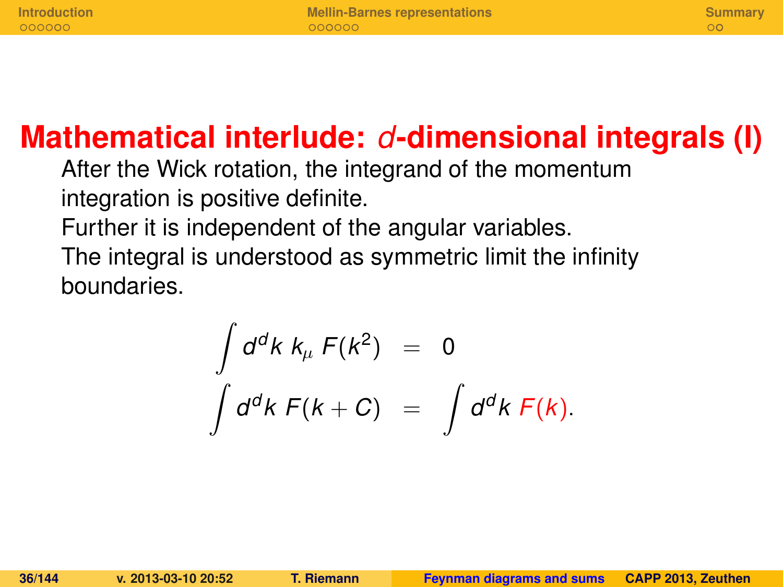### **Mathematical interlude:** *d***-dimensional integrals (I)**

After the Wick rotation, the integrand of the momentum integration is positive definite.

Further it is independent of the angular variables.

The integral is understood as symmetric limit the infinity boundaries.

$$
\int d^d k \, k_\mu \, F(k^2) = 0
$$
  

$$
\int d^d k \, F(k+C) = \int d^d k \, F(k).
$$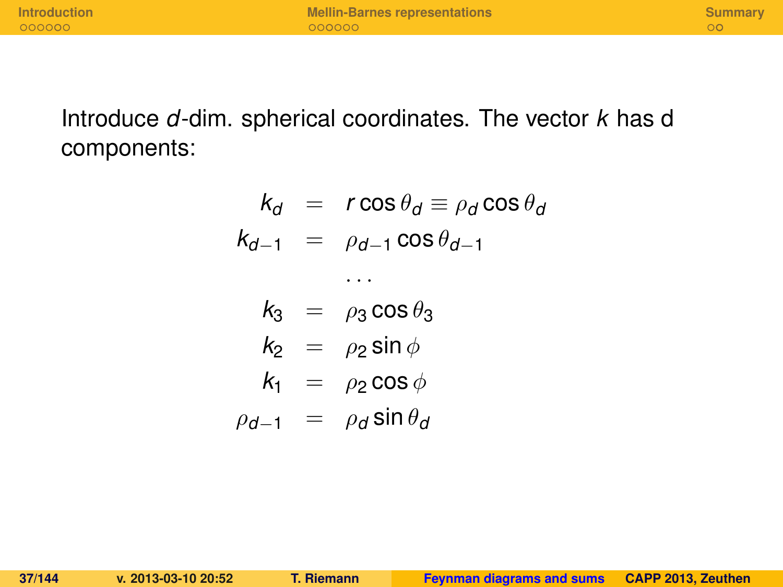Introduce *d*-dim. spherical coordinates. The vector *k* has d components:

$$
k_d = r \cos \theta_d \equiv \rho_d \cos \theta_a
$$
  

$$
k_{d-1} = \rho_{d-1} \cos \theta_{d-1}
$$

$$
k_3 = \rho_3 \cos \theta_3
$$
  
\n
$$
k_2 = \rho_2 \sin \phi
$$
  
\n
$$
k_1 = \rho_2 \cos \phi
$$
  
\n
$$
\rho_{d-1} = \rho_d \sin \theta_d
$$

. . .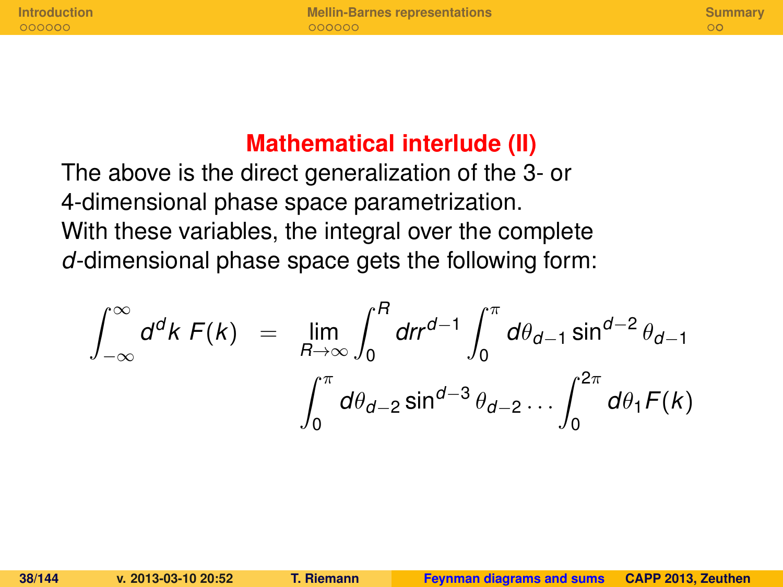**[Introduction](#page-124-0) <b>[Mellin-Barnes representations](#page-131-0) [Summary](#page-138-0)**<br> **Alternative Cooperations COOPER COOPER COOPER COOPER COOPER COOPER COOPER COOPER COOPER COOPER** 

#### **Mathematical interlude (II)**

The above is the direct generalization of the 3- or 4-dimensional phase space parametrization. With these variables, the integral over the complete *d*-dimensional phase space gets the following form:

$$
\int_{-\infty}^{\infty} d^d k \, F(k) = \lim_{R \to \infty} \int_{0}^{R} dr r^{d-1} \int_{0}^{\pi} d\theta_{d-1} \sin^{d-2} \theta_{d-1}
$$

$$
\int_{0}^{\pi} d\theta_{d-2} \sin^{d-3} \theta_{d-2} \dots \int_{0}^{2\pi} d\theta_{1} F(k)
$$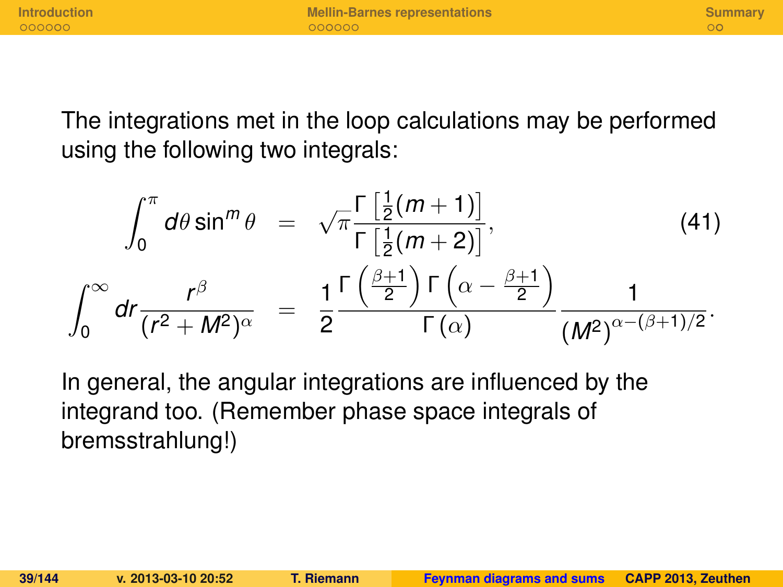### The integrations met in the loop calculations may be performed using the following two integrals:

$$
\int_0^{\pi} d\theta \sin^m \theta = \sqrt{\pi} \frac{\Gamma\left[\frac{1}{2}(m+1)\right]}{\Gamma\left[\frac{1}{2}(m+2)\right]},\tag{41}
$$
\n
$$
\int_0^{\infty} dr \frac{r^{\beta}}{(r^2 + M^2)^{\alpha}} = \frac{1}{2} \frac{\Gamma\left(\frac{\beta+1}{2}\right) \Gamma\left(\alpha - \frac{\beta+1}{2}\right)}{\Gamma(\alpha)} \frac{1}{(M^2)^{\alpha - (\beta+1)/2}}.
$$

In general, the angular integrations are influenced by the integrand too. (Remember phase space integrals of bremsstrahlung!)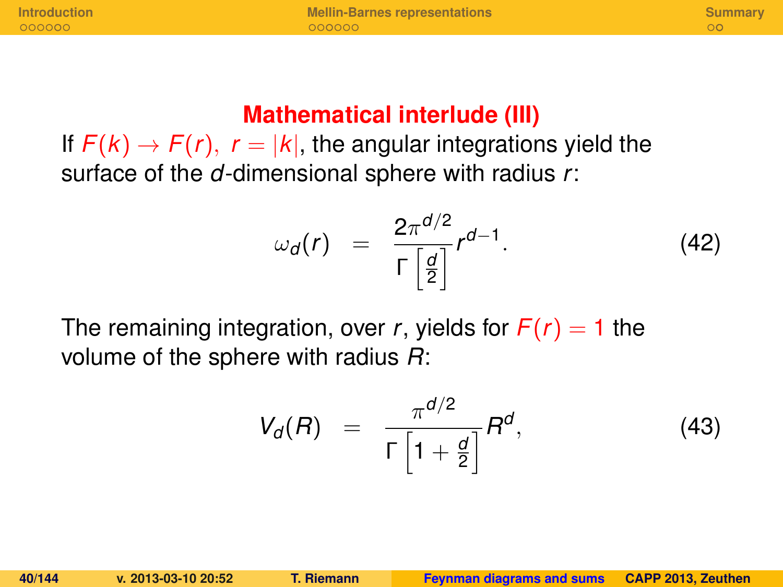**[Introduction](#page-124-0) <b>[Mellin-Barnes representations](#page-131-0) [Summary](#page-138-0)**<br> **Alternative Cooperations COOPER COOPER COOPER COOPER COOPER COOPER COOPER COOPER COOPER COOPER** 

### **Mathematical interlude (III)**

If  $F(k) \rightarrow F(r)$ ,  $r = |k|$ , the angular integrations yield the surface of the *d*-dimensional sphere with radius *r*:

$$
\omega_d(r) = \frac{2\pi^{d/2}}{\Gamma\left[\frac{d}{2}\right]}r^{d-1}.\tag{42}
$$

The remaining integration, over *r*, yields for  $F(r) = 1$  the volume of the sphere with radius *R*:

$$
V_d(R) = \frac{\pi^{d/2}}{\Gamma\left[1 + \frac{d}{2}\right]}R^d, \tag{43}
$$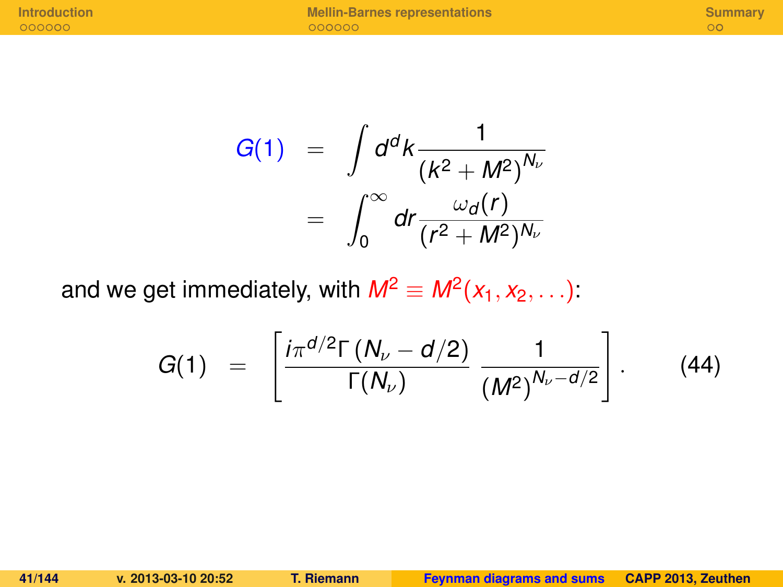$$
G(1) = \int d^d k \frac{1}{\left(k^2 + M^2\right)^{N_\nu}}
$$

$$
= \int_0^\infty dr \frac{\omega_d(r)}{\left(r^2 + M^2\right)^{N_\nu}}
$$

and we get immediately, with  $M^2 \equiv M^2(x_1, x_2, \ldots)$ :

$$
G(1) = \left[ \frac{i \pi^{d/2} \Gamma(N_{\nu} - d/2)}{\Gamma(N_{\nu})} \frac{1}{(M^{2})^{N_{\nu} - d/2}} \right].
$$
 (44)

**41/144 v. 2013-03-10 20:52 T. Riemann [Feynman diagrams and sums](#page-0-0) CAPP 2013, Zeuthen**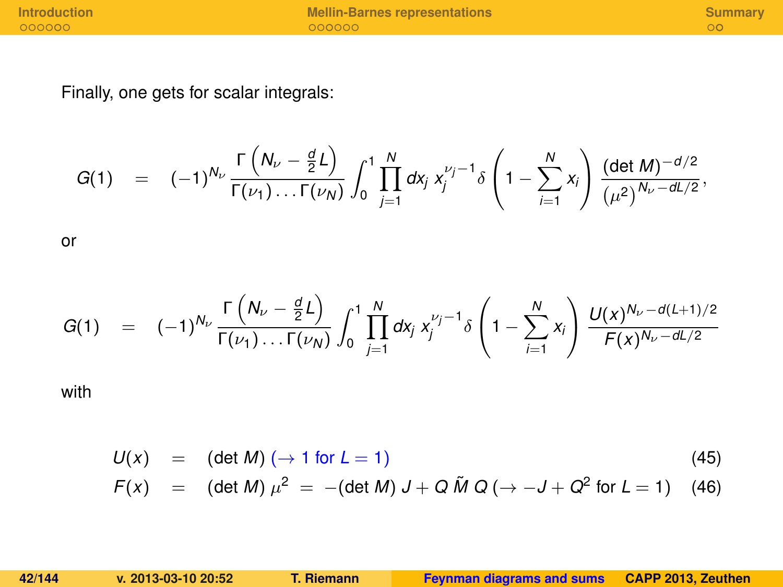**[Introduction](#page-124-0) [Mellin-Barnes representations](#page-131-0) [Summary](#page-138-0)**

Finally, one gets for scalar integrals:

$$
G(1) = (-1)^{N_{\nu}} \frac{\Gamma\left(N_{\nu} - \frac{d}{2}L\right)}{\Gamma(\nu_1) \dots \Gamma(\nu_N)} \int_0^1 \prod_{j=1}^N dx_j \; x_j^{\nu_j - 1} \delta\left(1 - \sum_{i=1}^N x_i\right) \frac{(\det M)^{-d/2}}{(\mu^2)^{N_{\nu} - dL/2}},
$$

or

$$
G(1) = (-1)^{N_{\nu}} \frac{\Gamma\left(N_{\nu} - \frac{d}{2}L\right)}{\Gamma(\nu_1) \dots \Gamma(\nu_N)} \int_0^1 \prod_{j=1}^N dx_j \, x_j^{\nu_j - 1} \delta\left(1 - \sum_{i=1}^N x_i\right) \, \frac{U(x)^{N_{\nu} - d(L+1)/2}}{F(x)^{N_{\nu} - dL/2}}
$$

with

$$
U(x) = (\det M) (\rightarrow 1 \text{ for } L = 1)
$$
\n(45)

$$
F(x) = (\det M) \mu^{2} = -(\det M) J + Q \tilde{M} Q (\rightarrow -J + Q^{2} \text{ for } L = 1) \quad (46)
$$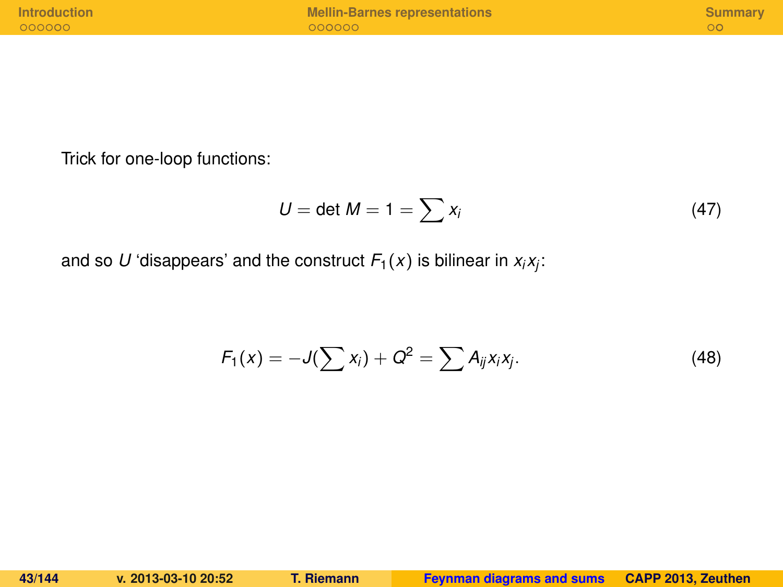Trick for one-loop functions:

$$
U = \det M = 1 = \sum x_i \tag{47}
$$

and so  $U$  'disappears' and the construct  $\mathit{F}_{1}(x)$  is bilinear in  $x_{i}x_{j}$ :

$$
F_1(x) = -J(\sum x_i) + Q^2 = \sum A_{ij}x_ix_j.
$$
 (48)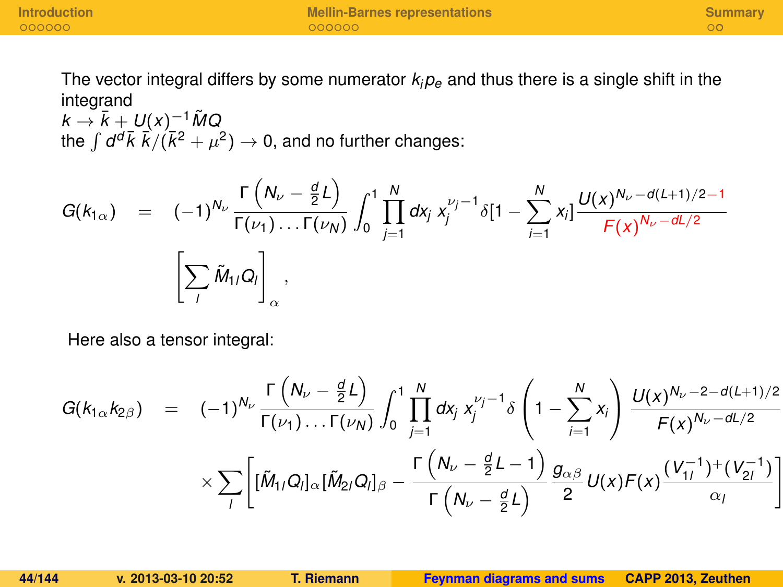The vector integral differs by some numerator  $k_i p_e$  and thus there is a single shift in the integrand

 $k \rightarrow \overline{k} + U(x)^{-1} \tilde{M}Q$ the  $\int d^d\vec{k} \; \vec{k}/(\bar{k}^2 + \mu^2) \rightarrow 0$ , and no further changes:

$$
G(k_{1\alpha}) = (-1)^{N_{1\alpha}} \frac{\Gamma(N_{1\alpha} - \frac{d}{2}L)}{\Gamma(\nu_1) \dots \Gamma(\nu_N)} \int_0^1 \prod_{j=1}^N dx_j x_j^{\nu_j - 1} \delta[1 - \sum_{i=1}^N x_i] \frac{U(x)^{N_{1\alpha} - d(L+1)/2 - 1}}{F(x)^{N_{1\alpha} - dL/2}} \\ \left[ \sum_j \tilde{M}_{1\alpha} Q_j \right]_0^N,
$$

Here also a tensor integral:

$$
G(k_{1\alpha}k_{2\beta}) = (-1)^{N_{\nu}} \frac{\Gamma(N_{\nu} - \frac{d}{2}L)}{\Gamma(\nu_{1}) \dots \Gamma(\nu_{N})} \int_{0}^{1} \prod_{j=1}^{N} dx_{j} x_{j}^{\nu_{j}-1} \delta\left(1 - \sum_{i=1}^{N} x_{i}\right) \frac{U(x)^{N_{\nu}-2-d(L+1)/2}}{F(x)^{N_{\nu}-dL/2}} \\ \times \sum_{i} \left[ [\tilde{M}_{1i}Q_{i}]_{\alpha} [\tilde{M}_{2i}Q_{i}]_{\beta} - \frac{\Gamma(N_{\nu} - \frac{d}{2}L - 1)}{\Gamma(N_{\nu} - \frac{d}{2}L)} \frac{g_{\alpha\beta}}{2} U(x)F(x) \frac{(V_{1i}^{-1})^{+}(V_{2i}^{-1})}{\alpha_{i}} \right]
$$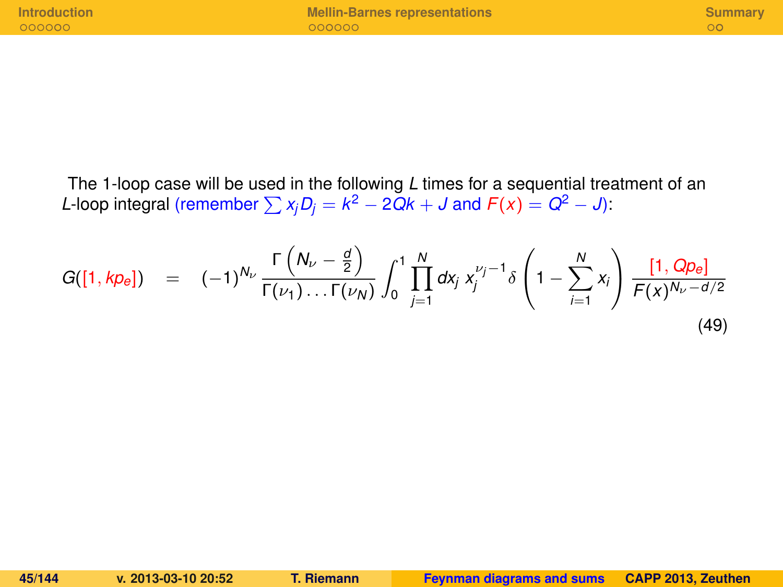The 1-loop case will be used in the following *L* times for a sequential treatment of an *L*-loop integral (remember  $\sum x_j D_j = k^2 - 2Qk + J$  and  $F(x) = Q^2 - J$ ):

$$
G([1, k p_e]) = (-1)^{N_{\nu}} \frac{\Gamma\left(N_{\nu} - \frac{d}{2}\right)}{\Gamma(\nu_1) \dots \Gamma(\nu_N)} \int_0^1 \prod_{j=1}^N dx_j \; x_j^{\nu_j - 1} \delta\left(1 - \sum_{i=1}^N x_i\right) \frac{[1, Q p_e]}{F(x)^{N_{\nu} - d/2}} \tag{49}
$$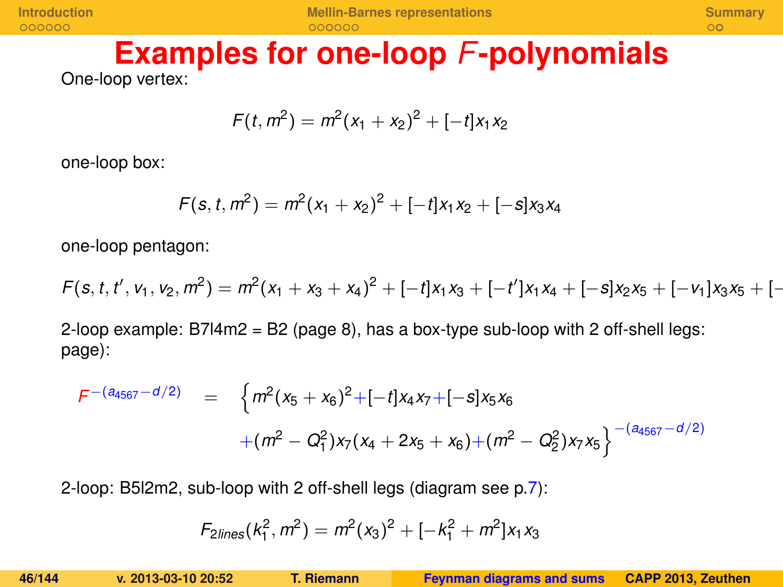#### **Examples for one-loop** *F***-polynomials** One-loop vertex:

$$
F(t, m2) = m2(x1 + x2)2 + [-t]x1x2
$$

one-loop box:

$$
F(s, t, m^2) = m^2(x_1 + x_2)^2 + [-t]x_1x_2 + [-s]x_3x_4
$$

one-loop pentagon:

 $F(s, t, t', v_1, v_2, m^2) = m^2(x_1 + x_3 + x_4)^2 + [-t]x_1x_3 + [-t']x_1x_4 + [-s]x_2x_5 + [-v_1]x_3x_5 + [-t']x_1x_4 + [-s]x_2x_5 + [-s_1]x_3x_5 + [-s_1]x_4x_5 + [-s_1]x_4x_5 + [-s_1]x_4x_5 + [-s_1]x_4x_5 + [-s_1]x_4x_5 + [-s_1]x_4x_5 + [-s_1]x_4x_5 + [-s_1]x_4x_5 + [-s_1]x_4x_5 + [-$ 

2-loop example: B7l4m2 = B2 (page 8), has a box-type sub-loop with 2 off-shell legs: page):

$$
F^{-(a_{4567}-d/2)} = \left\{ m^2(x_5+x_6)^2 + [-t]x_4x_7 + [-s]x_5x_6
$$
  
 
$$
+(m^2 - Q_1^2)x_7(x_4 + 2x_5 + x_6) + (m^2 - Q_2^2)x_7x_5 \right\}^{-(a_{4567}-d/2)}
$$

2-loop: B5l2m2, sub-loop with 2 off-shell legs (diagram see p[.7\)](#page-8-0):

$$
F_{2lines}(k_1^2, m^2) = m^2(x_3)^2 + [-k_1^2 + m^2]x_1x_3
$$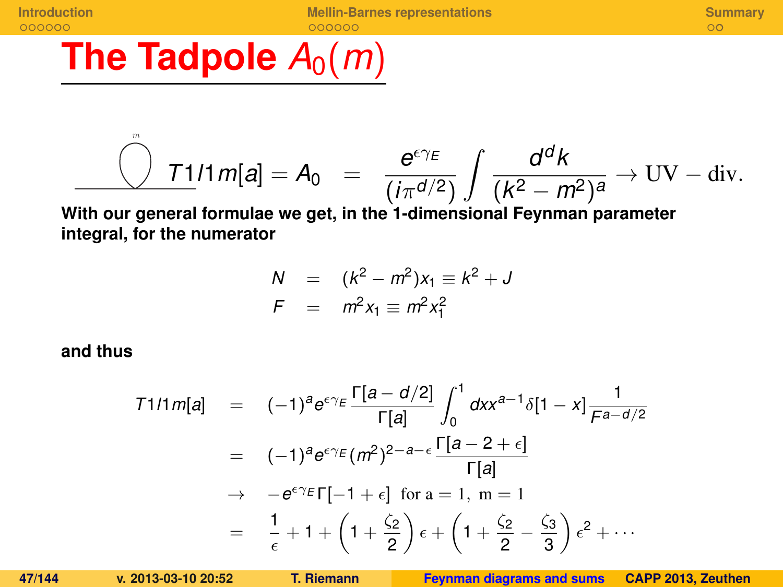# **The Tadpole**  $A_0(m)$

$$
\frac{\mathcal{O} \quad \text{I1}}{m} \quad \text{I1} \, m[\mathbf{a}] = A_0 \quad = \quad \frac{\mathbf{e}^{\epsilon \gamma \epsilon}}{(i \pi^{d/2})} \int \frac{\mathbf{d}^d \mathbf{k}}{(\mathbf{k}^2 - \mathbf{m}^2)^a} \to \text{UV} - \text{div}.
$$

**With our general formulae we get, in the 1-dimensional Feynman parameter integral, for the numerator**

$$
N = (k^{2} - m^{2})x_{1} \equiv k^{2} + J
$$
  

$$
F = m^{2}x_{1} \equiv m^{2}x_{1}^{2}
$$

**and thus**

m

$$
T111 m[a] = (-1)^{a} e^{\epsilon \gamma_E} \frac{\Gamma[a - d/2]}{\Gamma[a]} \int_0^1 dx x^{a-1} \delta[1 - x] \frac{1}{\digamma^{a-d/2}}
$$
  
\n
$$
= (-1)^{a} e^{\epsilon \gamma_E} (m^2)^{2-a-\epsilon} \frac{\Gamma[a - 2 + \epsilon]}{\Gamma[a]}
$$
  
\n
$$
\rightarrow -e^{\epsilon \gamma_E} \Gamma[-1 + \epsilon] \text{ for a = 1, m = 1}
$$
  
\n
$$
= \frac{1}{\epsilon} + 1 + \left(1 + \frac{\zeta_2}{2}\right) \epsilon + \left(1 + \frac{\zeta_2}{2} - \frac{\zeta_3}{3}\right) \epsilon^2 + \cdots
$$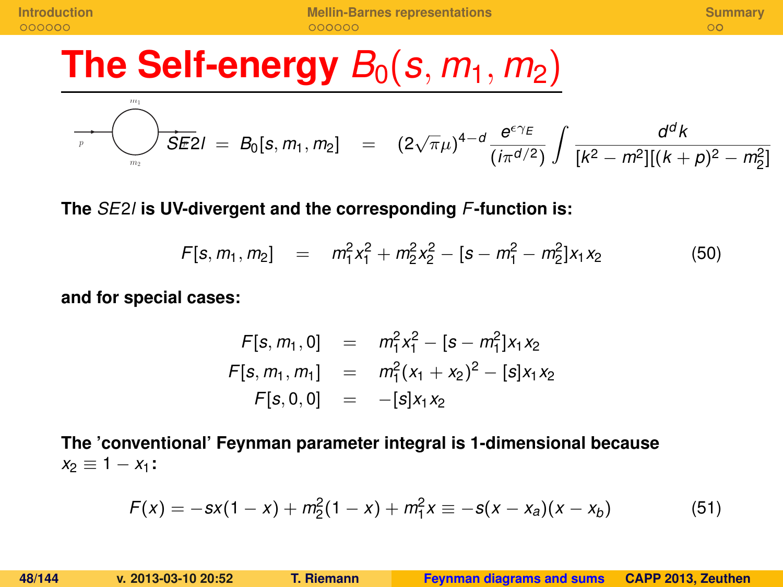# **The Self-energy**  $B_0(s, m_1, m_2)$

$$
\sum_{p}^{m_1} \sum_{m_2}^{m_2} \mathbf{S} \mathbf{E} \mathbf{Z} I = B_0[\mathbf{s}, m_1, m_2] = (2\sqrt{\pi}\mu)^{4-d} \frac{e^{\epsilon \gamma_E}}{(i\pi^{d/2})} \int \frac{d^d k}{[k^2 - m^2][(k+p)^2 - m_2^2]}
$$

**The** *SE*2*l* **is UV-divergent and the corresponding** *F***-function is:**

$$
F[s, m_1, m_2] = m_1^2 x_1^2 + m_2^2 x_2^2 - [s - m_1^2 - m_2^2] x_1 x_2 \tag{50}
$$

**and for special cases:**

$$
F[s, m_1, 0] = m_1^2 x_1^2 - [s - m_1^2] x_1 x_2
$$
  

$$
F[s, m_1, m_1] = m_1^2 (x_1 + x_2)^2 - [s] x_1 x_2
$$
  

$$
F[s, 0, 0] = -[s] x_1 x_2
$$

**The 'conventional' Feynman parameter integral is 1-dimensional because**  $x_2 \equiv 1 - x_1$ :

$$
F(x) = -sx(1-x) + m_2^2(1-x) + m_1^2x \equiv -s(x-x_a)(x-x_b)
$$
 (51)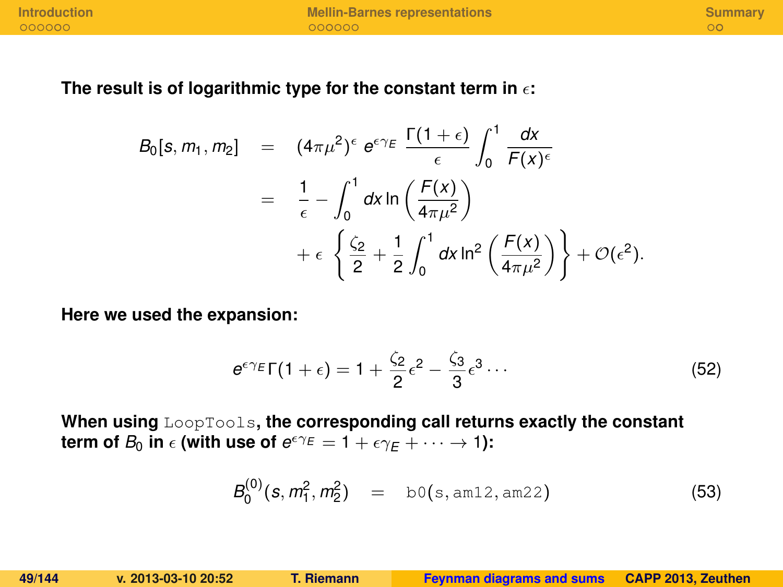**[Introduction](#page-124-0) [Mellin-Barnes representations](#page-131-0) [Summary](#page-138-0)**

#### The result is of logarithmic type for the constant term in  $\epsilon$ :

$$
B_0[s, m_1, m_2] = (4\pi\mu^2)^{\epsilon} e^{\epsilon \gamma_E} \frac{\Gamma(1+\epsilon)}{\epsilon} \int_0^1 \frac{dx}{F(x)^{\epsilon}}
$$
  

$$
= \frac{1}{\epsilon} - \int_0^1 dx \ln\left(\frac{F(x)}{4\pi\mu^2}\right)
$$
  

$$
+ \epsilon \left\{\frac{\zeta_2}{2} + \frac{1}{2} \int_0^1 dx \ln^2\left(\frac{F(x)}{4\pi\mu^2}\right)\right\} + \mathcal{O}(\epsilon^2).
$$

**Here we used the expansion:**

$$
e^{\epsilon \gamma_E} \Gamma(1+\epsilon) = 1 + \frac{\zeta_2}{2} \epsilon^2 - \frac{\zeta_3}{3} \epsilon^3 \cdots
$$
 (52)

**When using** LoopTools**, the corresponding call returns exactly the constant term of**  $B_0$  **in**  $\epsilon$  (with use of  $e^{\epsilon \gamma_E} = 1 + \epsilon \gamma_E + \cdots \rightarrow 1$ ):

$$
B_0^{(0)}(s, m_1^2, m_2^2) = b0(s, \text{am12}, \text{am22}) \tag{53}
$$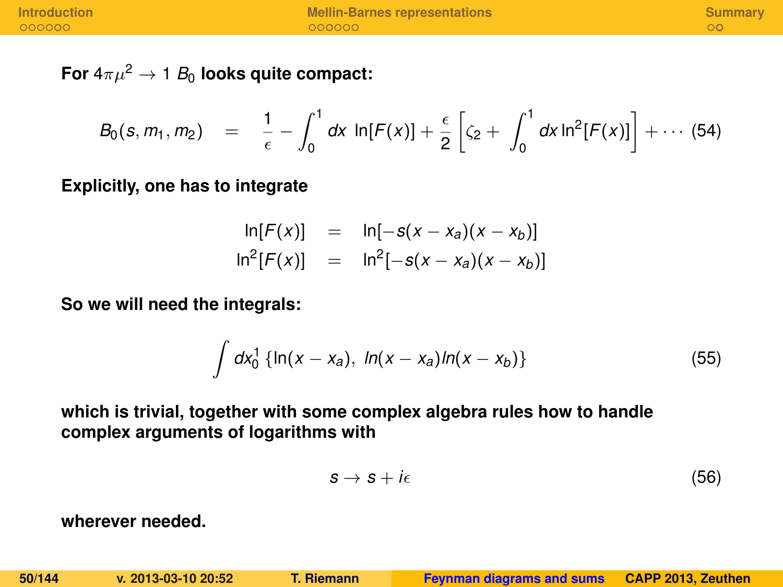For  $4\pi\mu^2 \rightarrow 1$  *B*<sub>0</sub> looks quite compact:

$$
B_0(s, m_1, m_2) = \frac{1}{\epsilon} - \int_0^1 dx \ln[F(x)] + \frac{\epsilon}{2} \left[ \zeta_2 + \int_0^1 dx \ln^2[F(x)] \right] + \cdots (54)
$$

**Explicitly, one has to integrate**

$$
\ln[F(x)] = \ln[-s(x - x_a)(x - x_b)]
$$
  

$$
\ln^{2}[F(x)] = \ln^{2}[-s(x - x_a)(x - x_b)]
$$

**So we will need the integrals:**

$$
\int dx_0^1 \{ \ln(x - x_a), \ h(x - x_a) \ln(x - x_b) \} \tag{55}
$$

**which is trivial, together with some complex algebra rules how to handle complex arguments of logarithms with**

$$
s \to s + i\epsilon \tag{56}
$$

**wherever needed.**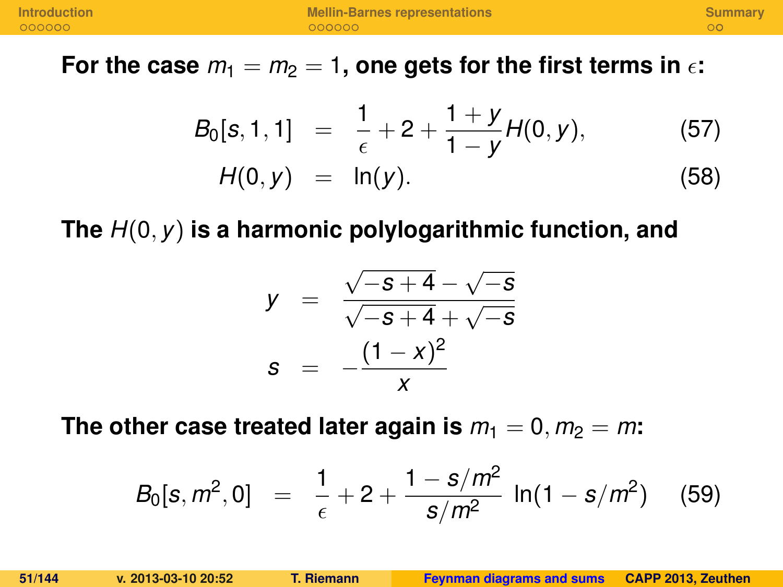For the case  $m_1 = m_2 = 1$ , one gets for the first terms in  $\epsilon$ :

$$
B_0[s, 1, 1] = \frac{1}{\epsilon} + 2 + \frac{1+y}{1-y}H(0, y), \qquad (57)
$$
  

$$
H(0, y) = \ln(y). \qquad (58)
$$

**The** *H*(0, *y*) **is a harmonic polylogarithmic function, and**

$$
y = \frac{\sqrt{-s+4} - \sqrt{-s}}{\sqrt{-s+4} + \sqrt{-s}}
$$
  

$$
s = -\frac{(1-x)^2}{x}
$$

The other case treated later again is  $m_1 = 0, m_2 = m$ :

$$
B_0[s, m^2, 0] = \frac{1}{\epsilon} + 2 + \frac{1 - s/m^2}{s/m^2} \ln(1 - s/m^2)
$$
 (59)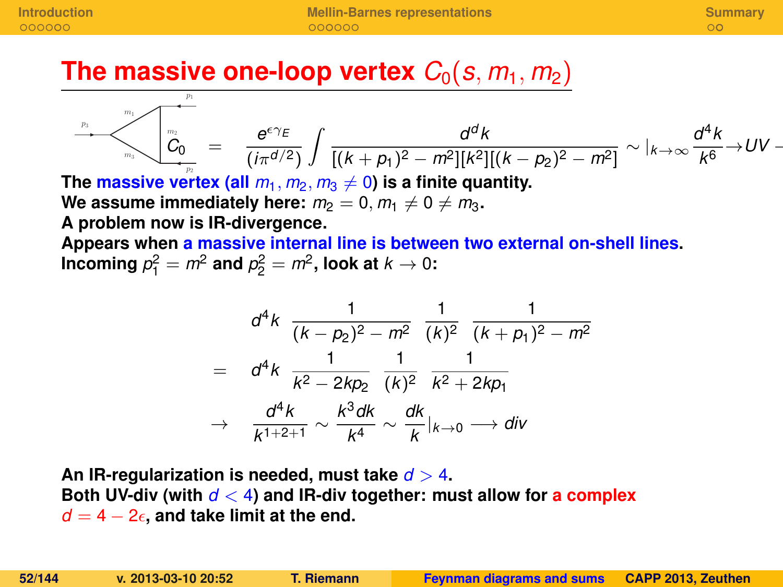**The massive one-loop vertex**  $C_0(s, m_1, m_2)$ 

$$
\sum_{m_1}^{p_1} \frac{d^d k}{C_0} = \frac{e^{\epsilon \gamma_E}}{(i \pi^{d/2})} \int \frac{d^d k}{[(k+p_1)^2 - m^2][k^2][(k-p_2)^2 - m^2]} \sim |_{k \to \infty} \frac{d^4 k}{k^6} \to UV -
$$

The **massive vertex** (all  $m_1, m_2, m_3 \neq 0$ ) is a finite quantity.

We assume immediately here:  $m_2 = 0$ ,  $m_1 \neq 0 \neq m_3$ . **A problem now is IR-divergence.**

 $p<sub>1</sub>$ 

**Appears when a massive internal line is between two external on-shell lines.** Incoming  $p_1^2 = m^2$  and  $p_2^2 = m^2$ , look at  $k \rightarrow 0$ :

$$
d^4k \frac{1}{(k-p_2)^2 - m^2} \frac{1}{(k)^2} \frac{1}{(k+p_1)^2 - m^2}
$$
  
= 
$$
d^4k \frac{1}{k^2 - 2kp_2} \frac{1}{(k)^2} \frac{1}{k^2 + 2kp_1}
$$
  

$$
\rightarrow \frac{d^4k}{k^{1+2+1}} \sim \frac{k^3dk}{k^4} \sim \frac{dk}{k}|_{k \to 0} \longrightarrow div
$$

**An IR-regularization is needed, must take** *d* > 4**. Both UV-div (with** *d* < 4**) and IR-div together: must allow for a complex**  $d = 4 - 2\epsilon$ , and take limit at the end.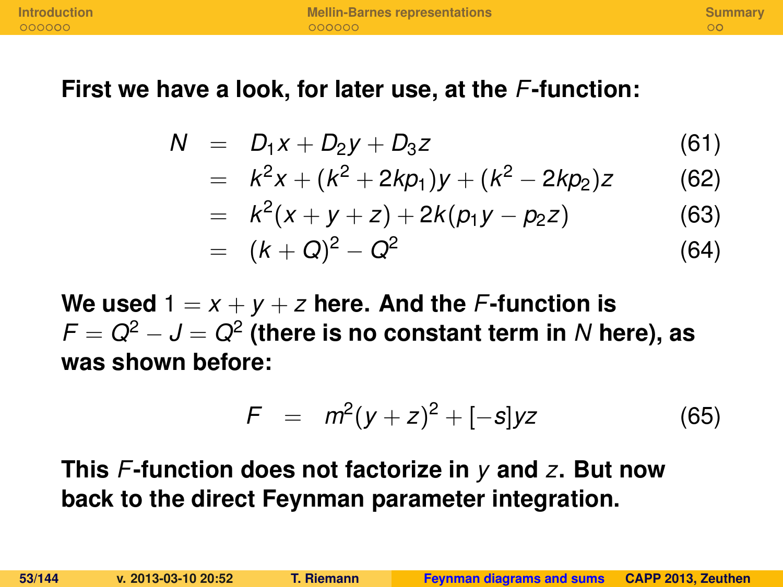#### **First we have a look, for later use, at the** *F***-function:**

$$
N = D_1x + D_2y + D_3z \tag{61}
$$

$$
= k2x + (k2 + 2kp1)y + (k2 – 2kp2)z
$$
 (62)

$$
= k2(x + y + z) + 2k(p1y - p2z)
$$
 (63)

$$
= (k+Q)^2 - Q^2 \tag{64}
$$

We used  $1 = x + y + z$  here. And the *F*-function is *F* = *Q*<sup>2</sup> − *J* = *Q*<sup>2</sup> **(there is no constant term in** *N* **here), as was shown before:**

$$
F = m^2(y+z)^2 + [-s]yz \tag{65}
$$

### **This** *F***-function does not factorize in** *y* **and** *z***. But now back to the direct Feynman parameter integration.**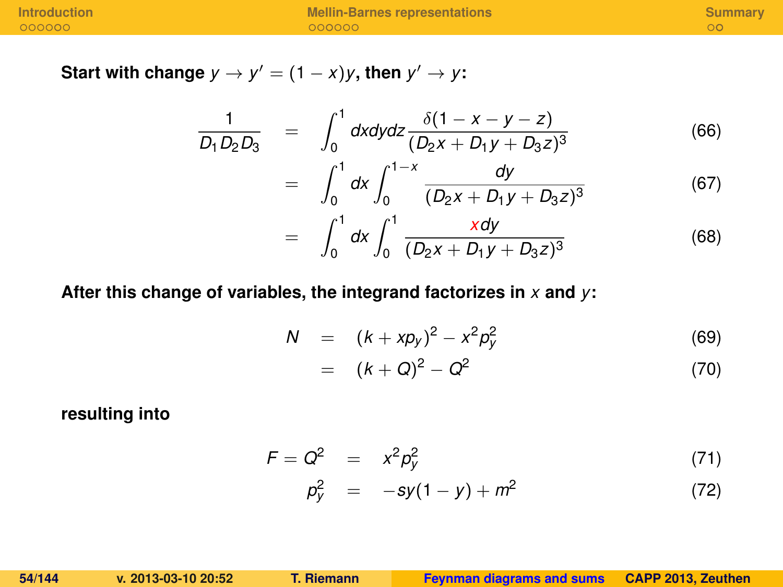**Start with change**  $y \to y' = (1 - x)y$ , then  $y' \to y$ :

$$
\frac{1}{D_1 D_2 D_3} = \int_0^1 dx dy dz \frac{\delta(1 - x - y - z)}{(D_2 x + D_1 y + D_3 z)^3}
$$
(66)

$$
= \int_0^1 dx \int_0^{1-x} \frac{dy}{(D_2x + D_1y + D_3z)^3}
$$
(67)

$$
= \int_0^1 dx \int_0^1 \frac{x dy}{(D_2 x + D_1 y + D_3 z)^3}
$$
(68)

#### **After this change of variables, the integrand factorizes in** *x* **and** *y***:**

$$
N = (k + xp_y)^2 - x^2p_y^2 \tag{69}
$$

$$
= (k+Q)^2 - Q^2 \tag{70}
$$

**resulting into**

$$
F = Q^2 = x^2 p_y^2 \tag{71}
$$

$$
p_y^2 = -sy(1-y) + m^2 \tag{72}
$$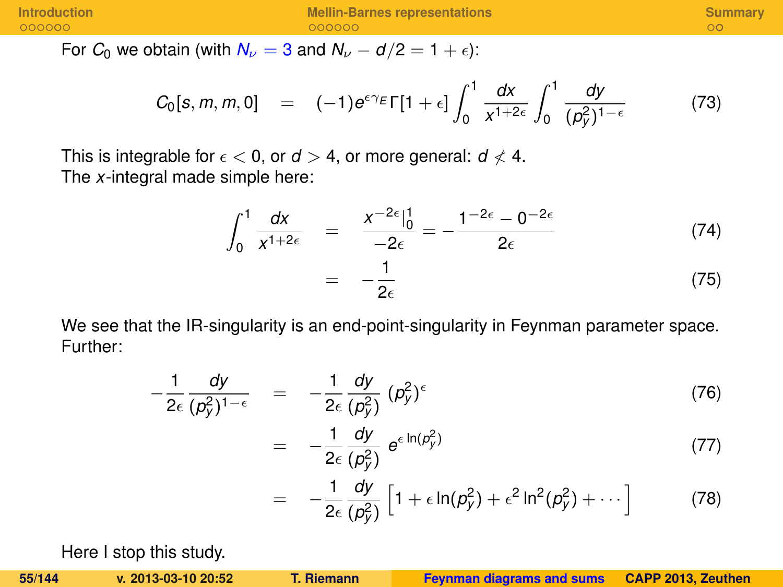For  $C_0$  we obtain (with  $N_v = 3$  and  $N_v - d/2 = 1 + \epsilon$ ):

$$
C_0[s, m, m, 0] = (-1)e^{\epsilon \gamma_E} \Gamma[1+\epsilon] \int_0^1 \frac{dx}{x^{1+2\epsilon}} \int_0^1 \frac{dy}{(p_y^2)^{1-\epsilon}} \qquad (73)
$$

This is integrable for  $\epsilon < 0$ , or  $d > 4$ , or more general:  $d \nless 4$ . The *x*-integral made simple here:

= −

$$
\int_0^1 \frac{dx}{x^{1+2\varepsilon}} = \frac{x^{-2\varepsilon} \Big|_0^1}{-2\varepsilon} = -\frac{1^{-2\varepsilon} - 0^{-2\varepsilon}}{2\varepsilon}
$$
\n(74)\n
$$
= -\frac{1}{2\varepsilon}
$$
\n(75)

We see that the IR-singularity is an end-point-singularity in Feynman parameter space. Further:

$$
-\frac{1}{2\epsilon}\frac{dy}{(\rho_y^2)^{1-\epsilon}} = -\frac{1}{2\epsilon}\frac{dy}{(\rho_y^2)} (\rho_y^2)^{\epsilon}
$$
(76)

$$
-\frac{1}{2\epsilon}\frac{dy}{(\rho_y^2)}\ e^{\epsilon\ln(\rho_y^2)}\tag{77}
$$

$$
= -\frac{1}{2\epsilon} \frac{dy}{(\rho_y^2)} \left[ 1 + \epsilon \ln(\rho_y^2) + \epsilon^2 \ln^2(\rho_y^2) + \cdots \right] \tag{78}
$$

Here I stop this study.

**55/144 v. 2013-03-10 20:52 T. Riemann [Feynman diagrams and sums](#page-0-0) CAPP 2013, Zeuthen**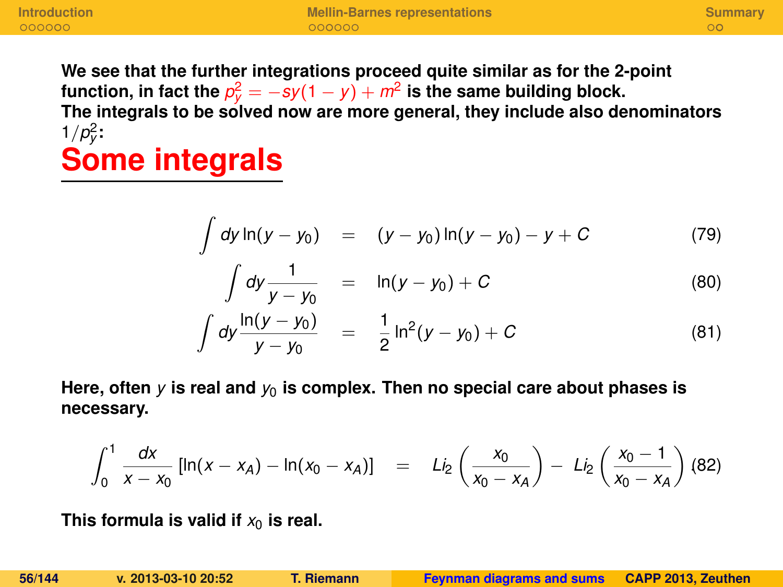**We see that the further integrations proceed quite similar as for the 2-point** function, in fact the  $p_y^2 = -sy(1-y) + m^2$  is the same building block. **The integrals to be solved now are more general, they include also denominators**  $1/p_y^2$ :

## **Some integrals**

$$
\int dy \ln(y - y_0) = (y - y_0) \ln(y - y_0) - y + C \tag{79}
$$

$$
\int dy \frac{1}{y - y_0} = \ln(y - y_0) + C \tag{80}
$$

$$
\int dy \frac{\ln(y - y_0)}{y - y_0} = \frac{1}{2} \ln^2(y - y_0) + C \tag{81}
$$

Here, often  $\gamma$  is real and  $\gamma_0$  is complex. Then no special care about phases is **necessary.**

$$
\int_0^1 \frac{dx}{x - x_0} \left[ ln(x - x_A) - ln(x_0 - x_A) \right] = Li_2 \left( \frac{x_0}{x_0 - x_A} \right) - Li_2 \left( \frac{x_0 - 1}{x_0 - x_A} \right) (82)
$$

This formula is valid if  $x_0$  is real.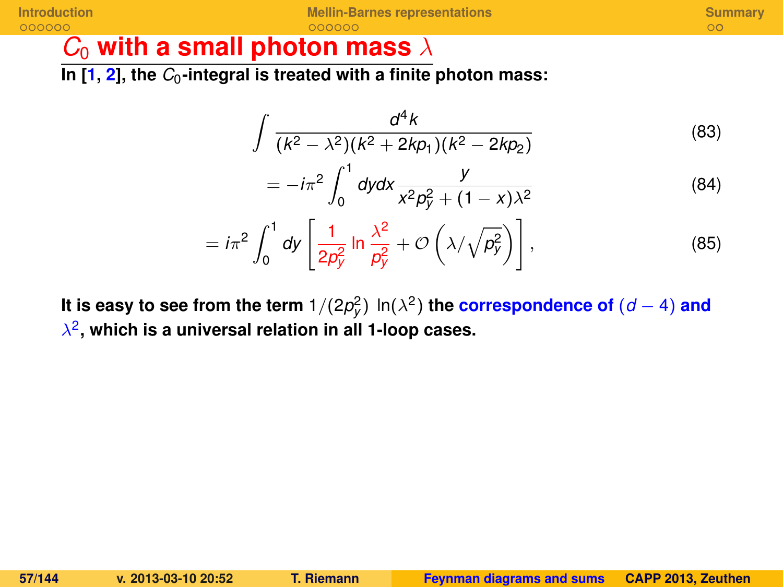### **[Introduction](#page-124-0) [Mellin-Barnes representations](#page-131-0) [Summary](#page-138-0)**

### *C*<sup>0</sup> **with a small photon mass** λ

k,

In  $[1, 2]$  $[1, 2]$  $[1, 2]$ , the  $C_0$ -integral is treated with a finite photon mass:

$$
\int \frac{d^4k}{(k^2 - \lambda^2)(k^2 + 2k p_1)(k^2 - 2k p_2)}
$$
\n(83)

$$
= -i\pi^2 \int_0^1 dy dx \frac{y}{x^2 p_y^2 + (1 - x)\lambda^2}
$$
 (84)

$$
= i\pi^2 \int_0^1 dy \left[ \frac{1}{2p_y^2} \ln \frac{\lambda^2}{p_y^2} + \mathcal{O}\left(\lambda/\sqrt{p_y^2}\right) \right],
$$
 (85)

**It is easy to see from the term**  $1/(2p_{\text{y}}^2)$  ln( $\lambda^2$ ) **the correspondence of**  $(d-4)$  and λ 2 **, which is a universal relation in all 1-loop cases.**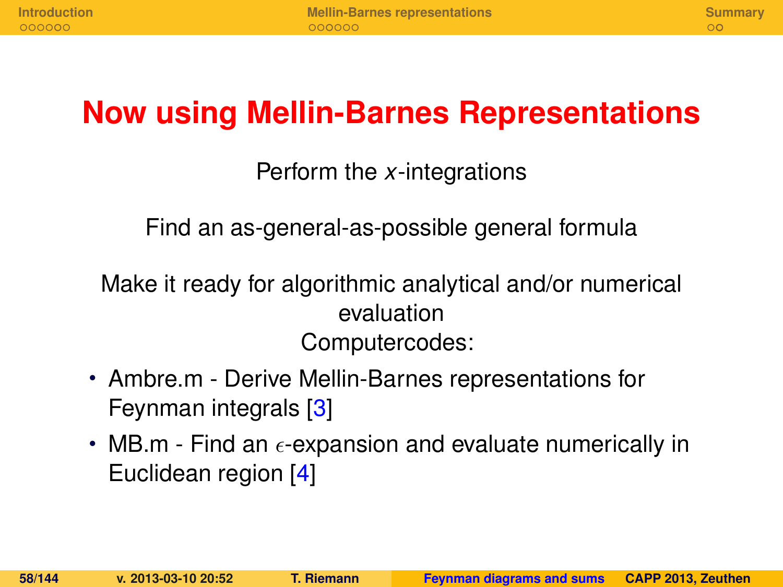## **Now using Mellin-Barnes Representations**

#### Perform the *x*-integrations

Find an as-general-as-possible general formula

Make it ready for algorithmic analytical and/or numerical evaluation Computercodes:

- Ambre.m Derive Mellin-Barnes representations for Feynman integrals [\[3\]](#page-139-2)
- MB.m Find an  $\epsilon$ -expansion and evaluate numerically in Euclidean region [\[4\]](#page-139-3)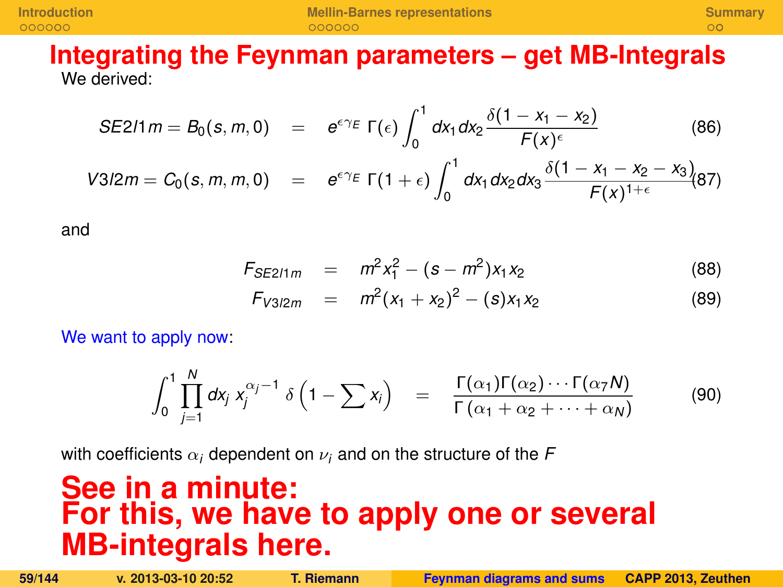**[Introduction](#page-124-0) <b>[Mellin-Barnes representations](#page-131-0) [Summary](#page-138-0)**<br> **Alternative Cooperations COOPER COOPER COOPER COOPER COOPER COOPER COOPER COOPER COOPER COOPER** 

#### **Integrating the Feynman parameters – get MB-Integrals** We derived:

$$
SE211 m = B_0(s, m, 0) = e^{\epsilon \gamma_E} \Gamma(\epsilon) \int_0^1 dx_1 dx_2 \frac{\delta(1 - x_1 - x_2)}{F(x)^{\epsilon}} \tag{86}
$$

$$
V3/2m = C_0(s, m, m, 0) = e^{\epsilon \gamma_E} \Gamma(1+\epsilon) \int_0^1 dx_1 dx_2 dx_3 \frac{\delta(1-x_1-x_2-x_3)}{F(x)^{1+\epsilon}} (87)
$$

and

$$
F_{SE211m} = m^2 x_1^2 - (s - m^2) x_1 x_2 \tag{88}
$$

$$
F_{V3/2m} = m^2(x_1 + x_2)^2 - (s)x_1x_2 \qquad (89)
$$

We want to apply now:

$$
\int_0^1 \prod_{j=1}^N dx_j x_j^{\alpha_j-1} \delta\left(1-\sum x_j\right) = \frac{\Gamma(\alpha_1)\Gamma(\alpha_2)\cdots\Gamma(\alpha_7 N)}{\Gamma(\alpha_1+\alpha_2+\cdots+\alpha_N)}
$$
(90)

with coefficients  $\alpha_i$  dependent on  $\nu_i$  and on the structure of the F

## **See in a minute: For this, we have to apply one or several MB-integrals here.**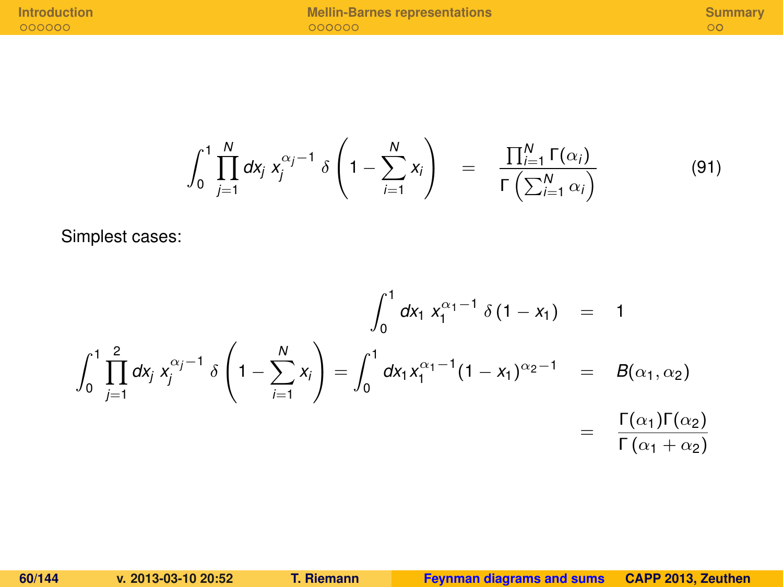**[Introduction](#page-124-0) [Mellin-Barnes representations](#page-131-0) and the summary operator of the summary cooperations and the summary operator of the summary**  $\alpha$ 

$$
\int_0^1 \prod_{j=1}^N dx_j \, x_j^{\alpha_j - 1} \, \delta \left( 1 - \sum_{i=1}^N x_i \right) \quad = \quad \frac{\prod_{i=1}^N \Gamma(\alpha_i)}{\Gamma\left(\sum_{i=1}^N \alpha_i\right)} \tag{91}
$$

Simplest cases:

$$
\int_0^1 dx_1 x_1^{\alpha_1 - 1} \delta(1 - x_1) = 1
$$
  

$$
\int_0^1 \prod_{j=1}^2 dx_j x_j^{\alpha_j - 1} \delta\left(1 - \sum_{i=1}^N x_i\right) = \int_0^1 dx_1 x_1^{\alpha_1 - 1} (1 - x_1)^{\alpha_2 - 1} = B(\alpha_1, \alpha_2)
$$
  

$$
= \frac{\Gamma(\alpha_1) \Gamma(\alpha_2)}{\Gamma(\alpha_1 + \alpha_2)}
$$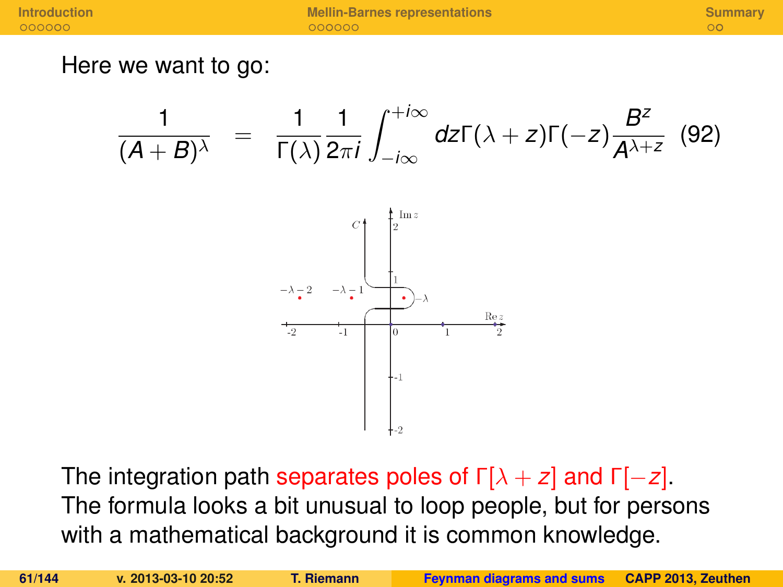Here we want to go:

$$
\frac{1}{(A+B)^{\lambda}} = \frac{1}{\Gamma(\lambda)} \frac{1}{2\pi i} \int_{-i\infty}^{+i\infty} dz \Gamma(\lambda + z) \Gamma(-z) \frac{B^z}{A^{\lambda+z}} \quad (92)
$$



The integration path separates poles of Γ[λ + *z*] and Γ[−*z*]. The formula looks a bit unusual to loop people, but for persons with a mathematical background it is common knowledge.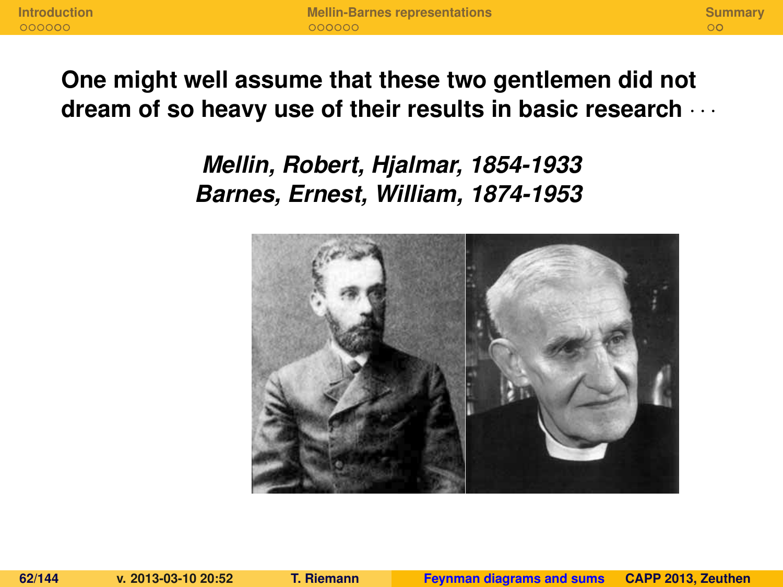#### **One might well assume that these two gentlemen did not dream of so heavy use of their results in basic research** · · ·

*Mellin, Robert, Hjalmar, 1854-1933 Barnes, Ernest, William, 1874-1953*

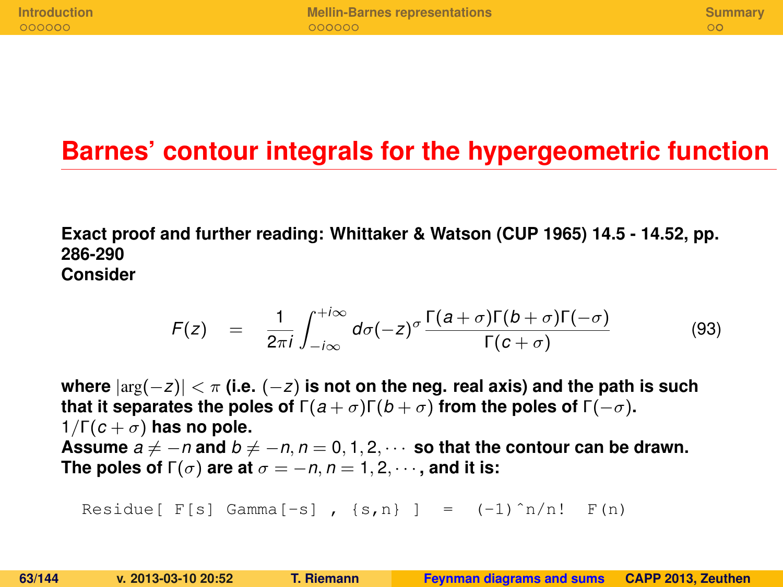## **Barnes' contour integrals for the hypergeometric function**

**Exact proof and further reading: Whittaker & Watson (CUP 1965) 14.5 - 14.52, pp. 286-290 Consider**

$$
F(z) = \frac{1}{2\pi i} \int_{-i\infty}^{+i\infty} d\sigma (-z)^{\sigma} \frac{\Gamma(a+\sigma)\Gamma(b+\sigma)\Gamma(-\sigma)}{\Gamma(c+\sigma)}
$$
(93)

**where** |arg(−*z*)| < π **(i.e.** (−*z*) **is not on the neg. real axis) and the path is such that it separates the poles of**  $\Gamma(a+\sigma)\Gamma(b+\sigma)$  from the poles of  $\Gamma(-\sigma)$ . 1/Γ $(c + σ)$  has no pole. Assume  $a \neq -n$  and  $b \neq -n$ ,  $n = 0, 1, 2, \cdots$  so that the contour can be drawn. **The poles of**  $\Gamma(\sigma)$  are at  $\sigma = -n, n = 1, 2, \cdots$ , and it is:

Residue[  $F[s]$  Gamma[-s],  $\{s,n\}$ ] =  $(-1)^n/n!$   $F(n)$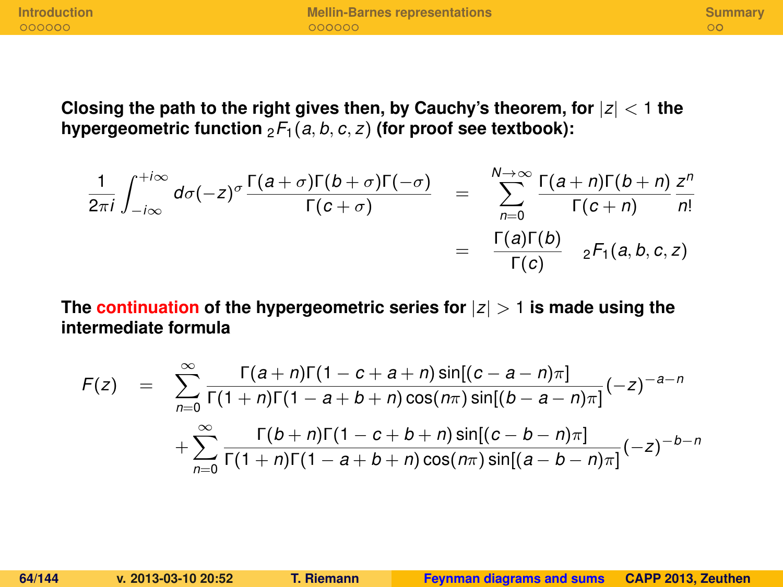**Closing the path to the right gives then, by Cauchy's theorem, for** |*z*| < 1 **the** hypergeometric function  ${}_2F_1(a, b, c, z)$  (for proof see textbook):

$$
\frac{1}{2\pi i} \int_{-i\infty}^{+i\infty} d\sigma(-z)^{\sigma} \frac{\Gamma(a+\sigma)\Gamma(b+\sigma)\Gamma(-\sigma)}{\Gamma(c+\sigma)} = \sum_{n=0}^{N\to\infty} \frac{\Gamma(a+n)\Gamma(b+n)}{\Gamma(c+n)} \frac{z^{n}}{n!}
$$

$$
= \frac{\Gamma(a)\Gamma(b)}{\Gamma(c)} \Big|_{2} F_{1}(a,b,c,z)
$$

**The continuation of the hypergeometric series for** |*z*| > 1 **is made using the intermediate formula**

$$
F(z) = \sum_{n=0}^{\infty} \frac{\Gamma(a+n)\Gamma(1-c+a+n)\sin[(c-a-n)\pi]}{\Gamma(1+n)\Gamma(1-a+b+n)\cos(n\pi)\sin[(b-a-n)\pi]}(-z)^{-a-n} + \sum_{n=0}^{\infty} \frac{\Gamma(b+n)\Gamma(1-c+b+n)\sin[(c-b-n)\pi]}{\Gamma(1+n)\Gamma(1-a+b+n)\cos(n\pi)\sin[(a-b-n)\pi]}(-z)^{-b-n}
$$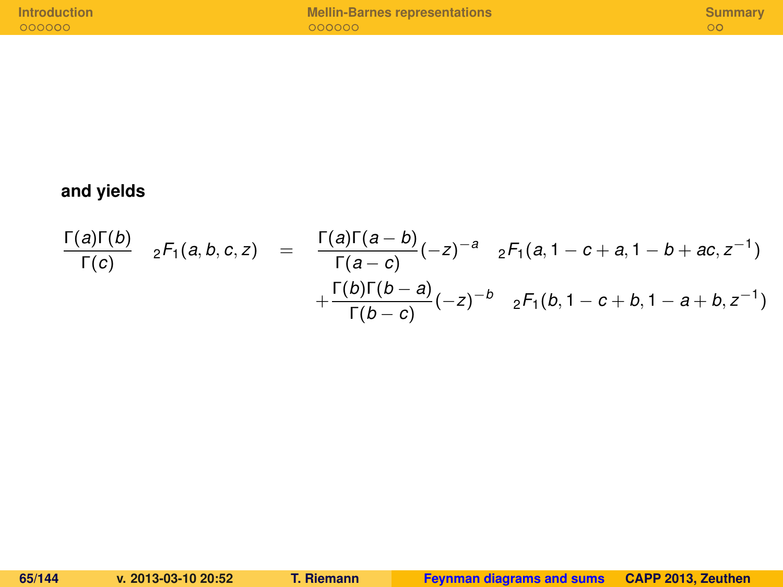#### **and yields**

$$
\frac{\Gamma(a)\Gamma(b)}{\Gamma(c)} \quad {}_{2}F_{1}(a,b,c,z) = \frac{\Gamma(a)\Gamma(a-b)}{\Gamma(a-c)}(-z)^{-a} \quad {}_{2}F_{1}(a,1-c+a,1-b+ac,z^{-1}) + \frac{\Gamma(b)\Gamma(b-a)}{\Gamma(b-c)}(-z)^{-b} \quad {}_{2}F_{1}(b,1-c+b,1-a+b,z^{-1})
$$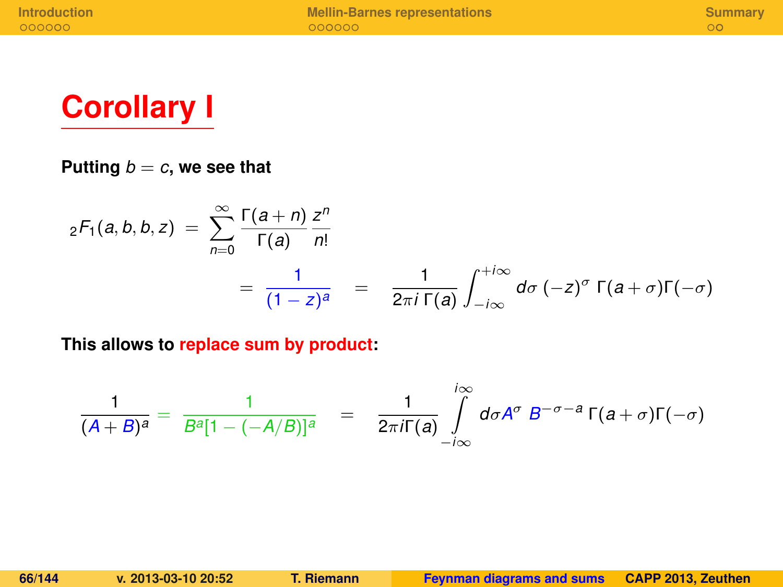

#### Putting  $b = c$ , we see that

$$
{}_2F_1(a,b,b,z) = \sum_{n=0}^{\infty} \frac{\Gamma(a+n)}{\Gamma(a)} \frac{z^n}{n!}
$$
  
= 
$$
\frac{1}{(1-z)^a} = \frac{1}{2\pi i \Gamma(a)} \int_{-i\infty}^{+i\infty} d\sigma (-z)^{\sigma} \Gamma(a+\sigma) \Gamma(-\sigma)
$$

**This allows to replace sum by product:**

$$
\frac{1}{(A+B)^a} = \frac{1}{B^a[1-(-A/B)]^a} = \frac{1}{2\pi i\Gamma(a)}\int\limits_{-i\infty}^{i\infty} d\sigma A^{\sigma} B^{-\sigma-a} \Gamma(a+\sigma)\Gamma(-\sigma)
$$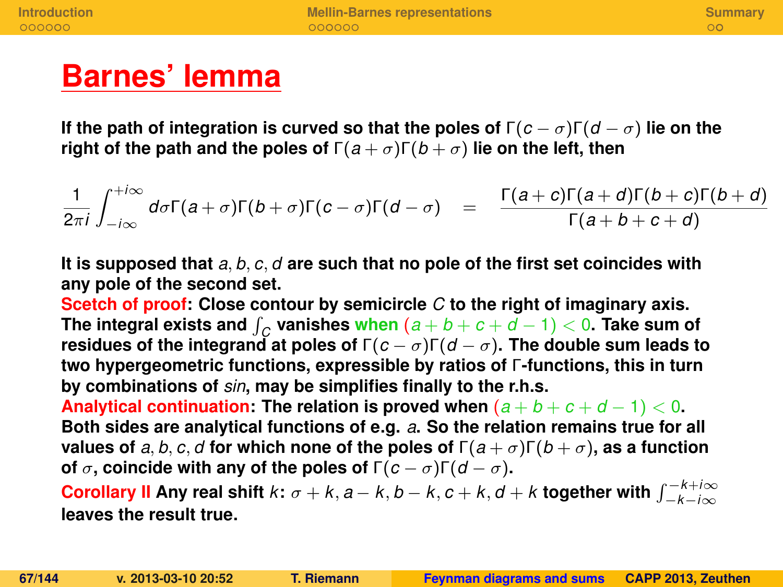## **Barnes' lemma**

**If the path of integration is curved so that the poles of**  $\Gamma(c - \sigma)\Gamma(d - \sigma)$  lie on the **right of the path and the poles of**  $\Gamma(a+\sigma)\Gamma(b+\sigma)$  lie on the left, then

$$
\frac{1}{2\pi i}\int_{-i\infty}^{+i\infty}d\sigma\Gamma(a+\sigma)\Gamma(b+\sigma)\Gamma(c-\sigma)\Gamma(d-\sigma) = \frac{\Gamma(a+c)\Gamma(a+d)\Gamma(b+c)\Gamma(b+d)}{\Gamma(a+b+c+d)}
$$

**It is supposed that** *a*, *b*, *c*, *d* **are such that no pole of the first set coincides with any pole of the second set.**

**Scetch of proof: Close contour by semicircle** *C* **to the right of imaginary axis.** <code>The integral exists and  $\int_C$  vanishes when  $(a+b+c+d-1) < 0$ . Take sum of  $\int_C$ </code> **residues of the integrand at poles of**  $\Gamma(c - \sigma)\Gamma(d - \sigma)$ . The double sum leads to **two hypergeometric functions, expressible by ratios of** Γ**-functions, this in turn by combinations of** *sin***, may be simplifies finally to the r.h.s.**

**Analytical continuation: The relation is proved when**  $(a + b + c + d - 1) < 0$ **. Both sides are analytical functions of e.g.** *a***. So the relation remains true for all values of** *a*, *b*, *c*, *d* for which none of the poles of  $\Gamma(a + \sigma)\Gamma(b + \sigma)$ , as a function **of**  $\sigma$ , coincide with any of the poles of  $\Gamma(c - \sigma)\Gamma(d - \sigma)$ .

 $\blacksquare$  Corollary II Any real shift  $k\colon \sigma + k, a - k, b - k, c + k, d + k$  together with  $\int_{-k - i\infty}^{-k + i\infty}$ **leaves the result true.**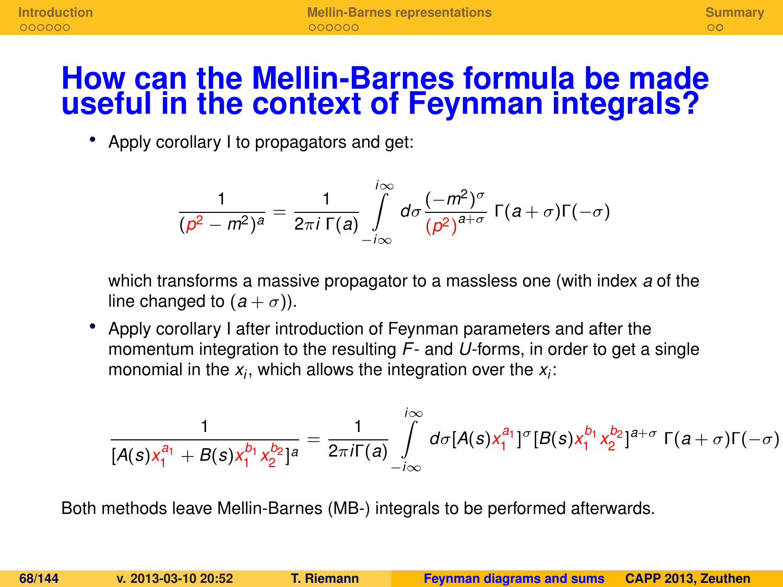## **How can the Mellin-Barnes formula be made useful in the context of Feynman integrals?**

• Apply corollary I to propagators and get:

$$
\frac{1}{(\rho^2-m^2)^a}=\frac{1}{2\pi i \Gamma(a)}\int\limits_{-i\infty}^{i\infty}d\sigma\frac{(-m^2)^{\sigma}}{(\rho^2)^{a+\sigma}}\Gamma(a+\sigma)\Gamma(-\sigma)
$$

which transforms a massive propagator to a massless one (with index *a* of the line changed to  $(a + \sigma)$ ).

• Apply corollary I after introduction of Feynman parameters and after the momentum integration to the resulting *F*- and *U*-forms, in order to get a single monomial in the *x<sup>i</sup>* , which allows the integration over the *x<sup>i</sup>* :

$$
\frac{1}{[A(s)x_1^{a_1}+B(s)x_1^{b_1}x_2^{b_2}]^a}=\frac{1}{2\pi i\Gamma(a)}\int\limits_{-i\infty}^{i\infty}d\sigma[A(s)x_1^{a_1}]^{\sigma}[B(s)x_1^{b_1}x_2^{b_2}]^{a+\sigma}\Gamma(a+\sigma)\Gamma(-\sigma)
$$

Both methods leave Mellin-Barnes (MB-) integrals to be performed afterwards.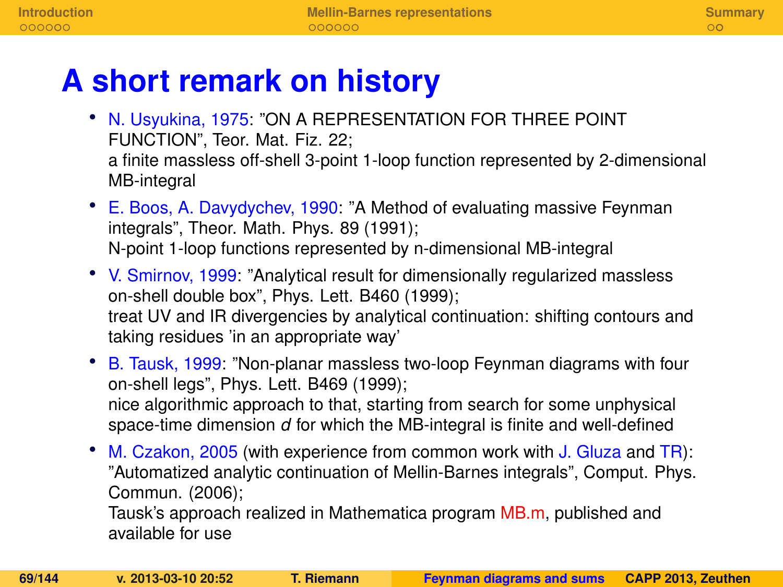## **A short remark on history**

- N. Usyukina, 1975: "ON A REPRESENTATION FOR THREE POINT FUNCTION", Teor. Mat. Fiz. 22; a finite massless off-shell 3-point 1-loop function represented by 2-dimensional MB-integral
- E. Boos, A. Davydychev, 1990: "A Method of evaluating massive Feynman integrals", Theor. Math. Phys. 89 (1991); N-point 1-loop functions represented by n-dimensional MB-integral
- V. Smirnov, 1999: "Analytical result for dimensionally regularized massless on-shell double box", Phys. Lett. B460 (1999); treat UV and IR divergencies by analytical continuation: shifting contours and taking residues 'in an appropriate way'
- B. Tausk, 1999: "Non-planar massless two-loop Feynman diagrams with four on-shell legs", Phys. Lett. B469 (1999); nice algorithmic approach to that, starting from search for some unphysical space-time dimension *d* for which the MB-integral is finite and well-defined
- M. Czakon, 2005 (with experience from common work with J. Gluza and TR): "Automatized analytic continuation of Mellin-Barnes integrals", Comput. Phys. Commun. (2006);

Tausk's approach realized in Mathematica program MB.m, published and available for use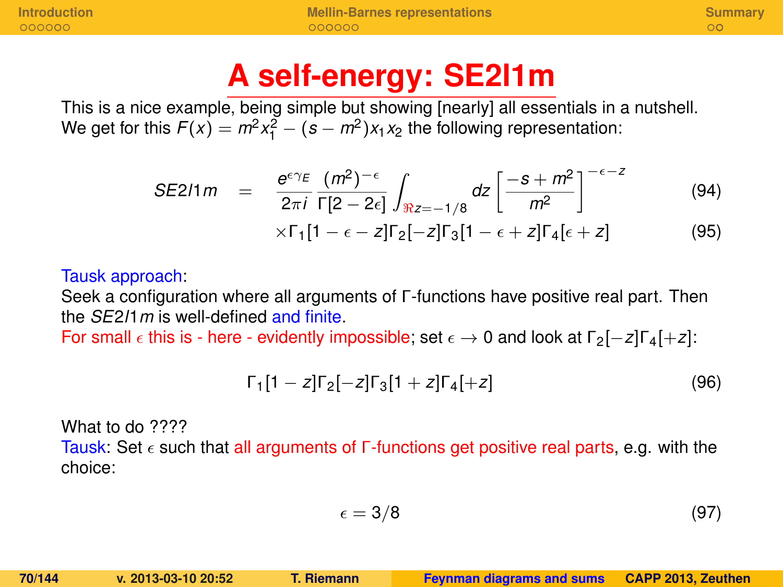## **A self-energy: SE2l1m**

This is a nice example, being simple but showing [nearly] all essentials in a nutshell. We get for this  $F(x) = m^2x_1^2 - (s - m^2)x_1x_2$  the following representation:

$$
SE211 m = \frac{e^{\epsilon \gamma_E} (m^2)^{-\epsilon}}{2\pi i} \int_{\Re z = -1/8} dz \left[ \frac{-s + m^2}{m^2} \right]^{-\epsilon - z}
$$
(94)

$$
\times \Gamma_1[1-\epsilon-z] \Gamma_2[-z] \Gamma_3[1-\epsilon+z] \Gamma_4[\epsilon+z]
$$
 (95)

#### Tausk approach:

Seek a configuration where all arguments of Γ-functions have positive real part. Then the *SE*2*l*1*m* is well-defined and finite.

For small  $\epsilon$  this is - here - evidently impossible; set  $\epsilon \to 0$  and look at  $\lceil 2[-z]\rceil \cdot 4[+z]$ :

$$
\Gamma_1[1-z]\Gamma_2[-z]\Gamma_3[1+z]\Gamma_4[+z] \tag{96}
$$

What to do ????

Tausk: Set  $\epsilon$  such that all arguments of Γ-functions get positive real parts, e.g. with the choice:

$$
\epsilon = 3/8 \tag{97}
$$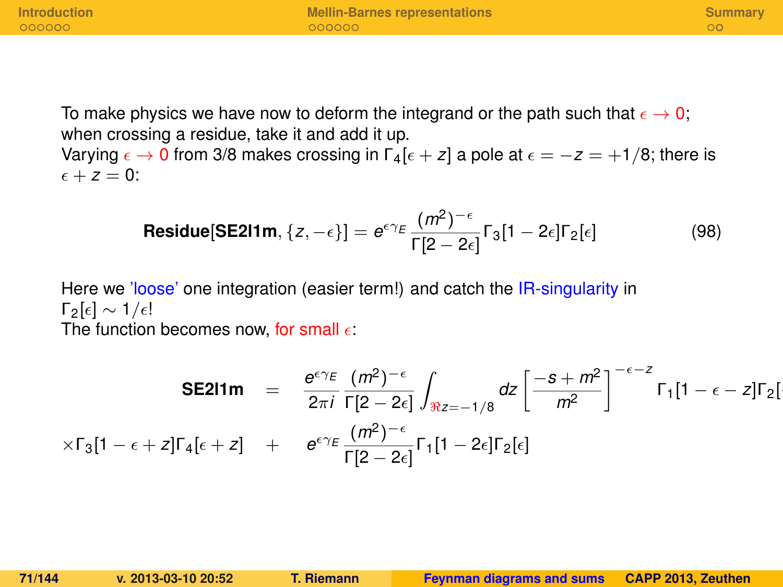**[Introduction](#page-124-0) [Mellin-Barnes representations](#page-131-0) [Summary](#page-138-0)**

To make physics we have now to deform the integrand or the path such that  $\epsilon \to 0$ ; when crossing a residue, take it and add it up.

Varying  $\epsilon \to 0$  from 3/8 makes crossing in  $\lceil 4\epsilon + z \rceil$  a pole at  $\epsilon = -z = +1/8$ ; there is  $\epsilon + z = 0$ :

$$
\text{Residue}[\text{SE211m}, \{z, -\epsilon\}] = e^{\epsilon \gamma_E} \frac{(m^2)^{-\epsilon}}{\Gamma[2 - 2\epsilon]} \Gamma_3[1 - 2\epsilon] \Gamma_2[\epsilon]
$$
(98)

Here we 'loose' one integration (easier term!) and catch the IR-singularity in  $\lceil \frac{\epsilon}{2} \rceil$   $\sim 1/\epsilon!$ The function becomes now, for small  $\epsilon$ :

$$
\text{SE211m} = \frac{e^{\epsilon \gamma_E} (m^2)^{-\epsilon}}{2\pi i} \int_{\Re z = -1/8} dz \left[ \frac{-s + m^2}{m^2} \right]^{-\epsilon - z} \Gamma_1 [1 - \epsilon - z] \Gamma_2 [
$$
  
 
$$
\times \Gamma_3 [1 - \epsilon + z] \Gamma_4 [\epsilon + z] + e^{\epsilon \gamma_E} \frac{(m^2)^{-\epsilon}}{\Gamma[2 - 2\epsilon]} \Gamma_1 [1 - 2\epsilon] \Gamma_2 [\epsilon]
$$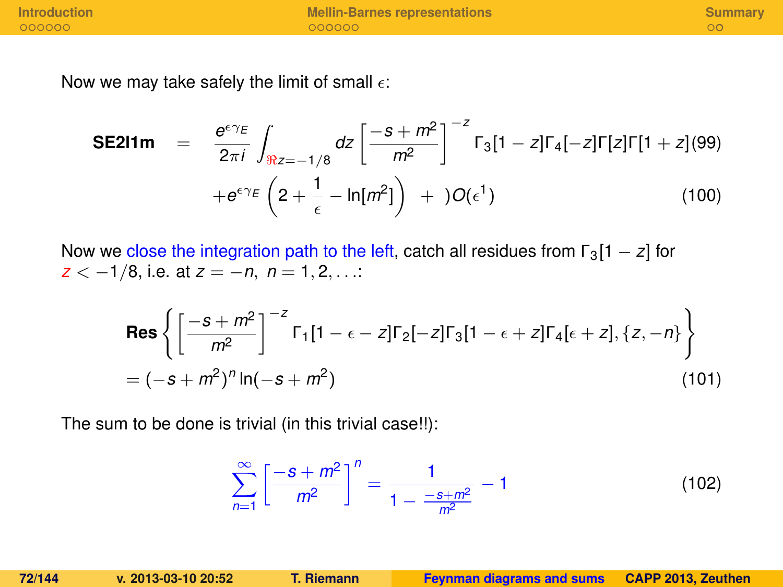Now we may take safely the limit of small  $\epsilon$ :

**SE211m** = 
$$
\frac{e^{\epsilon \gamma_E}}{2\pi i} \int_{\Re z = -1/8} dz \left[ \frac{-s + m^2}{m^2} \right]^{-z} \Gamma_3[1 - z] \Gamma_4[-z] \Gamma[z] \Gamma[1 + z] (99) + e^{\epsilon \gamma_E} \left( 2 + \frac{1}{\epsilon} - \ln[m^2] \right) + O(\epsilon^1)
$$
(100)

Now we close the integration path to the left, catch all residues from  $\Gamma_3[1-z]$  for *z* < −1/8, i.e. at *z* = −*n*, *n* = 1, 2, . . .:

$$
\text{Res}\left\{ \left[ \frac{-s + m^2}{m^2} \right]^{-z} \Gamma_1 [1 - \epsilon - z] \Gamma_2 [-z] \Gamma_3 [1 - \epsilon + z] \Gamma_4 [\epsilon + z], \{z, -n\} \right\}
$$
  
=  $(-s + m^2)^n \ln(-s + m^2)$  (101)

The sum to be done is trivial (in this trivial case!!):

$$
\sum_{n=1}^{\infty} \left[ \frac{-s+m^2}{m^2} \right]^n = \frac{1}{1 - \frac{-s+m^2}{m^2}} - 1
$$
 (102)

**72/144 v. 2013-03-10 20:52 T. Riemann [Feynman diagrams and sums](#page-0-0) CAPP 2013, Zeuthen**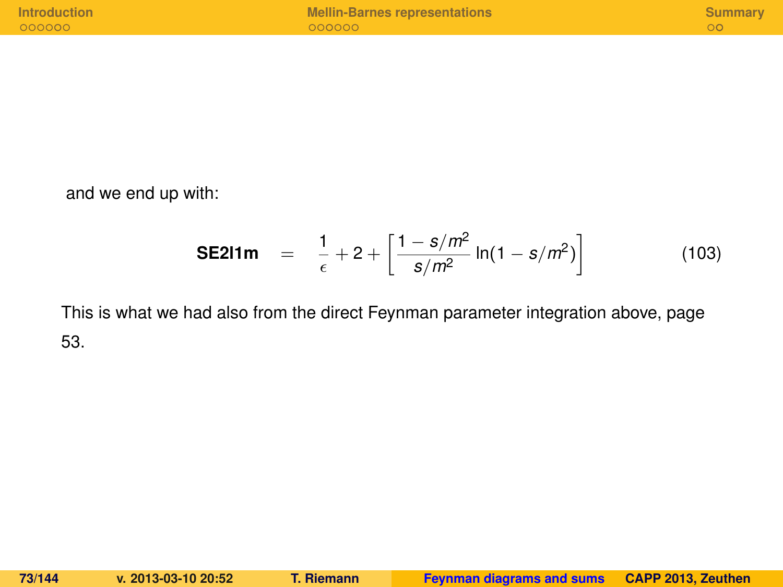and we end up with:

**SE211m** = 
$$
\frac{1}{\epsilon} + 2 + \left[ \frac{1 - s/m^2}{s/m^2} \ln(1 - s/m^2) \right]
$$
 (103)

This is what we had also from the direct Feynman parameter integration above, page 53.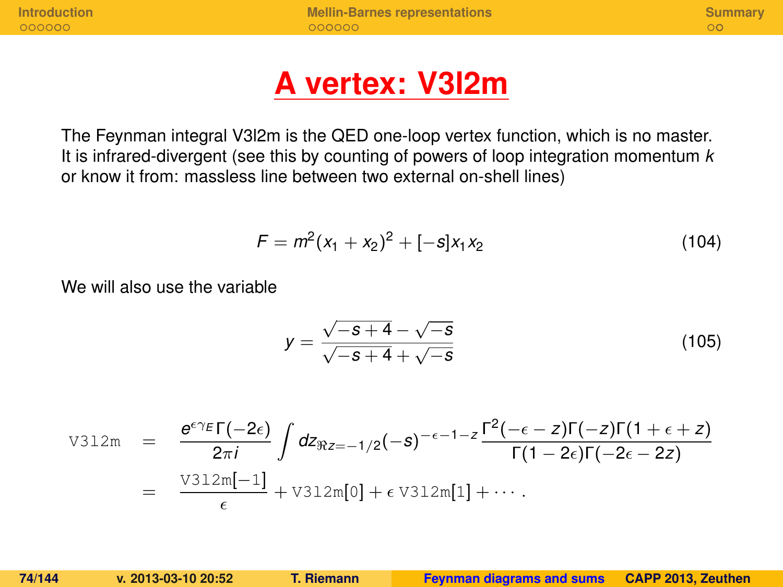**[Introduction](#page-124-0) [Mellin-Barnes representations](#page-131-0) [Summary](#page-138-0)**

## **A vertex: V3l2m**

The Feynman integral V3l2m is the QED one-loop vertex function, which is no master. It is infrared-divergent (see this by counting of powers of loop integration momentum *k* or know it from: massless line between two external on-shell lines)

$$
F = m^2(x_1 + x_2)^2 + [-s]x_1x_2 \tag{104}
$$

We will also use the variable

$$
y = \frac{\sqrt{-s+4} - \sqrt{-s}}{\sqrt{-s+4} + \sqrt{-s}}
$$
(105)

$$
\begin{array}{rcl}\n\text{V312m} &=& \frac{\theta^{\epsilon\gamma}\varepsilon\Gamma(-2\epsilon)}{2\pi i} \int dz_{\Re z=-1/2}(-s)^{-\epsilon-1-z} \frac{\Gamma^2(-\epsilon-z)\Gamma(-z)\Gamma(1+\epsilon+z)}{\Gamma(1-2\epsilon)\Gamma(-2\epsilon-2z)} \\
&=& \frac{\text{V312m}[-1]}{\epsilon} + \text{V312m}[0] + \epsilon \text{V312m}[1] + \cdots.\n\end{array}
$$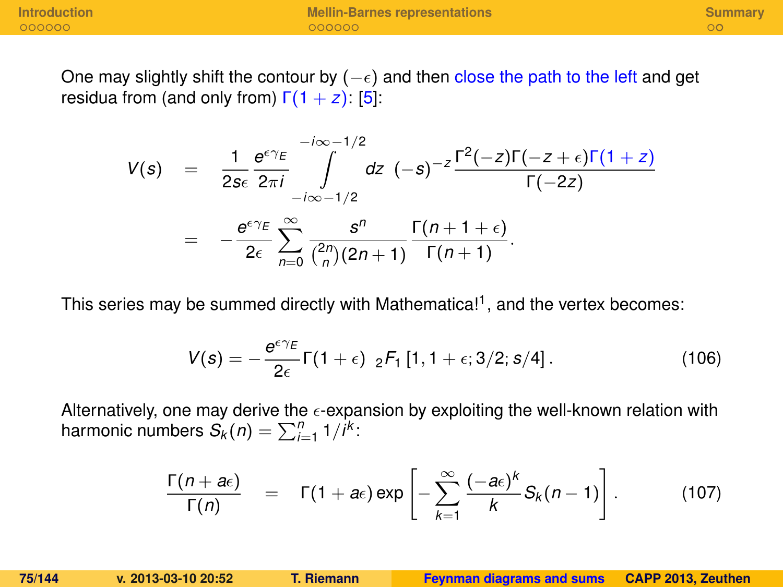One may slightly shift the contour by  $(-\epsilon)$  and then close the path to the left and get residua from (and only from)  $Γ(1 + z)$ : [\[5\]](#page-139-0):

$$
V(s) = \frac{1}{2s\epsilon} \frac{e^{\epsilon\gamma_E}}{2\pi i} \int_{-i\infty-1/2}^{-i\infty-1/2} dz \quad (-s)^{-z} \frac{\Gamma^2(-z)\Gamma(-z+\epsilon)\Gamma(1+z)}{\Gamma(-2z)}
$$
  
= 
$$
-\frac{e^{\epsilon\gamma_E}}{2\epsilon} \sum_{n=0}^{\infty} \frac{s^n}{\binom{2n}{n}(2n+1)} \frac{\Gamma(n+1+\epsilon)}{\Gamma(n+1)}.
$$

This series may be summed directly with Mathematica!<sup>1</sup>, and the vertex becomes:

$$
V(s) = -\frac{e^{\epsilon \gamma_E}}{2\epsilon} \Gamma(1+\epsilon) \, \, _2F_1 \left[1, 1+\epsilon; 3/2; s/4\right]. \tag{106}
$$

Alternatively, one may derive the  $\epsilon$ -expansion by exploiting the well-known relation with harmonic numbers  $S_k(n) = \sum_{i=1}^n 1/i^k$ :

$$
\frac{\Gamma(n+a\epsilon)}{\Gamma(n)} = \Gamma(1+a\epsilon) \exp\left[-\sum_{k=1}^{\infty} \frac{(-a\epsilon)^k}{k} S_k(n-1)\right].
$$
 (107)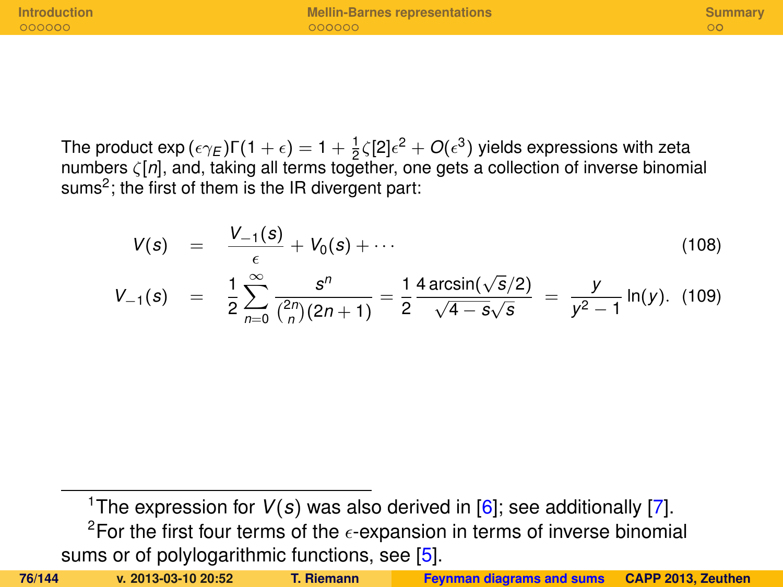**[Introduction](#page-124-0) [Mellin-Barnes representations](#page-131-0) [Summary](#page-138-0)**

The product exp ( $\epsilon\gamma_E$ )Γ(1 +  $\epsilon) = 1 + \frac{1}{2}$ ζ[2] $\epsilon^2 + O(\epsilon^3)$  yields expressions with zeta numbers ζ[*n*], and, taking all terms together, one gets a collection of inverse binomial sums<sup>2</sup>; the first of them is the IR divergent part:

$$
V(s) = \frac{V_{-1}(s)}{\epsilon} + V_0(s) + \cdots
$$
 (108)

$$
V_{-1}(s) = \frac{1}{2} \sum_{n=0}^{\infty} \frac{s^n}{\binom{2n}{n}(2n+1)} = \frac{1}{2} \frac{4 \arcsin(\sqrt{s}/2)}{\sqrt{4-s}\sqrt{s}} = \frac{y}{y^2-1} \ln(y). \tag{109}
$$

<sup>1</sup>The expression for  $V(s)$  was also derived in [\[6\]](#page-139-1); see additionally [\[7\]](#page-139-2). <sup>2</sup>For the first four terms of the  $\epsilon$ -expansion in terms of inverse binomial sums or of polylogarithmic functions, see [\[5\]](#page-139-0).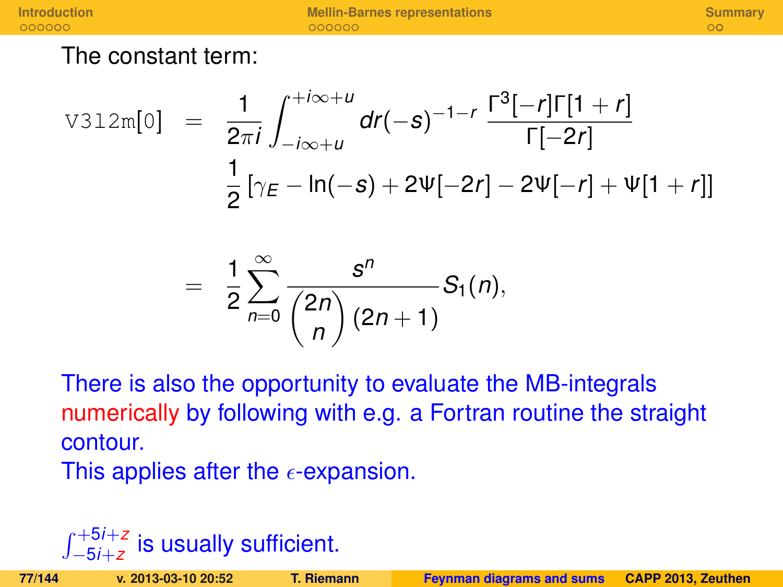**[Introduction](#page-124-0) <b>[Mellin-Barnes representations](#page-131-0) [Summary](#page-138-0)**<br> **Alternative Cooperations COOPER COOPER COOPER COOPER COOPER COOPER COOPER COOPER COOPER COOPER** 

The constant term:

$$
\text{V312m[0]} = \frac{1}{2\pi i} \int_{-i\infty + u}^{+i\infty + u} dr(-s)^{-1-r} \frac{\Gamma^3[-r]\Gamma[1+r]}{\Gamma[-2r]}
$$

$$
\frac{1}{2} [\gamma_E - \ln(-s) + 2\Psi[-2r] - 2\Psi[-r] + \Psi[1+r]]
$$

$$
= \frac{1}{2}\sum_{n=0}^{\infty}\frac{s^n}{\binom{2n}{n}(2n+1)}S_1(n),
$$

There is also the opportunity to evaluate the MB-integrals numerically by following with e.g. a Fortran routine the straight contour.

This applies after the  $\epsilon$ -expansion.

## R <sup>+</sup>5*i*+*<sup>z</sup>* −5*i*+*z* is usually sufficient.

| 77/144<br>v. 2013-03-10 20:5 |  |  |  |  |
|------------------------------|--|--|--|--|
|------------------------------|--|--|--|--|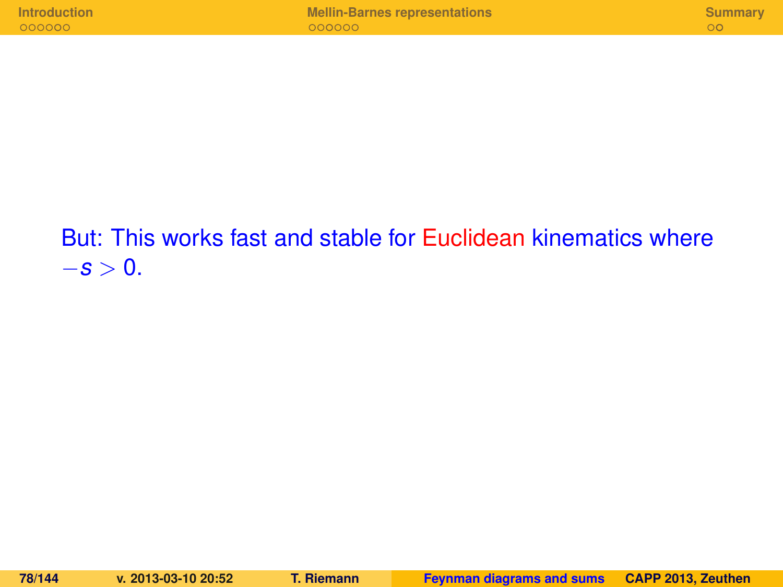## But: This works fast and stable for Euclidean kinematics where  $-$ *s* > 0.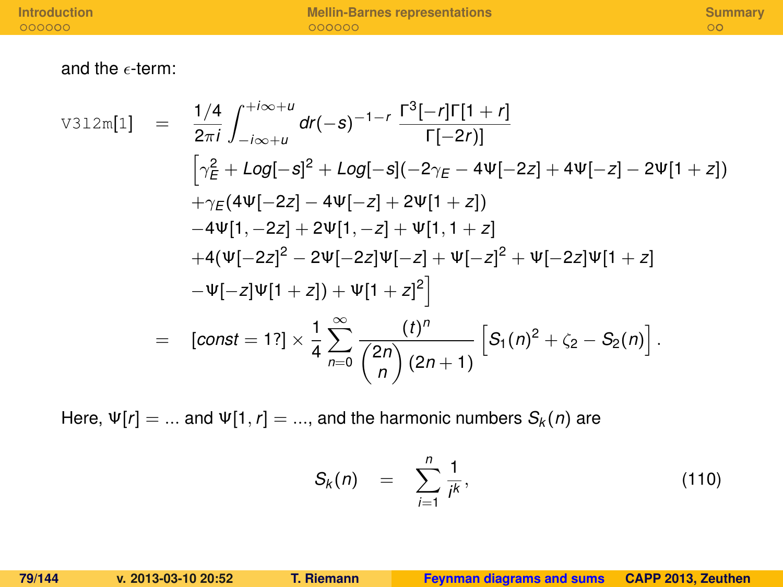and the  $\epsilon$ -term:

$$
\text{V312m[1]} = \frac{1/4}{2\pi i} \int_{-i\infty+u}^{+i\infty+u} d\mathbf{r}(-s)^{-1-\mathbf{r}} \frac{\Gamma^3[-\mathbf{r}]\Gamma[1+\mathbf{r}]}{\Gamma[-2\mathbf{r}]}
$$
\n
$$
[\gamma_E^2 + \text{Log}[-s]^2 + \text{Log}[-s](-2\gamma_E - 4\Psi[-2z] + 4\Psi[-z] - 2\Psi[1+z])
$$
\n
$$
+\gamma_E(4\Psi[-2z] - 4\Psi[-z] + 2\Psi[1+z])
$$
\n
$$
-4\Psi[1, -2z] + 2\Psi[1, -z] + \Psi[1, 1+z]
$$
\n
$$
+4(\Psi[-2z]^2 - 2\Psi[-2z]\Psi[-z] + \Psi[-2z]\Psi[1+z]
$$
\n
$$
-\Psi[-z]\Psi[1+z]) + \Psi[1+z]^2
$$
\n
$$
= [\text{const} = 1?\times \frac{1}{4} \sum_{n=0}^{\infty} \frac{(\mathbf{t})^n}{\binom{2n}{n} (2n+1)} \left[ S_1(n)^2 + \zeta_2 - S_2(n) \right].
$$

Here,  $\Psi[r] = ...$  and  $\Psi[1, r] = ...$ , and the harmonic numbers  $S_k(n)$  are

$$
S_k(n) = \sum_{i=1}^n \frac{1}{i^k}, \qquad (110)
$$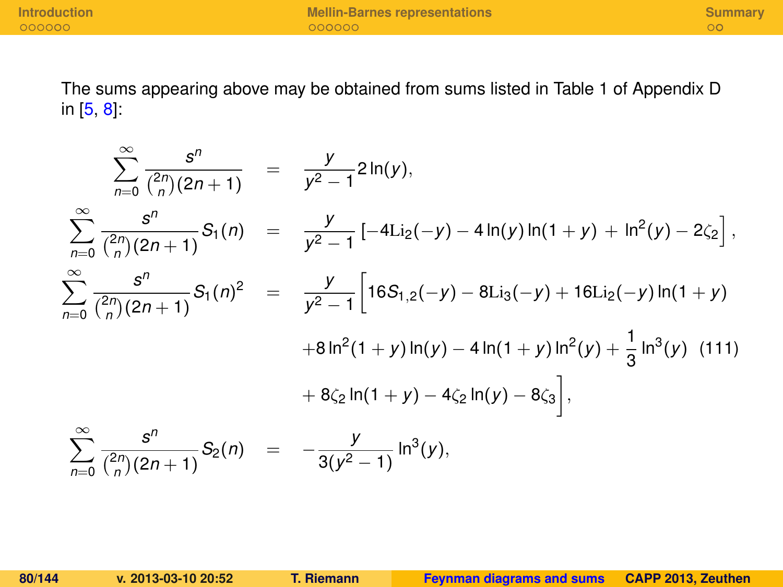The sums appearing above may be obtained from sums listed in Table 1 of Appendix D in [\[5,](#page-139-0) [8\]](#page-140-0):

$$
\sum_{n=0}^{\infty} \frac{s^n}{\binom{2n}{n}(2n+1)} = \frac{y}{y^2-1} 2\ln(y),
$$
\n
$$
\sum_{n=0}^{\infty} \frac{s^n}{\binom{2n}{n}(2n+1)} S_1(n) = \frac{y}{y^2-1} [-4\text{Li}_2(-y) - 4\ln(y)\ln(1+y) + \ln^2(y) - 2\zeta_2],
$$
\n
$$
\sum_{n=0}^{\infty} \frac{s^n}{\binom{2n}{n}(2n+1)} S_1(n)^2 = \frac{y}{y^2-1} \left[ 16S_{1,2}(-y) - 8\text{Li}_3(-y) + 16\text{Li}_2(-y)\ln(1+y) + 8\ln^2(1+y)\ln(y) - 4\ln(1+y)\ln^2(y) + \frac{1}{3}\ln^3(y) \tag{111}
$$
\n
$$
+ 8\zeta_2 \ln(1+y) - 4\zeta_2 \ln(y) - 8\zeta_3 \right],
$$
\n
$$
\sum_{n=0}^{\infty} \frac{s^n}{\binom{2n}{n}(2n+1)} S_2(n) = -\frac{y}{3(y^2-1)} \ln^3(y),
$$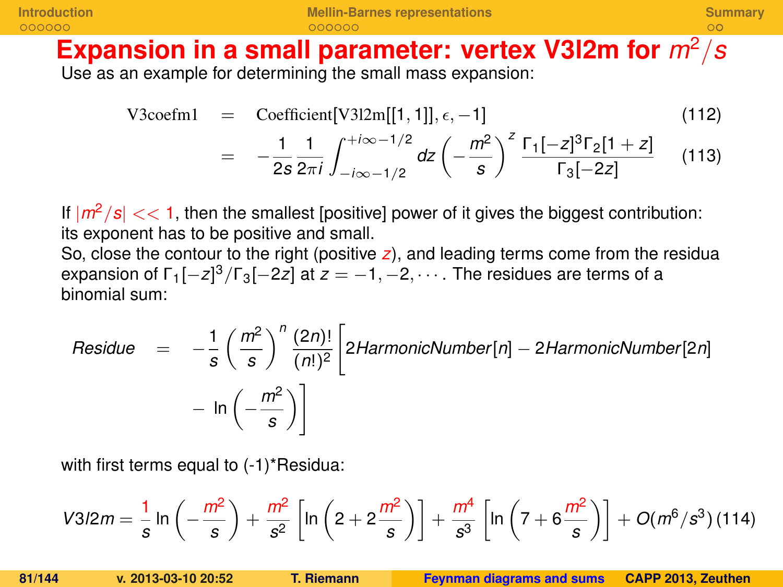**[Introduction](#page-124-0) [Mellin-Barnes representations](#page-131-0) [Summary](#page-138-0)**

### Expansion in a small parameter: vertex V3I2m for  $m^2/s$ Use as an example for determining the small mass expansion:

V3coefm1 = Coefficient[V312m[[1, 1]], 
$$
\epsilon
$$
, -1] (112)  
=  $-\frac{1}{2s} \frac{1}{2\pi i} \int_{-i\infty -1/2}^{+i\infty -1/2} dz \left(-\frac{m^2}{s}\right)^2 \frac{\Gamma_1[-z]^3 \Gamma_2[1+z]}{\Gamma_3[-2z]}$  (113)

If  $|m^2/s| << 1$ , then the smallest [positive] power of it gives the biggest contribution: its exponent has to be positive and small.

So, close the contour to the right (positive *z*), and leading terms come from the residua expansion of  $\Gamma_1[-z]^3/\Gamma_3[-2z]$  at  $z=-1,-2,\cdots$  . The residues are terms of a binomial sum:

Residue 
$$
= -\frac{1}{s} \left( \frac{m^2}{s} \right)^n \frac{(2n)!}{(n!)^2} \left[ 2HarmonicNumber[n] - 2HarmonicNumber[2n] - ln \left( -\frac{m^2}{s} \right) \right]
$$

with first terms equal to  $(-1)^*$ Residua:

$$
V3/2m = \frac{1}{s} \ln \left(-\frac{m^2}{s}\right) + \frac{m^2}{s^2} \left[ \ln \left(2 + 2\frac{m^2}{s}\right) \right] + \frac{m^4}{s^3} \left[ \ln \left(7 + 6\frac{m^2}{s}\right) \right] + O(m^6/s^3) \, (114)
$$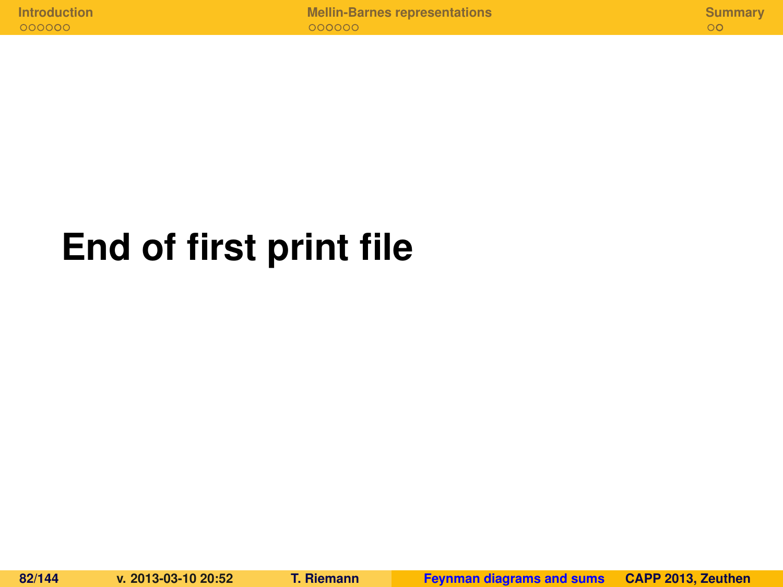# **End of first print file**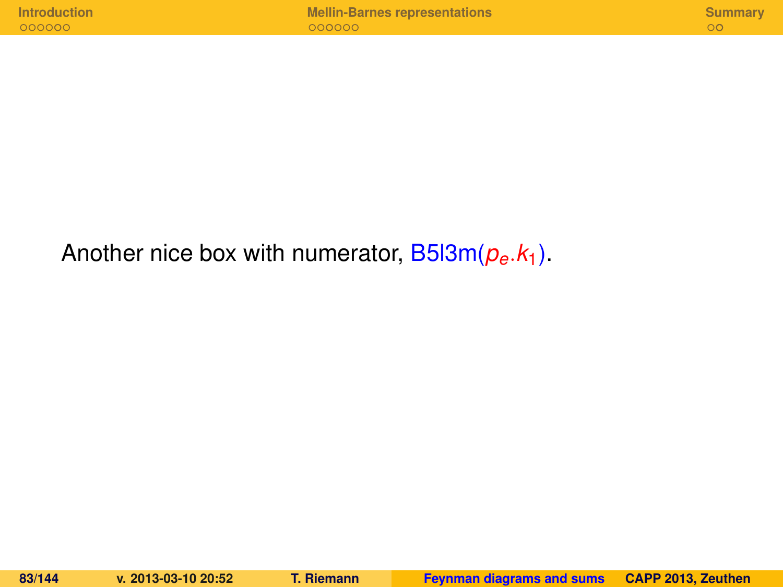Another nice box with numerator, B5l3m(*pe*.*k*1).

**83/144 v. 2013-03-10 20:52 T. Riemann [Feynman diagrams and sums](#page-0-0) CAPP 2013, Zeuthen**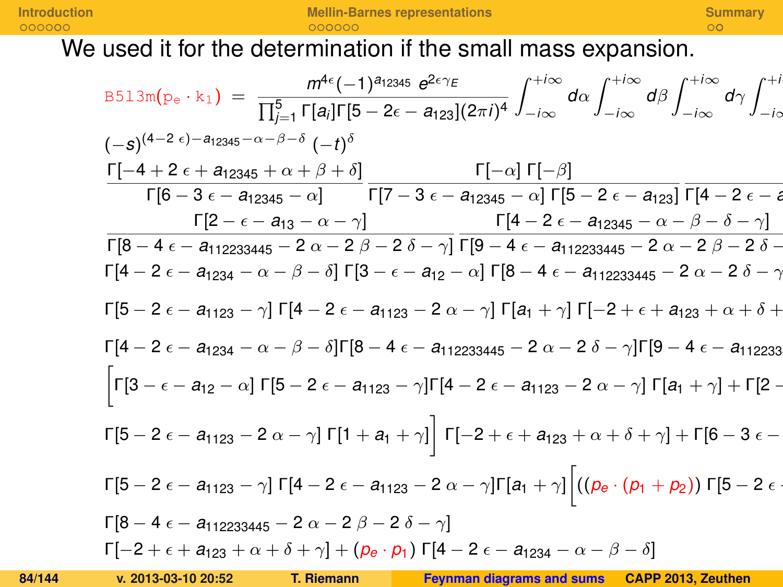We used it for the determination if the small mass expansion.

$$
B513m(p_e \cdot k_1) = \frac{m^{4\epsilon}(-1)^{a_{12345} \cdot \alpha^2 \cdot \beta^2 \cdot \beta^2}}{\prod_{j=1}^5 \Gamma[a_j] \Gamma[5 - 2\epsilon - a_{123}] (2\pi i)^4} \int_{-i\infty}^{+i\infty} d\alpha \int_{-i\infty}^{+i\infty} d\beta \int_{-i\infty}^{+i\infty} d\gamma \int_{-i\infty}^{+i\infty} d\gamma \int_{-i\infty}^{+i\infty} d\gamma \int_{-i\infty}^{+i\infty} d\gamma \int_{-i\infty}^{+i\infty} d\gamma \int_{-i\infty}^{+i\infty} d\gamma \int_{-i\infty}^{+i\infty} d\gamma \int_{-i\infty}^{+i\infty} d\gamma \int_{-i\infty}^{+i\infty} d\gamma \int_{-i\infty}^{+i\infty} d\gamma \int_{-i\infty}^{+i\infty} d\gamma \int_{-i\infty}^{+i\infty} d\gamma \int_{-i\infty}^{+i\infty} d\gamma \int_{-i\infty}^{+i\infty} d\gamma \int_{-i\infty}^{+i\infty} d\gamma \int_{-i\infty}^{+i\infty} d\gamma \int_{-i\infty}^{+i\infty} d\gamma \int_{-i\infty}^{+i\infty} d\gamma \int_{-i\infty}^{+i\infty} d\gamma \int_{-i\infty}^{+i\infty} d\gamma \int_{-i\infty}^{+i\infty} d\gamma \int_{-i\infty}^{+i\infty} d\gamma \int_{-i\infty}^{+i\infty} d\gamma \int_{-i\infty}^{+i\infty} d\gamma \int_{-i\infty}^{+i\infty} d\gamma \int_{-i\infty}^{+i\infty} d\gamma \int_{-i\infty}^{+i\infty} d\gamma \int_{-i\infty}^{+i\infty} d\gamma \int_{-i\infty}^{+i\infty} d\gamma \int_{-i\infty}^{+i\infty} d\gamma \int_{-i\infty}^{+i\infty} d\gamma \int_{-i\infty}^{+i\infty} d\gamma \int_{-i\infty}^{+i\infty} d\gamma \int
$$

<u>**1** *a***<sub>113</sub> (2013-10** *z***0.32 = 2 β + 1. επαιτισμίου του του του αποτελεί του από του από του από του αποτελεί του </u></u>**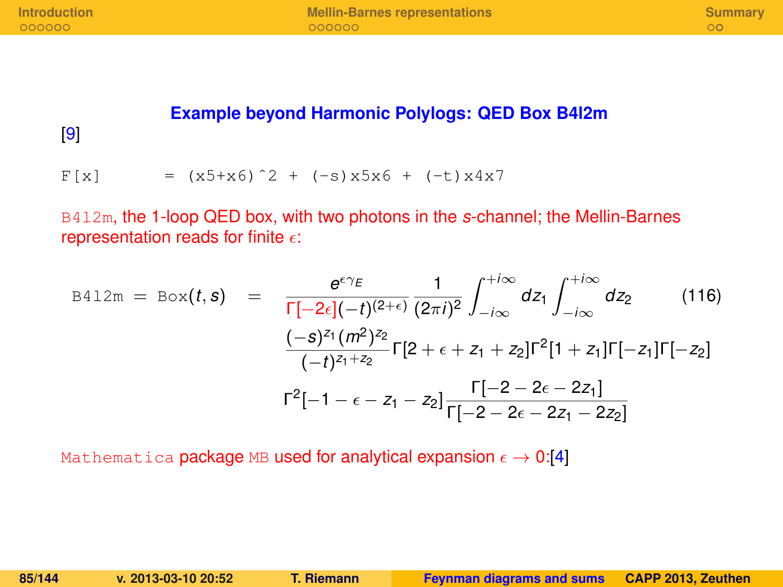#### **Example beyond Harmonic Polylogs: QED Box B4l2m**

[\[9\]](#page-140-1)

 $F[x]$  =  $(x5+x6)^2 + (-s)x5x6 + (-t)x4x7$ 

B4l2m, the 1-loop QED box, with two photons in the *s*-channel; the Mellin-Barnes representation reads for finite  $\epsilon$ :

$$
B412m = Box(t, s) = \frac{e^{\epsilon \gamma_E}}{\Gamma[-2\epsilon](-t)^{(2+\epsilon)}} \frac{1}{(2\pi i)^2} \int_{-i\infty}^{+i\infty} dz_1 \int_{-i\infty}^{+i\infty} dz_2 \qquad (116)
$$

$$
\frac{(-s)^{z_1} (m^2)^{z_2}}{(-t)^{z_1+z_2}} \Gamma[2 + \epsilon + z_1 + z_2] \Gamma^2[1 + z_1] \Gamma[-z_1] \Gamma[-z_2]
$$

$$
\Gamma^2[-1 - \epsilon - z_1 - z_2] \frac{\Gamma[-2 - 2\epsilon - 2z_1]}{\Gamma[-2 - 2\epsilon - 2z_1 - 2z_2]}
$$

Mathematica package MB used for analytical expansion  $\epsilon \to 0.14$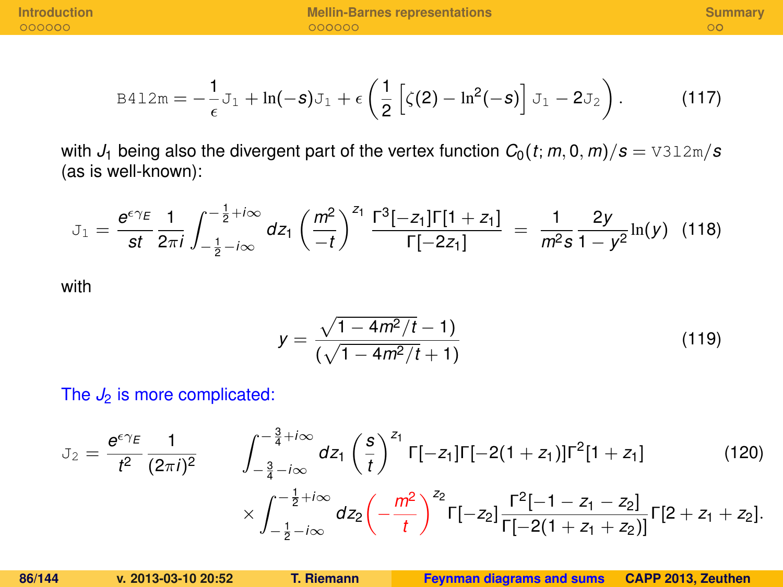$$
\text{B412m} = -\frac{1}{\epsilon} \mathbf{J}_1 + \ln(-\mathbf{S}) \mathbf{J}_1 + \epsilon \left( \frac{1}{2} \left[ \zeta(2) - \ln^2(-\mathbf{S}) \right] \mathbf{J}_1 - 2 \mathbf{J}_2 \right). \tag{117}
$$

with  $J_1$  being also the divergent part of the vertex function  $C_0(t; m, 0, m)/s = \text{V312m/s}$ (as is well-known):

$$
J_1 = \frac{e^{\epsilon \gamma_E}}{st} \frac{1}{2\pi i} \int_{-\frac{1}{2} - i\infty}^{-\frac{1}{2} + i\infty} dz_1 \left(\frac{m^2}{-t}\right)^{z_1} \frac{\Gamma^3[-z_1] \Gamma[1+z_1]}{\Gamma[-2z_1]} = \frac{1}{m^2 s} \frac{2y}{1 - y^2} \ln(y) \tag{118}
$$

with

$$
y = \frac{\sqrt{1 - 4m^2/t} - 1}{(\sqrt{1 - 4m^2/t} + 1)}
$$
\n(119)

The  $J_2$  is more complicated:

$$
J_2 = \frac{e^{\epsilon \gamma_E}}{t^2} \frac{1}{(2\pi i)^2} \qquad \int_{-\frac{3}{4} - i\infty}^{-\frac{3}{4} + i\infty} dz_1 \left(\frac{s}{t}\right)^{z_1} \Gamma[-z_1] \Gamma[-2(1+z_1)] \Gamma^2[1+z_1] \qquad (120)
$$

$$
\times \int_{-\frac{1}{2} - i\infty}^{-\frac{1}{2} + i\infty} dz_2 \left(-\frac{m^2}{t}\right)^{z_2} \Gamma[-z_2] \frac{\Gamma^2[-1-z_1-z_2]}{\Gamma[-2(1+z_1+z_2)]} \Gamma[2+z_1+z_2].
$$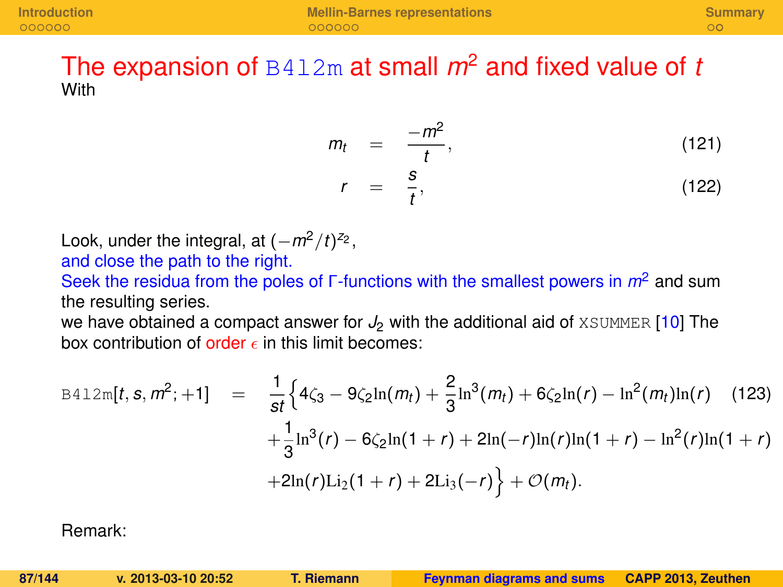### The expansion of  $B412m$  at small  $m^2$  and fixed value of *t* **With**

$$
m_t = \frac{-m^2}{t}, \qquad (121)
$$
  

$$
r = \frac{s}{t}, \qquad (122)
$$

Look, under the integral, at  $(-m^2/t)^{z_2}$ , and close the path to the right.

Seek the residua from the poles of Γ-functions with the smallest powers in *m*<sup>2</sup> and sum the resulting series.

*t*

we have obtained a compact answer for  $J_2$  with the additional aid of XSUMMER [\[10\]](#page-140-2) The box contribution of order  $\epsilon$  in this limit becomes:

$$
B412m[t, s, m^{2}; +1] = \frac{1}{st} \Big\{ 4\zeta_{3} - 9\zeta_{2} \ln(m_{t}) + \frac{2}{3} \ln^{3}(m_{t}) + 6\zeta_{2} \ln(r) - \ln^{2}(m_{t})\ln(r) \quad (123)
$$

$$
+ \frac{1}{3} \ln^{3}(r) - 6\zeta_{2} \ln(1+r) + 2\ln(-r)\ln(r)\ln(1+r) - \ln^{2}(r)\ln(1+r)
$$

$$
+ 2\ln(r)\text{Li}_{2}(1+r) + 2\text{Li}_{3}(-r) \Big\} + \mathcal{O}(m_{t}).
$$

Remark: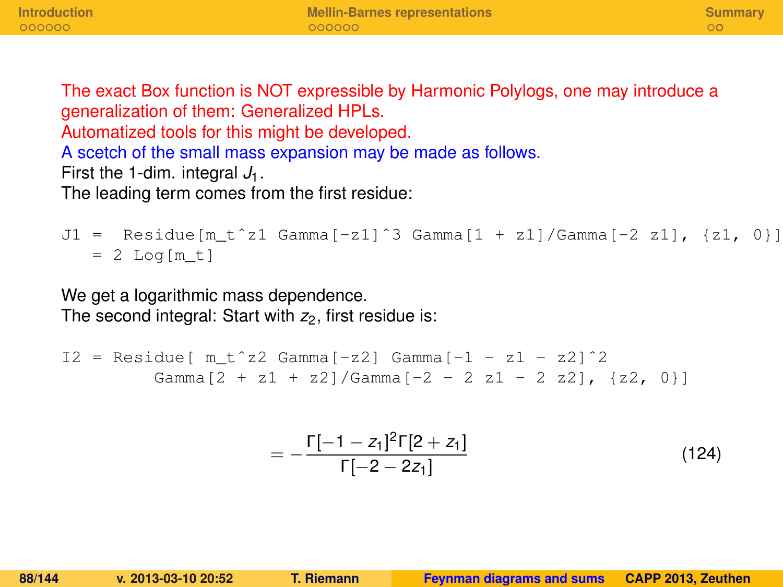The exact Box function is NOT expressible by Harmonic Polylogs, one may introduce a generalization of them: Generalized HPLs. Automatized tools for this might be developed. A scetch of the small mass expansion may be made as follows. First the 1-dim. integral  $J_1$ . The leading term comes from the first residue:

J1 = Residue[m t^z1 Gamma[-z1]^3 Gamma[1 + z1]/Gamma[-2 z1], {z1, 0}]  $= 2$  Log[m t]

We get a logarithmic mass dependence. The second integral: Start with  $z_2$ , first residue is:

```
I2 = Residue[ m_t^2 2 Gamma[-z2] Gamma[-1 - z1 - z2] ^2]Gamma[2 + z1 + z2]/Gamma[-2 - 2 z1 - 2 z2], [z2, 0]
```

$$
=-\frac{\Gamma[-1-z_1]^2\Gamma[2+z_1]}{\Gamma[-2-2z_1]}
$$
\n(124)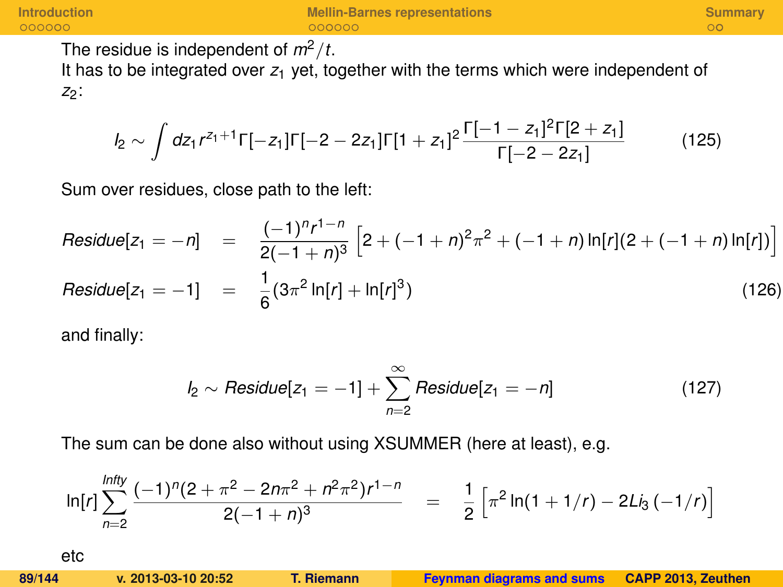The residue is independent of  $m^2/t$ .

It has to be integrated over  $z_1$  yet, together with the terms which were independent of *z*<sub>2</sub>:

$$
I_2 \sim \int dz_1 r^{z_1+1} \Gamma[-z_1] \Gamma[-2-2z_1] \Gamma[1+z_1]^2 \frac{\Gamma[-1-z_1]^2 \Gamma[2+z_1]}{\Gamma[-2-2z_1]}
$$
(125)

Sum over residues, close path to the left:

Residue
$$
[z_1 = -n]
$$
 =  $\frac{(-1)^n r^{1-n}}{2(-1+n)^3} \left[ 2 + (-1+n)^2 \pi^2 + (-1+n) \ln[r] (2 + (-1+n) \ln[r]) \right]$ 

$$
Residue[z_1 = -1] = \frac{1}{6}(3\pi^2 \ln[r] + \ln[r]^3)
$$
\n(126)

and finally:

$$
I_2 \sim Residue[z_1 = -1] + \sum_{n=2}^{\infty} Residue[z_1 = -n]
$$
 (127)

The sum can be done also without using XSUMMER (here at least), e.g.

$$
\ln[r] \sum_{n=2}^{\text{Infly}} \frac{(-1)^n (2 + \pi^2 - 2n\pi^2 + n^2\pi^2) r^{1-n}}{2(-1+n)^3} = \frac{1}{2} \left[ \pi^2 \ln(1 + 1/r) - 2\text{Li}_3(-1/r) \right]
$$
  
etc  
89/144  
x. 2013-03-10 20:52  
T. Riemann  
Feynman diagrams and sums  
CAP 2013, Zeuthen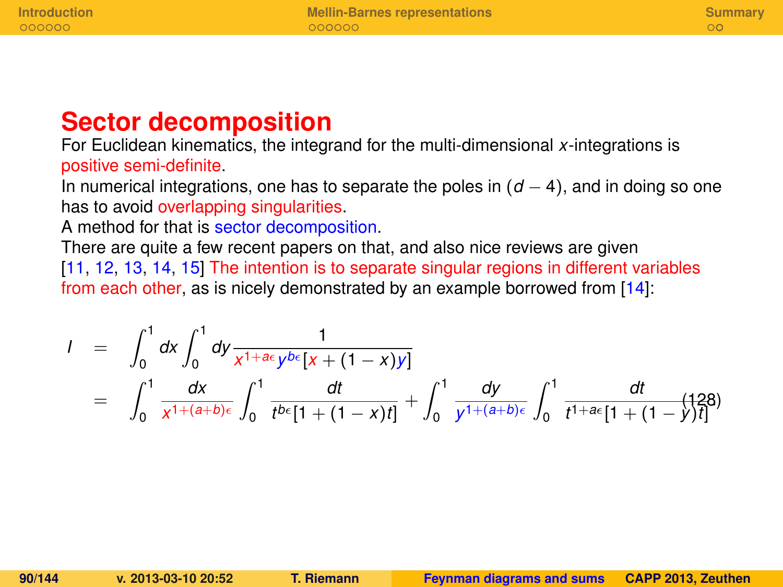### **Sector decomposition**

For Euclidean kinematics, the integrand for the multi-dimensional *x*-integrations is positive semi-definite.

In numerical integrations, one has to separate the poles in (*d* − 4), and in doing so one has to avoid overlapping singularities.

A method for that is sector decomposition.

There are quite a few recent papers on that, and also nice reviews are given [\[11,](#page-140-3) [12,](#page-140-4) [13,](#page-140-5) [14,](#page-140-6) [15\]](#page-141-0) The intention is to separate singular regions in different variables from each other, as is nicely demonstrated by an example borrowed from [\[14\]](#page-140-6):

$$
I = \int_0^1 dx \int_0^1 dy \frac{1}{x^{1+ae} y^{be} [x + (1-x)y]}
$$
  
= 
$$
\int_0^1 \frac{dx}{x^{1+(a+b)e}} \int_0^1 \frac{dt}{t^{be} [1 + (1-x)t]} + \int_0^1 \frac{dy}{y^{1+(a+b)e}} \int_0^1 \frac{dt}{t^{1+ae} [1 + (1-y)t]} \tag{128}
$$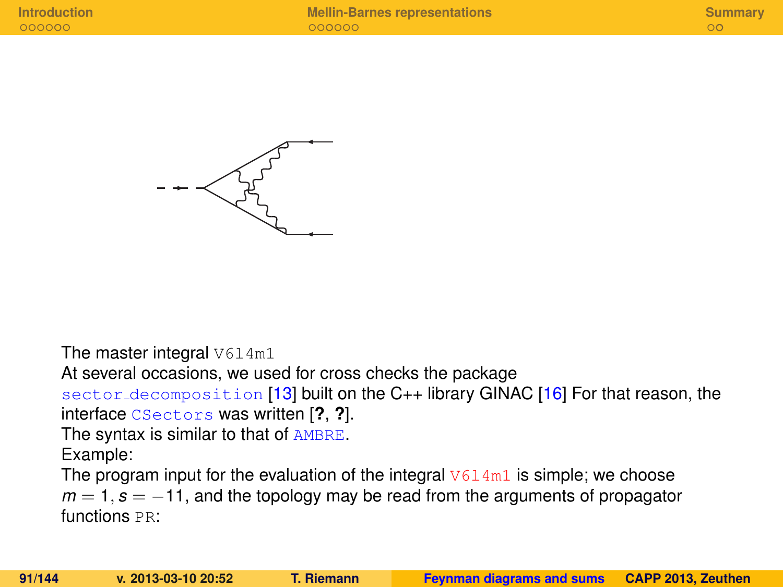

The master integral  $V614m1$ 

At several occasions, we used for cross checks the package

sector decomposition [\[13\]](#page-140-5) built on the C++ library GINAC [\[16\]](#page-141-1) For that reason, the interface CSectors was written [**?**, **?**].

The syntax is similar to that of AMBRE.

Example:

The program input for the evaluation of the integral  $V614m1$  is simple; we choose  $m = 1$ ,  $s = -11$ , and the topology may be read from the arguments of propagator functions PR: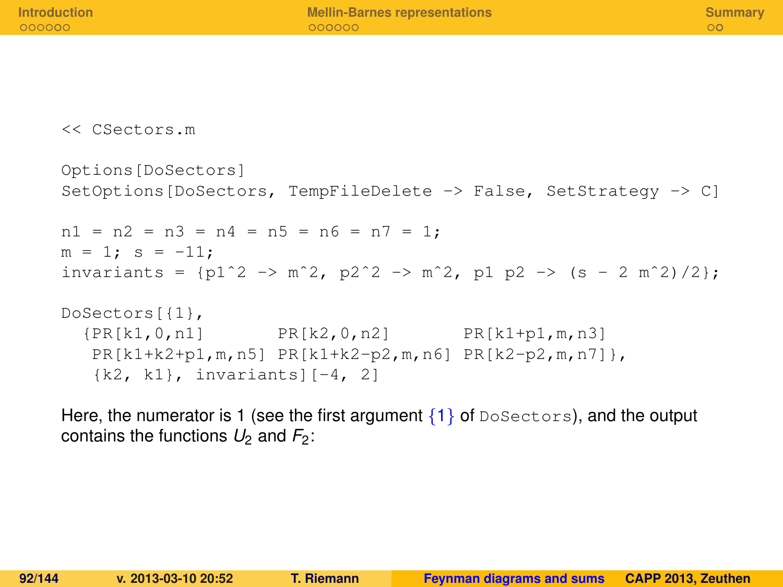| <b>Introduction</b><br>000000                                     | <b>Mellin-Barnes representations</b><br>000000                               | Summary<br>00 <sub>1</sub> |
|-------------------------------------------------------------------|------------------------------------------------------------------------------|----------------------------|
|                                                                   |                                                                              |                            |
|                                                                   |                                                                              |                            |
| << CSectors.m                                                     |                                                                              |                            |
| Options [DoSectors]                                               | SetOptions [DoSectors, TempFileDelete -> False, SetStrategy -> C]            |                            |
| $nl = n2 = n3 = n4 = n5 = n6 = n7 = 1$ ;<br>$m = 1$ ; $s = -11$ ; | invariants = $\{p1^2 > m^2, p2^2 > m^2, p1 p2 \rightarrow (s - 2 m^2)/2\}$ ; |                            |
|                                                                   |                                                                              |                            |

```
DoSectors[{1},
  {PR[k1,0,n1] PR[k2,0,n2] PR[k1+p1,m,n3]
  PR[k1+k2+p1,m,n5] PR[k1+k2-p2,m,n6] PR[k2-p2,m,n7]},
  {k2, k1}, invariants][-4, 2]
```
Here, the numerator is 1 (see the first argument  $\{1\}$  of DoSectors), and the output contains the functions  $U_2$  and  $F_2$ :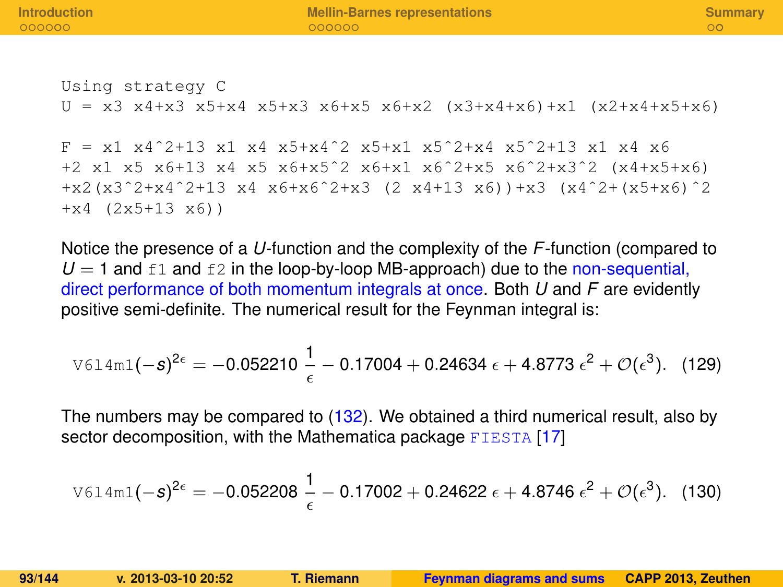Using strategy C  $U = x3 x4+x3 x5+x4 x5+x3 x6+x5 x6+x2 (x3+x4+x6)+x1 (x2+x4+x5+x6)$ 

 $F = x1 x4^2+13 x1 x4 x5+x4^2 x x5+x1 x5^2+x4 x5^2+x4 x5^2$ +2 x1 x5 x6+13 x4 x5 x6+x5ˆ2 x6+x1 x6ˆ2+x5 x6ˆ2+x3ˆ2 (x4+x5+x6) +x2(x3ˆ2+x4ˆ2+13 x4 x6+x6ˆ2+x3 (2 x4+13 x6))+x3 (x4ˆ2+(x5+x6)ˆ2 +x4 (2x5+13 x6))

Notice the presence of a *U*-function and the complexity of the *F*-function (compared to  $U = 1$  and  $f1$  and  $f2$  in the loop-by-loop MB-approach) due to the non-sequential, direct performance of both momentum integrals at once. Both *U* and *F* are evidently positive semi-definite. The numerical result for the Feynman integral is:

$$
\text{V614m1}(-s)^{2\epsilon} = -0.052210\,\frac{1}{\epsilon} - 0.17004 + 0.24634\,\epsilon + 4.8773\,\epsilon^2 + \mathcal{O}(\epsilon^3). \tag{129}
$$

The numbers may be compared to [\(132\)](#page-95-0). We obtained a third numerical result, also by sector decomposition, with the Mathematica package FIESTA [\[17\]](#page-141-2)

$$
\text{Vol4ml}(-s)^{2\epsilon} = -0.052208 \frac{1}{\epsilon} - 0.17002 + 0.24622 \epsilon + 4.8746 \epsilon^2 + \mathcal{O}(\epsilon^3). \tag{130}
$$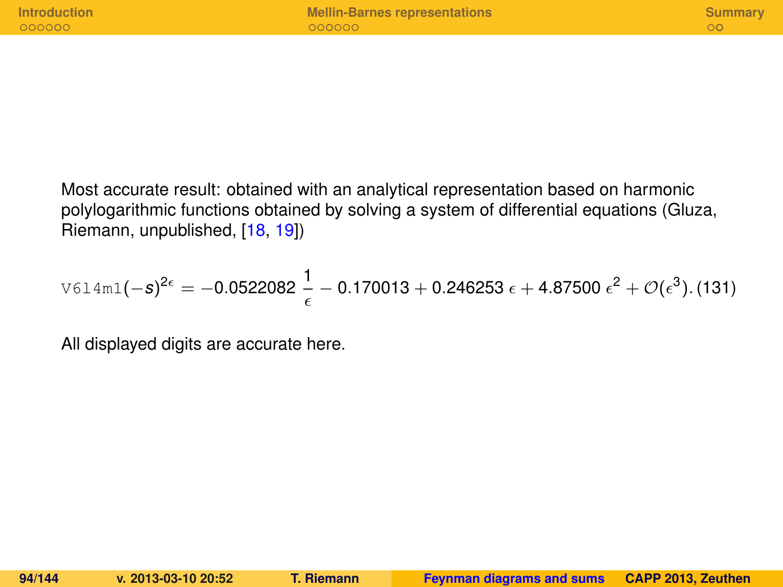| <b>Introduction</b> | <b>Mellin-Barnes representations</b> | <b>Summary</b> |
|---------------------|--------------------------------------|----------------|
| 000000              | 000000                               |                |
|                     |                                      |                |

Most accurate result: obtained with an analytical representation based on harmonic polylogarithmic functions obtained by solving a system of differential equations (Gluza, Riemann, unpublished, [\[18,](#page-141-3) [19\]](#page-141-4))

$$
\text{V614m1}(-s)^{2\epsilon} = -0.0522082 \frac{1}{\epsilon} - 0.170013 + 0.246253 \epsilon + 4.87500 \epsilon^2 + \mathcal{O}(\epsilon^3). (131)
$$

All displayed digits are accurate here.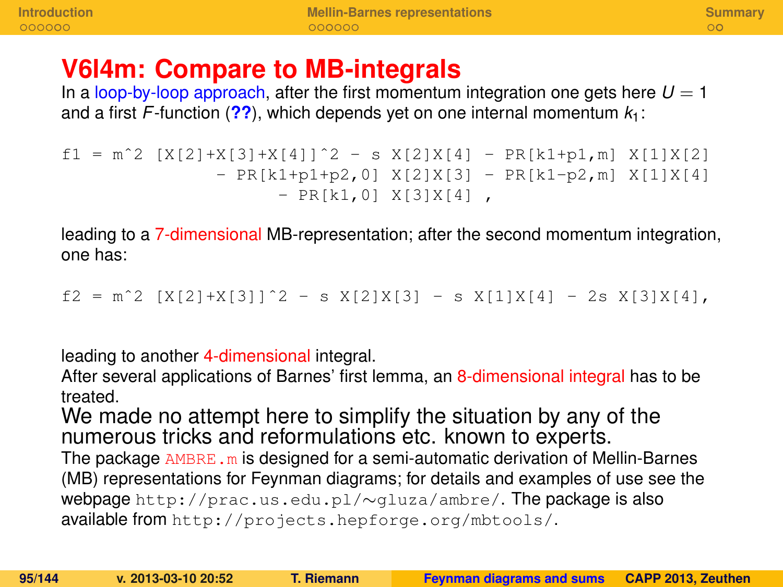### **V6l4m: Compare to MB-integrals**

In a loop-by-loop approach, after the first momentum integration one gets here  $U = 1$ and a first *F*-function (**[??](#page-0-1)**), which depends yet on one internal momentum *k*1:

```
f1 = m^2 [X[2]+X[3]+X[4]]^2 - S X[2]X[4] - PR[k1+p1,m] X[1]X[2]- PR[k1+p1+p2,0] X[2]X[3] - PR[k1-p2,m] X[1]X[4]
                     - PR[k1,0] X[3]X[4],
```
leading to a 7-dimensional MB-representation; after the second momentum integration, one has:

 $f2 = m^2$  [X[2]+X[3]] $^2 - s$  X[2]X[3] - s X[1]X[4] - 2s X[3]X[4],

leading to another 4-dimensional integral.

After several applications of Barnes' first lemma, an 8-dimensional integral has to be treated.

We made no attempt here to simplify the situation by any of the numerous tricks and reformulations etc. known to experts.

The package  $AMBRE.m$  is designed for a semi-automatic derivation of Mellin-Barnes (MB) representations for Feynman diagrams; for details and examples of use see the webpage http://prac.us.edu.pl/∼gluza/ambre/. The package is also available from http://projects.hepforge.org/mbtools/.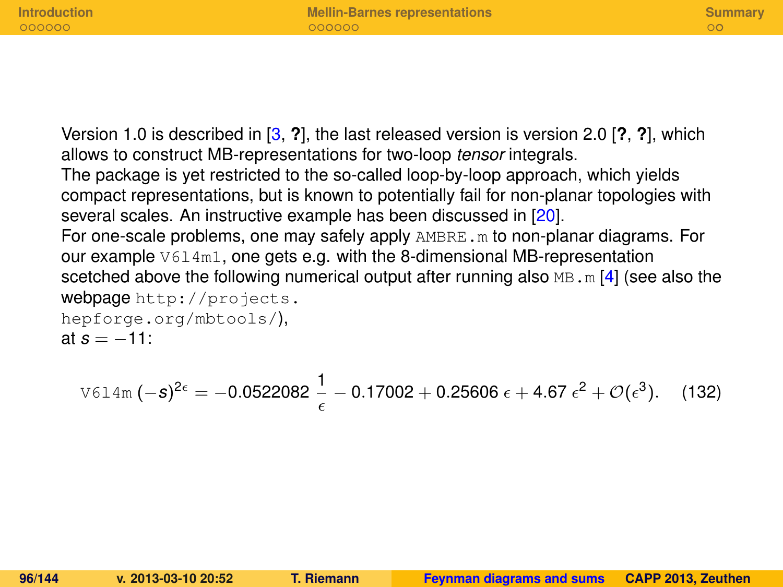**[Introduction](#page-124-0) [Mellin-Barnes representations](#page-131-0) [Summary](#page-138-0)** Version 1.0 is described in [\[3,](#page-139-4) **?**], the last released version is version 2.0 [**?**, **?**], which allows to construct MB-representations for two-loop *tensor* integrals. The package is yet restricted to the so-called loop-by-loop approach, which yields compact representations, but is known to potentially fail for non-planar topologies with several scales. An instructive example has been discussed in [\[20\]](#page-141-5). For one-scale problems, one may safely apply  $AMBRE.m$  to non-planar diagrams. For our example  $V614m1$ , one gets e.g. with the 8-dimensional MB-representation scetched above the following numerical output after running also  $MB \cdot m$  [\[4\]](#page-139-3) (see also the webpage http://projects. hepforge.org/mbtools/), at  $s = -11$ :

<span id="page-95-0"></span>
$$
\text{V614m} \left(-s\right)^{2\epsilon} = -0.0522082 \frac{1}{\epsilon} - 0.17002 + 0.25606 \epsilon + 4.67 \epsilon^2 + \mathcal{O}(\epsilon^3). \quad (132)
$$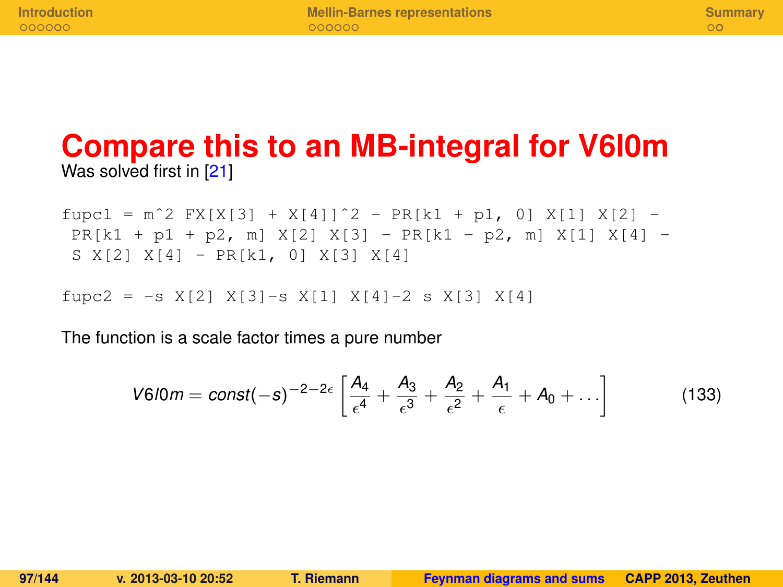### **Compare this to an MB-integral for V6l0m** Was solved first in [\[21\]](#page-141-6)

 $fupc1 = m^2 FX[X[3] + X[4])^2 - PR[k1 + p1, 0] X[1] X[2] PR[k1 + p1 + p2, m] X[2] X[3] - PR[k1 - p2, m] X[1] X[4] -$ S X[2] X[4] - PR[k1, 0] X[3] X[4]

fupc2 =  $-s$  X[2] X[3]-s X[1] X[4]-2 s X[3] X[4]

The function is a scale factor times a pure number

$$
V6/0m = const(-s)^{-2-2\epsilon} \left[ \frac{A_4}{\epsilon^4} + \frac{A_3}{\epsilon^3} + \frac{A_2}{\epsilon^2} + \frac{A_1}{\epsilon} + A_0 + \ldots \right]
$$
(133)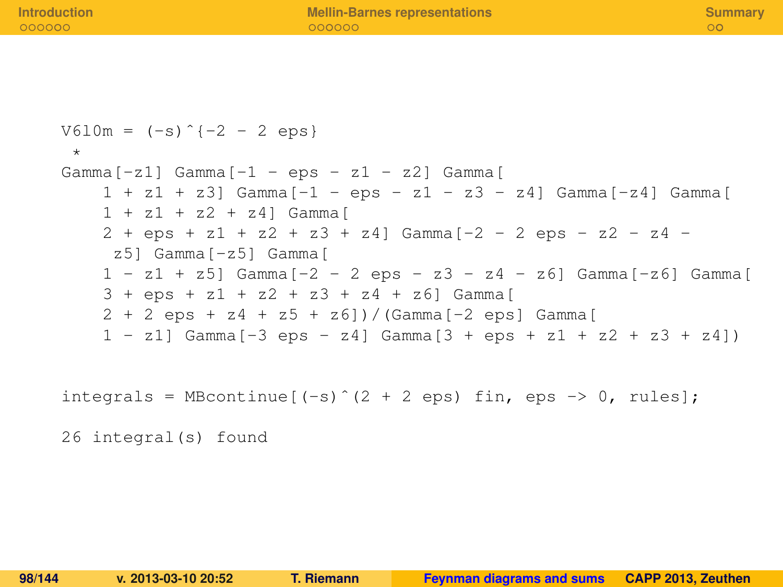```
V610m = (-s)^{-1} - 2 - 2 \text{ens}*
Gamma[-z1] Gamma[-1 - eps - z1 - z2] Gamma[
     1 + z1 + z3] Gamma[-1 - \text{eos} - z1 - z3 - z4] Gamma[z24] Gamma
     1 + z1 + z2 + z4] Gamma[
     2 + \text{ens} + \text{z}1 + \text{z}2 + \text{z}3 + \text{z}41 \text{ Gamma}[-2 - 2 \text{ens} - \text{z}2 - \text{z}4 -z5] Gamma[-z5] Gamma[
     1 - z1 + z5] Gamma[-2 - 2 eps - z3 - z4 - z6] Gamma[-26] Gamma[3 + eps + z1 + z2 + z3 + z4 + z6] Gamma[
     2 + 2 eps + z4 + z5 + z6])/(Gamma[-2 eps] Gamma[
     1 - z11 Gamma [-3 \text{ eos} - z41 Gamma [3 + \text{eos} + z1 + z2 + z3 + z41)integrals = MBcontinue[(-s) (2 + 2 \text{ eps}) fin, eps \Rightarrow 0, rules]:
26 integral(s) found
```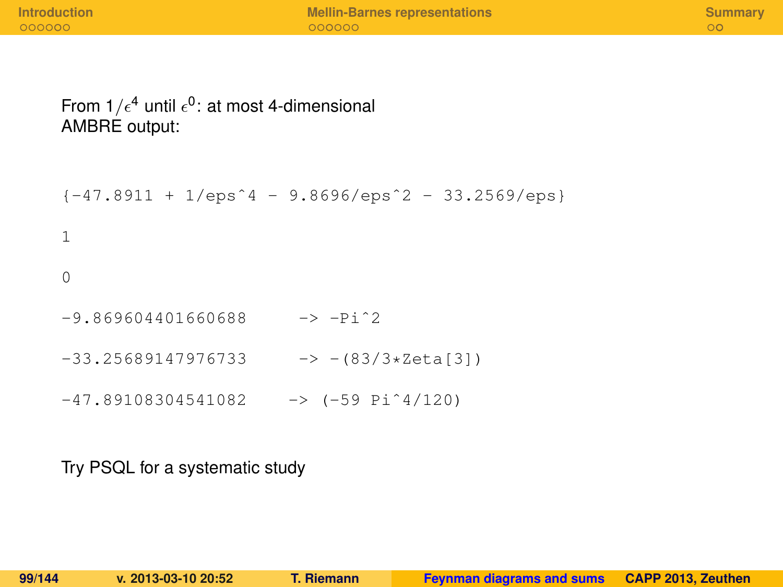#### From 1/ $\epsilon^4$  until  $\epsilon^0$ : at most 4-dimensional AMBRE output:

```
\{-47.8911 + 1/eps^4 - 9.8696/eps^2 - 33.2569/eps\}1
\Omega-9.869604401660688 - 5 - Pi^2-33.25689147976733 - - > -(83/3*2eta[3])-47.89108304541082 -59.1120
```
Try PSQL for a systematic study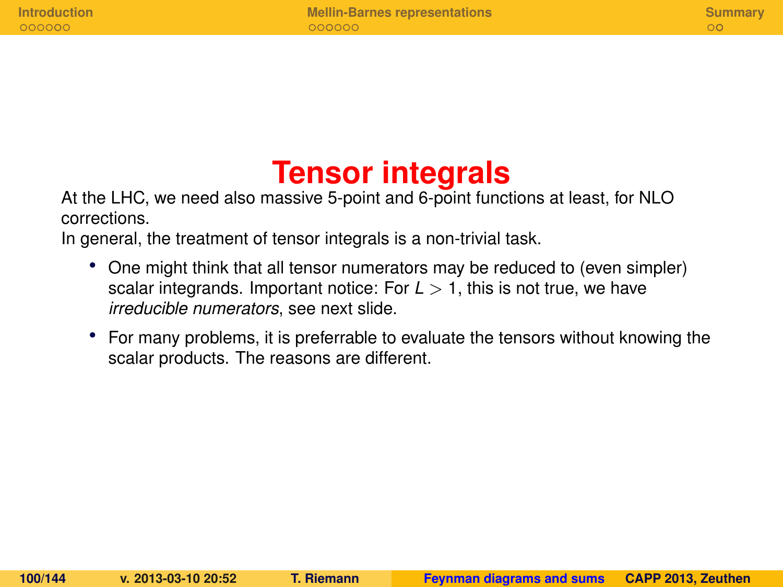## **Tensor integrals**

At the LHC, we need also massive 5-point and 6-point functions at least, for NLO corrections.

In general, the treatment of tensor integrals is a non-trivial task.

- One might think that all tensor numerators may be reduced to (even simpler) scalar integrands. Important notice: For  $L > 1$ , this is not true, we have *irreducible numerators*, see next slide.
- For many problems, it is preferrable to evaluate the tensors without knowing the scalar products. The reasons are different.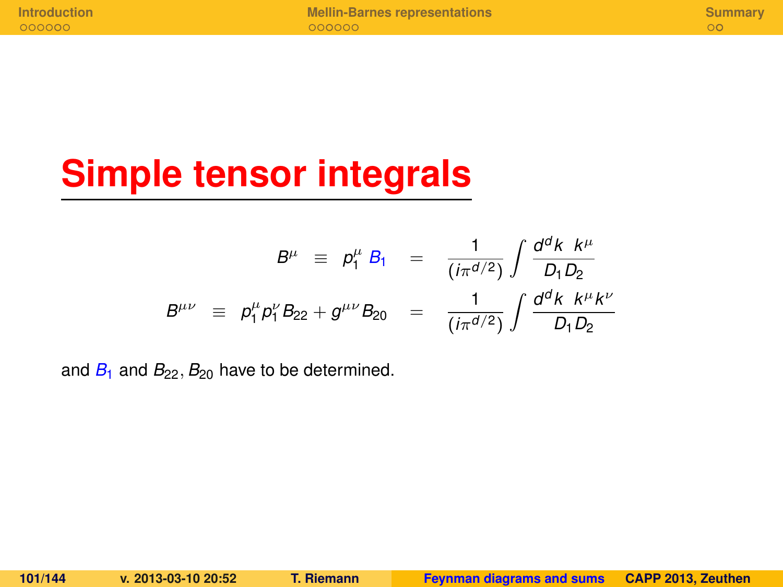# **Simple tensor integrals**

$$
B^{\mu} \equiv p_1^{\mu} B_1 = \frac{1}{(i\pi^{d/2})} \int \frac{d^d k \ k^{\mu}}{D_1 D_2}
$$
  

$$
B^{\mu\nu} \equiv p_1^{\mu} p_1^{\nu} B_{22} + g^{\mu\nu} B_{20} = \frac{1}{(i\pi^{d/2})} \int \frac{d^d k \ k^{\mu} k^{\nu}}{D_1 D_2}
$$

and  $B_1$  and  $B_{22}$ ,  $B_{20}$  have to be determined.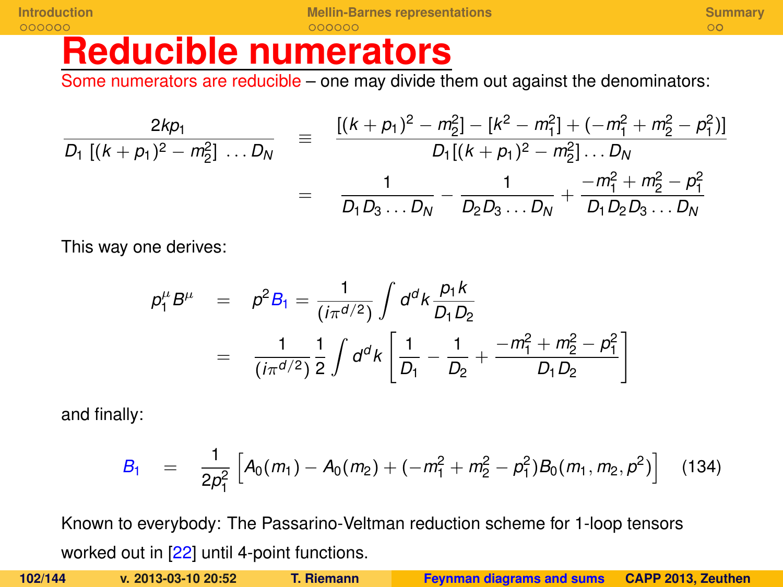## **Reducible numerators**

Some numerators are reducible – one may divide them out against the denominators:

$$
\frac{2kp_1}{D_1 [(k+p_1)^2 - m_2^2] \dots D_N} = \frac{[(k+p_1)^2 - m_2^2] - [k^2 - m_1^2] + (-m_1^2 + m_2^2 - p_1^2)]}{D_1 [(k+p_1)^2 - m_2^2] \dots D_N}
$$
  
= 
$$
\frac{1}{D_1 D_3 \dots D_N} - \frac{1}{D_2 D_3 \dots D_N} + \frac{-m_1^2 + m_2^2 - p_1^2}{D_1 D_2 D_3 \dots D_N}
$$

This way one derives:

$$
\rho_1^{\mu} B^{\mu} = \rho^2 B_1 = \frac{1}{(i\pi^{d/2})} \int d^d k \frac{p_1 k}{D_1 D_2}
$$
  
= 
$$
\frac{1}{(i\pi^{d/2})} \frac{1}{2} \int d^d k \left[ \frac{1}{D_1} - \frac{1}{D_2} + \frac{-m_1^2 + m_2^2 - p_1^2}{D_1 D_2} \right]
$$

and finally:

$$
B_1 = \frac{1}{2p_1^2} \left[ A_0(m_1) - A_0(m_2) + (-m_1^2 + m_2^2 - p_1^2) B_0(m_1, m_2, p^2) \right]
$$
 (134)

Known to everybody: The Passarino-Veltman reduction scheme for 1-loop tensors worked out in [\[22\]](#page-142-0) until 4-point functions.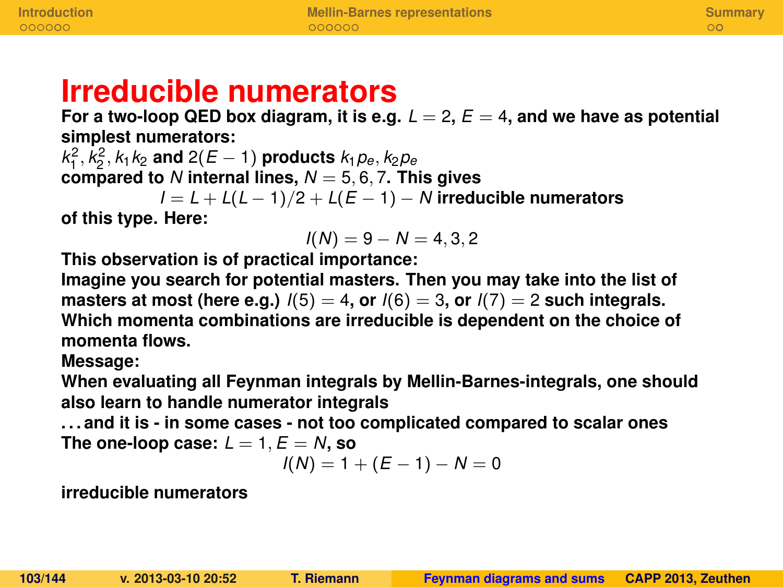## **Irreducible numerators**

For a two-loop QED box diagram, it is e.g.  $L = 2$ ,  $E = 4$ , and we have as potential **simplest numerators:**

 $k_1^2, k_2^2, k_1k_2$  and  $2(E-1)$  products  $k_1p_e, k_2p_e$  $\lim_{M_1, M_2, M_1} \lim_{M_2, M_2} \lim_{M \to \infty} \frac{L(L_1, M_2)}{L_1}$  products  $\lim_{M \to \infty} \lim_{M \to \infty} \frac{L(L_1, M_2)}{L_1}$ 

*I* = *L* + *L*(*L* − 1)/2 + *L*(*E* − 1) − *N* **irreducible numerators**

**of this type. Here:**

$$
I(N) = 9 - N = 4, 3, 2
$$

**This observation is of practical importance:**

**Imagine you search for potential masters. Then you may take into the list of masters at most (here e.g.)**  $I(5) = 4$ , or  $I(6) = 3$ , or  $I(7) = 2$  such integrals. **Which momenta combinations are irreducible is dependent on the choice of momenta flows.**

**Message:**

**When evaluating all Feynman integrals by Mellin-Barnes-integrals, one should also learn to handle numerator integrals**

**. . . and it is - in some cases - not too complicated compared to scalar ones** The one-loop case:  $L = 1$ ,  $E = N$ , so

$$
I(N) = 1 + (E - 1) - N = 0
$$

**irreducible numerators**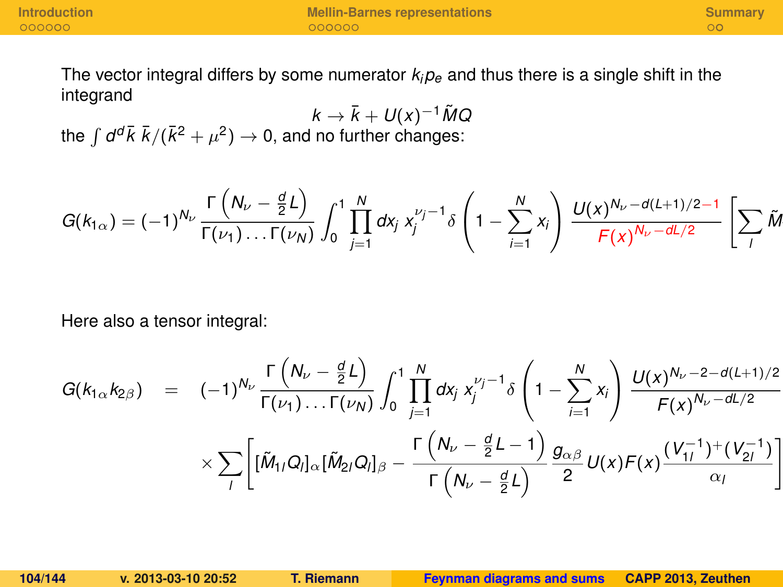<sup>1</sup>*lQ<sup>l</sup>*

The vector integral differs by some numerator  $k_i p_e$  and thus there is a single shift in the integrand

 $k \rightarrow \bar{k} + U(x)^{-1} \tilde{M}Q$ the  $\int d^d\bar{k} \; \bar{k}/(\bar{k}^2 + \mu^2) \rightarrow 0$ , and no further changes:

$$
G(k_{1\alpha}) = (-1)^{N_{\nu}} \frac{\Gamma\left(N_{\nu} - \frac{d}{2}L\right)}{\Gamma(\nu_{1})\dots\Gamma(\nu_{N})} \int_{0}^{1} \prod_{j=1}^{N} dx_{j} x_{j}^{\nu_{j}-1} \delta\left(1 - \sum_{i=1}^{N} x_{i}\right) \frac{U(x)^{N_{\nu} - d(L+1)/2 - 1}}{F(x)^{N_{\nu} - dL/2}} \left[\sum_{l} \tilde{M}_{l} \delta\left(\frac{1}{\tilde{M}}\right) \right]
$$

Here also a tensor integral:

$$
G(k_{1\alpha}k_{2\beta}) = (-1)^{N_{\nu}} \frac{\Gamma(N_{\nu} - \frac{d}{2}L)}{\Gamma(\nu_{1})\dots\Gamma(\nu_{N})} \int_{0}^{1} \prod_{j=1}^{N} dx_{j} x_{j}^{\nu_{j}-1} \delta\left(1 - \sum_{i=1}^{N} x_{i}\right) \frac{U(x)^{N_{\nu}-2-d(L+1)/2}}{F(x)^{N_{\nu}-dL/2}} \\ \times \sum_{l} \left[ [\tilde{M}_{1l}Q_{l}]_{\alpha} [\tilde{M}_{2l}Q_{l}]_{\beta} - \frac{\Gamma(N_{\nu} - \frac{d}{2}L - 1)}{\Gamma(N_{\nu} - \frac{d}{2}L)} \frac{g_{\alpha\beta}}{2} U(x)F(x) \frac{(V_{1l}^{-1})^{+}(V_{2l}^{-1})}{\alpha_{l}} \right]
$$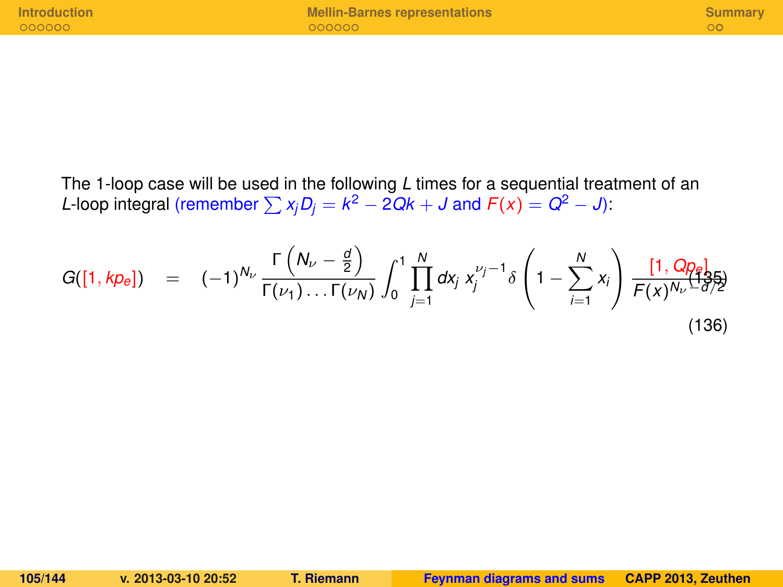The 1-loop case will be used in the following *L* times for a sequential treatment of an *L*-loop integral (remember  $\sum x_j D_j = k^2 - 2Qk + J$  and  $F(x) = Q^2 - J$ ):

$$
G([1, k p_e]) = (-1)^{N_{\nu}} \frac{\Gamma\left(N_{\nu} - \frac{d}{2}\right)}{\Gamma(\nu_1) \dots \Gamma(\nu_N)} \int_0^1 \prod_{j=1}^N dx_j \ x_j^{\nu_j - 1} \delta\left(1 - \sum_{i=1}^N x_i\right) \frac{[1, Q p_e]}{F(x)^{N_{\nu} - d/2}}
$$
(136)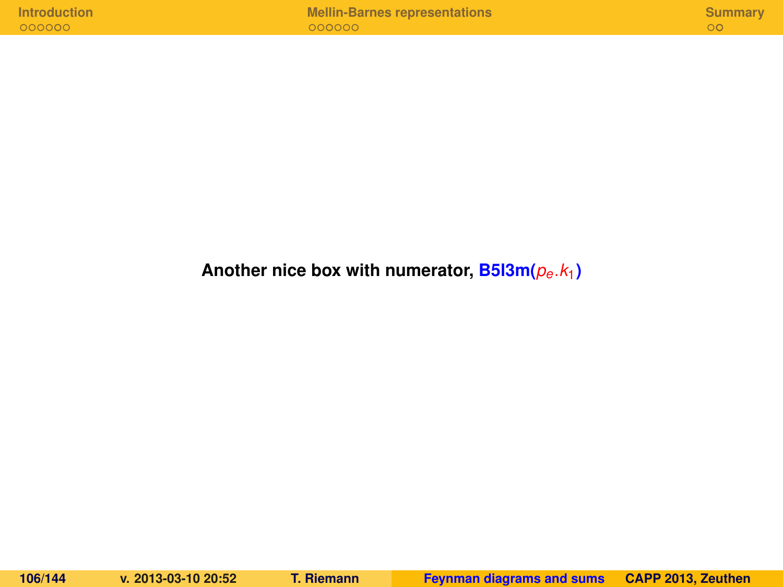| Introduction |  |  |  |  |
|--------------|--|--|--|--|
|              |  |  |  |  |
|              |  |  |  |  |
| 000000       |  |  |  |  |

#### **Another nice box with numerator, B5l3m(***pe*.*k*1**)**

**106/144 v. 2013-03-10 20:52 T. Riemann [Feynman diagrams and sums](#page-0-0) CAPP 2013, Zeuthen**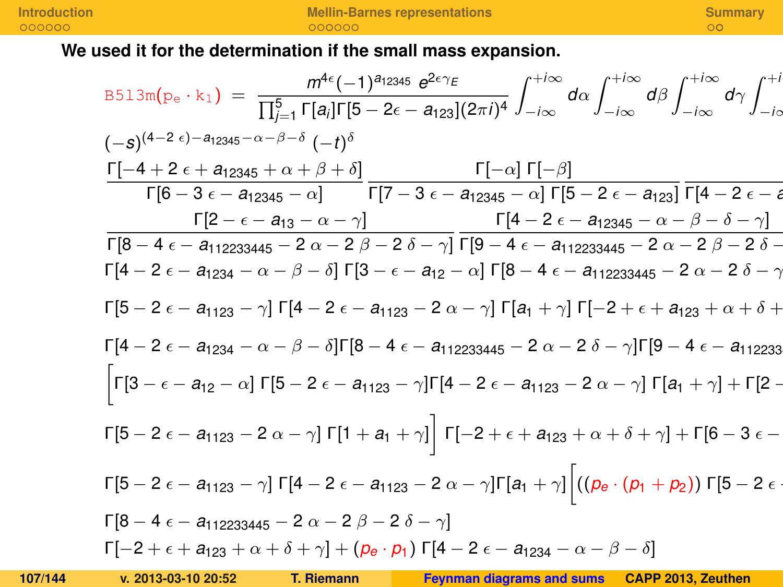#### **We used it for the determination if the small mass expansion.**

| B513m(p <sub>e</sub> · k <sub>1</sub> ) = $\frac{m^{4\epsilon}(-1)^{a_{12345}} e^{2\epsilon \gamma_E}}{\prod_{j=1}^{5} \Gamma[a_j] \Gamma[5 - 2\epsilon - a_{123}] (2\pi i)^4} \int_{-i\infty}^{+i\infty} d\alpha \int_{-i\infty}^{+i\infty} d\beta \int_{-i\infty}^{+i\infty} d\gamma \int_{-i\infty}^{+i\infty} d\beta$ |
|---------------------------------------------------------------------------------------------------------------------------------------------------------------------------------------------------------------------------------------------------------------------------------------------------------------------------|
| $(-s)^{(4-2 \epsilon)-a_{12345}-\alpha-\beta-\delta} (-t)^{\delta}$                                                                                                                                                                                                                                                       |
| $\Gamma[-4+2\epsilon+ a_{12345}+\alpha+\beta+\delta]$ $\Gamma[-\alpha]\Gamma[-\beta]$                                                                                                                                                                                                                                     |
| $\lceil 6-3 \epsilon - a_{12345} - \alpha \rceil$ $\lceil 7-3 \epsilon - a_{12345} - \alpha \rceil \lceil 5-2 \epsilon - a_{123} \rceil \lceil 4-2 \epsilon - a_{1235} \rceil$                                                                                                                                            |
| $\Gamma[2-\epsilon-a_{13}-\alpha-\gamma]$ $\Gamma[4-2\epsilon-a_{12345}-\alpha-\beta-\delta-\gamma]$                                                                                                                                                                                                                      |
| $\Gamma[8-4\epsilon- a_{112233445}-2\alpha-2\beta-2\delta-\gamma]$ $\Gamma[9-4\epsilon- a_{112233445}-2\alpha-2\beta-2\delta-$                                                                                                                                                                                            |
| $\Gamma[4-2 \epsilon - a_{1234} - \alpha - \beta - \delta] \Gamma[3 - \epsilon - a_{12} - \alpha] \Gamma[8 - 4 \epsilon - a_{112233445} - 2 \alpha - 2 \delta - \gamma]$                                                                                                                                                  |
| $\Gamma[5 - 2 \epsilon - a_{1123} - \gamma] \Gamma[4 - 2 \epsilon - a_{1123} - 2 \alpha - \gamma] \Gamma[ a_1 + \gamma] \Gamma[-2 + \epsilon + a_{123} + \alpha + \delta +$                                                                                                                                               |
| $\Gamma[4-2 \epsilon - a_{1234} - \alpha - \beta - \delta] \Gamma[8-4 \epsilon - a_{112233445} - 2 \alpha - 2 \delta - \gamma] \Gamma[9-4 \epsilon - a_{112233}$                                                                                                                                                          |
| $\left \Gamma[3-\epsilon-a_{12}-\alpha]\,\Gamma[5-2\,\epsilon-a_{1123}-\gamma]\Gamma[4-2\,\epsilon-a_{1123}-2\,\alpha-\gamma]\,\Gamma[a_1+\gamma]+\Gamma[2-2\,\epsilon-a_{123}-2\,\epsilon-\gamma]\,\Gamma[3\,\epsilon-\gamma]\right $                                                                                    |
| $\begin{bmatrix}5-2 & \epsilon - a_{1123} - 2 & \alpha - \gamma\end{bmatrix}\begin{bmatrix}1 + a_1 + \gamma\end{bmatrix}\begin{bmatrix}-2 + \epsilon + a_{123} + \alpha + \delta + \gamma\end{bmatrix} + \begin{bmatrix}6-3 & \epsilon - \gamma\end{bmatrix}$                                                             |
| $\Gamma[5-2\epsilon- a_{1123}-\gamma]\Gamma[4-2\epsilon-a_{1123}-2\alpha-\gamma]\Gamma[a_1+\gamma]\left[\left((\rho_e\cdot(\rho_1+\rho_2))\Gamma[5-2\epsilon+\gamma]\right)\Gamma[6\gamma_1+\gamma_2]\right]$                                                                                                             |
| $\Gamma[8-4 \epsilon - a_{112233445} - 2 \alpha - 2 \beta - 2 \delta - \gamma]$                                                                                                                                                                                                                                           |
| $\lceil -2 + \epsilon + a_{123} + \alpha + \delta + \gamma \rceil + (p_e \cdot p_1) \lceil 4 - 2 \epsilon - a_{1234} - \alpha - \beta - \delta \rceil$                                                                                                                                                                    |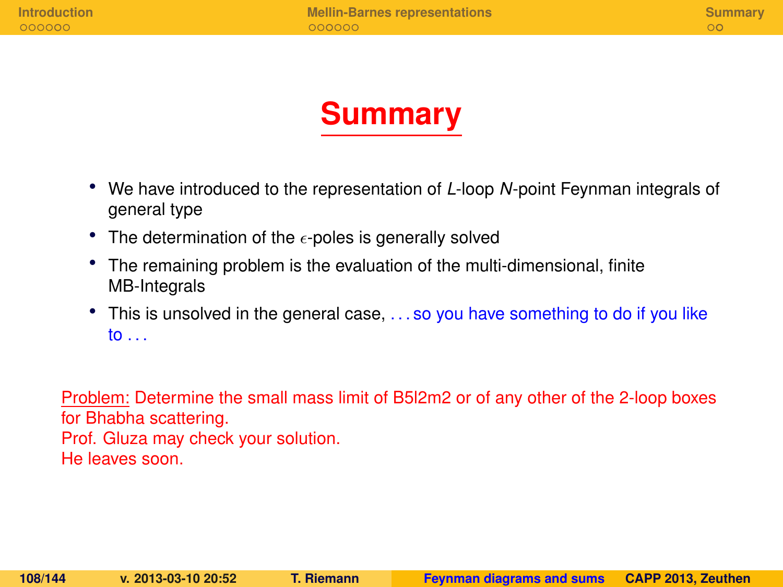

- We have introduced to the representation of *L*-loop *N*-point Feynman integrals of general type
- The determination of the  $\epsilon$ -poles is generally solved
- The remaining problem is the evaluation of the multi-dimensional, finite MB-Integrals
- This is unsolved in the general case, ... so you have something to do if you like to . . .

Problem: Determine the small mass limit of B5l2m2 or of any other of the 2-loop boxes for Bhabha scattering. Prof. Gluza may check your solution. He leaves soon.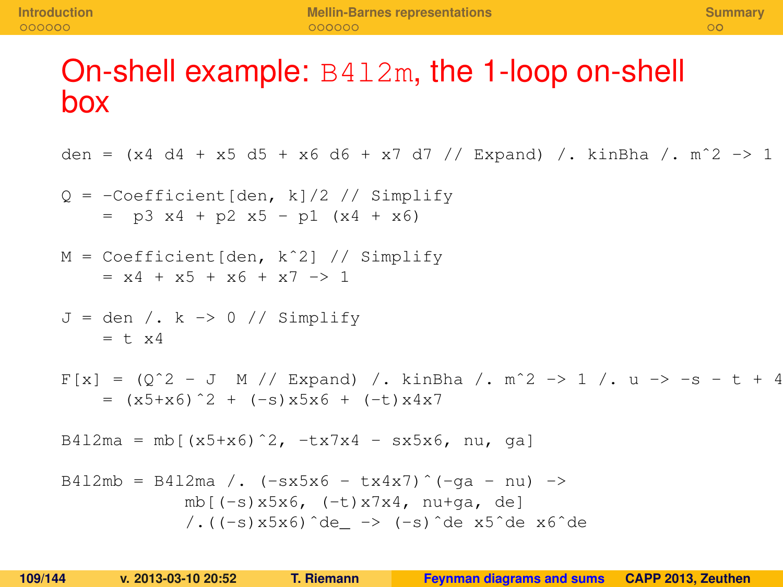# On-shell example: B4l2m, the 1-loop on-shell box

den =  $(x4 d4 + x5 d5 + x6 d6 + x7 d7 // Expand) /$ . kinBha /. m<sup>2</sup> -> 1

$$
Q = -\text{Coefficient}[\text{den, k}]/2 // Simplify
$$
  
= p3 x4 + p2 x5 - p1 (x4 + x6)

```
M = Coefficient[den, kˆ2] // Simplify
    = x4 + x5 + x6 + x7 \rightarrow 1
```

```
J = den /. k \rightarrow 0 // Simplify= + \times 4
```

```
F[x] = (Q^2 - J M) / Expand /. kinBha /. m<sup>2</sup> -> 1 /. u -> -s - t + 4
    = (x5+x6)^2 + (-s)x5x6 + (-t)x4x7
```
B412ma = mb[(x5+x6)^2, -tx7x4 - sx5x6, nu, gal

B412mb = B412ma /. 
$$
(-sx5x6 - tx4x7)^{(-qa - nu)} \rightarrow
$$
  
\nmb[(-s)x5x6, (-t)x7x4, nu+qa, de]  
\n/.((-s)x5x6)^de\_ = -& (-s)^de x5de x6^de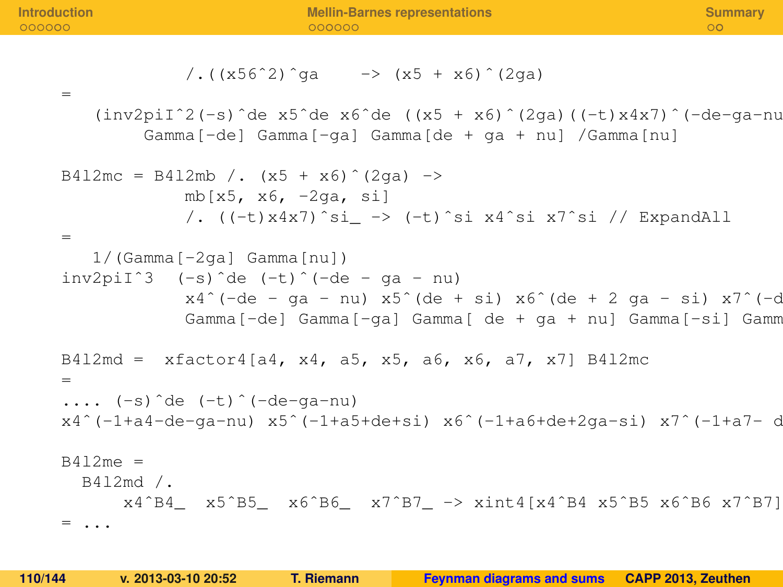=

$$
/(x56^2)^{9}g = -\frac{1}{x5 + x6}^{\circ} (2ga)
$$

= (inv2piIˆ2(-s)ˆde x5ˆde x6ˆde ((x5 + x6)ˆ(2ga)((-t)x4x7)ˆ(-de-ga-nu) Gamma[-de] Gamma[-ga] Gamma[de + ga + nu] /Gamma[nu]

B4l2mc = B4l2mb /. (x5 + x6)ˆ(2ga) -> mb[x5, x6, -2ga, si] /. ((-t)x4x7)ˆsi\_ -> (-t)ˆsi x4ˆsi x7ˆsi // ExpandAll

1/(Gamma[-2ga] Gamma[nu]) inv2piIˆ3 (-s)ˆde (-t)ˆ(-de - ga - nu) x4ˆ(-de - ga - nu) x5ˆ(de + si) x6ˆ(de + 2 ga - si) x7ˆ(-de - ga - nu) Gamma[-de] Gamma[-ga] Gamma[ de + ga + nu] Gamma[-si] Gamma[-2ga + si]

```
B412md = xfactor4[a4, x4, a5, x5, a6, x6, a7, x7] B412mc
```
= .... (-s)ˆde (-t)ˆ(-de-ga-nu) x4ˆ(-1+a4-de-ga-nu) x5ˆ(-1+a5+de+si) x6ˆ(-1+a6+de+2ga-si) x7ˆ(-1+a7- de-ga-nu)

 $B412me =$ B4l2md /. x4ˆB4\_ x5ˆB5\_ x6ˆB6\_ x7ˆB7\_ -> xint4[x4ˆB4 x5ˆB5 x6ˆB6 x7ˆB7] = ...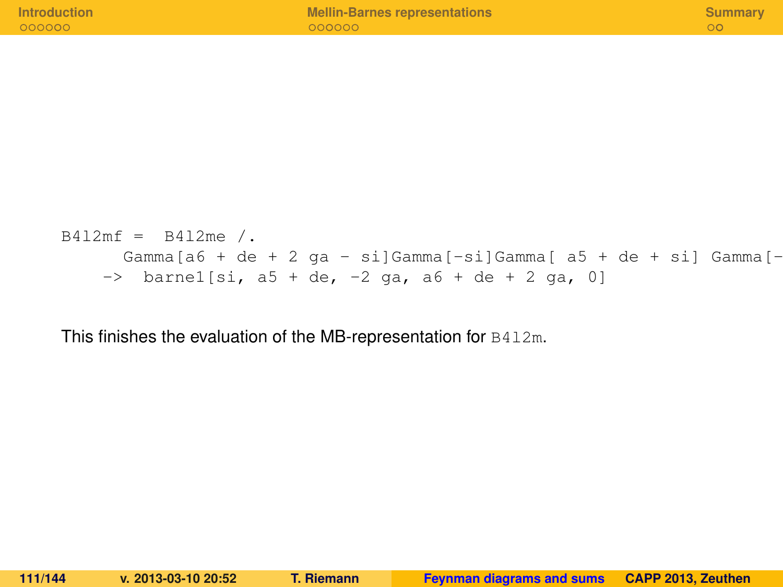| <b>Introduction</b> | <b>Mellin-Barnes representations</b> | Summary |
|---------------------|--------------------------------------|---------|
| 000000              | 000000                               |         |
|                     |                                      |         |

```
B412mf = B412me /.
      Gamma[a6 + de + 2 ga - si]Gamma[-si]Gamma[ a5 + de + si] Gamma[-
    \Rightarrow barnel[si, a5 + de, -2 ga, a6 + de + 2 ga, 0]
```
This finishes the evaluation of the MB-representation for B4l2m.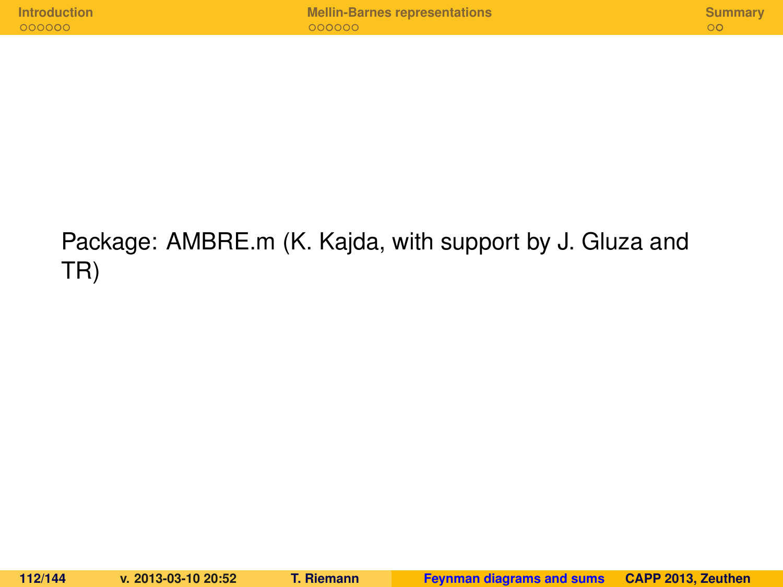## Package: AMBRE.m (K. Kajda, with support by J. Gluza and TR)

**112/144 v. 2013-03-10 20:52 T. Riemann [Feynman diagrams and sums](#page-0-0) CAPP 2013, Zeuthen**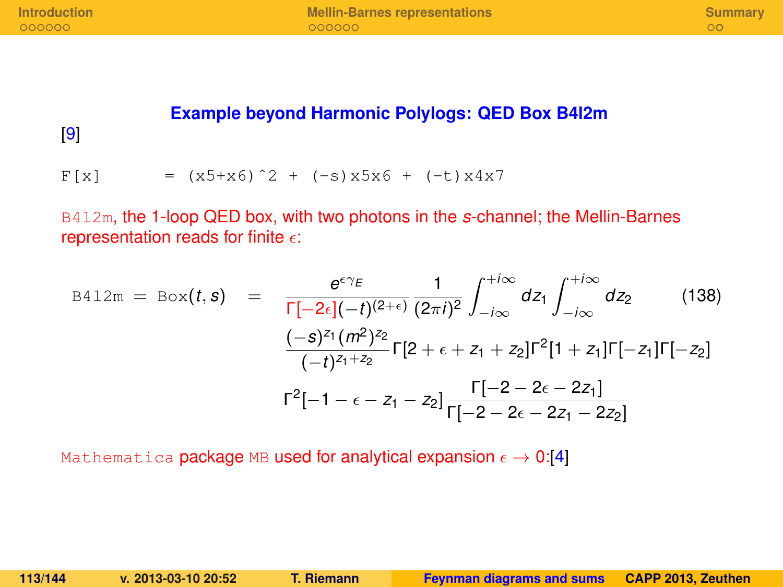#### **Example beyond Harmonic Polylogs: QED Box B4l2m**

[\[9\]](#page-140-0)

 $F[x]$  =  $(x5+x6)^2 + (-s)x5x6 + (-t)x4x7$ 

B4l2m, the 1-loop QED box, with two photons in the *s*-channel; the Mellin-Barnes representation reads for finite  $\epsilon$ :

$$
B412m = Box(t, s) = \frac{e^{\epsilon \gamma_E}}{\Gamma[-2\epsilon](-t)^{(2+\epsilon)}} \frac{1}{(2\pi i)^2} \int_{-i\infty}^{+i\infty} dz_1 \int_{-i\infty}^{+i\infty} dz_2
$$
(138)  

$$
\frac{(-s)^{z_1} (m^2)^{z_2}}{(-t)^{z_1+z_2}} \Gamma[2 + \epsilon + z_1 + z_2] \Gamma^2 [1 + z_1] \Gamma[-z_1] \Gamma[-z_2]
$$
  

$$
\Gamma^2[-1 - \epsilon - z_1 - z_2] \frac{\Gamma[-2 - 2\epsilon - 2z_1]}{\Gamma[-2 - 2\epsilon - 2z_1 - 2z_2]}
$$

Mathematica package MB used for analytical expansion  $\epsilon \to 0.14$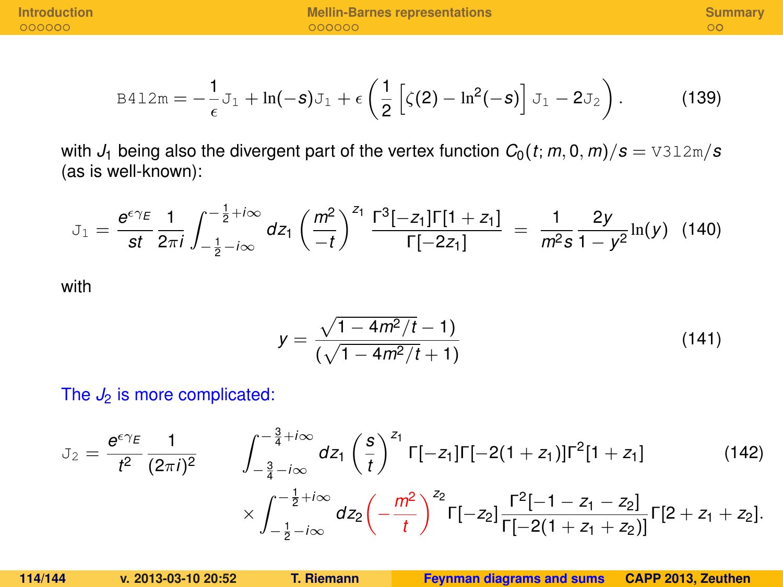$$
\text{B412m} = -\frac{1}{\epsilon} \mathbf{J}_1 + \ln(-\mathbf{S}) \mathbf{J}_1 + \epsilon \left( \frac{1}{2} \left[ \zeta(2) - \ln^2(-\mathbf{S}) \right] \mathbf{J}_1 - 2 \mathbf{J}_2 \right). \tag{139}
$$

with  $J_1$  being also the divergent part of the vertex function  $C_0(t; m, 0, m)/s = \text{V312m/s}$ (as is well-known):

$$
J_1 = \frac{e^{\epsilon \gamma_E}}{st} \frac{1}{2\pi i} \int_{-\frac{1}{2} - i\infty}^{-\frac{1}{2} + i\infty} dz_1 \left(\frac{m^2}{-t}\right)^{z_1} \frac{\Gamma^3[-z_1] \Gamma[1+z_1]}{\Gamma[-2z_1]} = \frac{1}{m^2 s} \frac{2y}{1 - y^2} \ln(y) \tag{140}
$$

with

$$
y = \frac{\sqrt{1 - 4m^2/t} - 1}{(\sqrt{1 - 4m^2/t} + 1)}
$$
(141)

The  $J_2$  is more complicated:

$$
J_2 = \frac{e^{\epsilon \gamma_E}}{t^2} \frac{1}{(2\pi i)^2} \qquad \int_{-\frac{3}{4} - i\infty}^{-\frac{3}{4} + i\infty} dz_1 \left(\frac{s}{t}\right)^{z_1} \Gamma[-z_1] \Gamma[-2(1 + z_1)] \Gamma^2[1 + z_1] \qquad (142)
$$

$$
\times \int_{-\frac{1}{2} - i\infty}^{-\frac{1}{2} + i\infty} dz_2 \left(-\frac{m^2}{t}\right)^{z_2} \Gamma[-z_2] \frac{\Gamma^2[-1 - z_1 - z_2]}{\Gamma[-2(1 + z_1 + z_2)]} \Gamma[2 + z_1 + z_2].
$$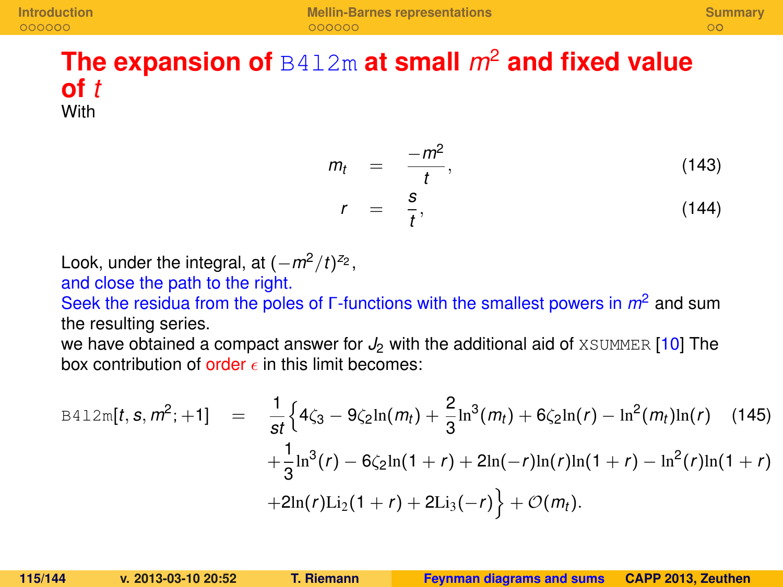### **The expansion of** B4l2m **at small** *m*<sup>2</sup> **and fixed value of** *t* **With**

$$
m_t = \frac{-m^2}{t}, \qquad (143)
$$
\n
$$
r = \frac{s}{t}, \qquad (144)
$$

$$
r = \frac{1}{t},
$$

Look, under the integral, at  $(-m^2/t)^{z_2}$ , and close the path to the right.

Seek the residua from the poles of Γ-functions with the smallest powers in *m*<sup>2</sup> and sum the resulting series.

we have obtained a compact answer for  $J_2$  with the additional aid of  $XSUMMER$  [\[10\]](#page-140-1) The box contribution of order  $\epsilon$  in this limit becomes:

$$
B412m[t, s, m^{2}; +1] = \frac{1}{st} \Big\{ 4\zeta_{3} - 9\zeta_{2} \ln(m_{t}) + \frac{2}{3} \ln^{3}(m_{t}) + 6\zeta_{2} \ln(r) - \ln^{2}(m_{t})\ln(r) \quad (145)
$$

$$
+ \frac{1}{3} \ln^{3}(r) - 6\zeta_{2} \ln(1+r) + 2\ln(-r)\ln(r)\ln(1+r) - \ln^{2}(r)\ln(1+r)
$$

$$
+ 2\ln(r)\text{Li}_{2}(1+r) + 2\text{Li}_{3}(-r) \Big\} + \mathcal{O}(m_{t}).
$$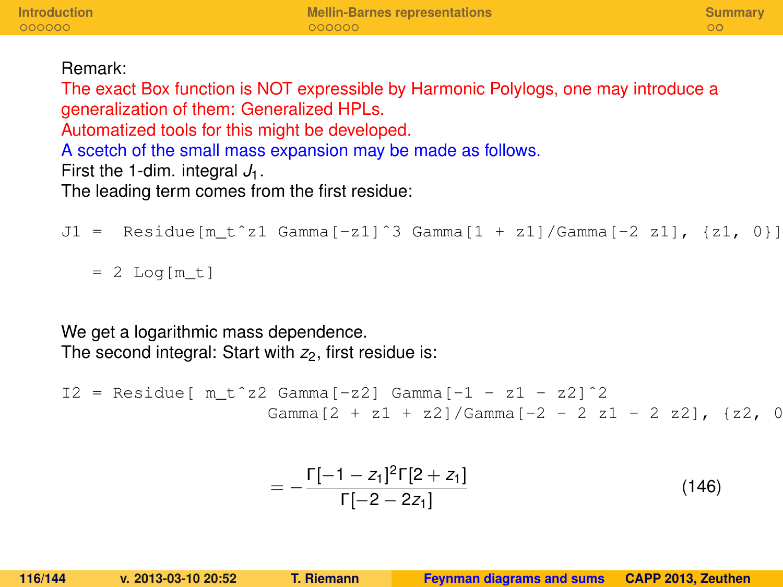#### Remark:

The exact Box function is NOT expressible by Harmonic Polylogs, one may introduce a generalization of them: Generalized HPLs. Automatized tools for this might be developed. A scetch of the small mass expansion may be made as follows. First the 1-dim. integral  $J_1$ . The leading term comes from the first residue:

```
J1 = Residue[m t^z1 Gamma[-z1]^3 Gamma[1 + z1]/Gamma[-2 z1], {z1, 0}]
```

```
= 2 Log[m t]
```
We get a logarithmic mass dependence. The second integral: Start with  $z_2$ , first residue is:

```
I2 = Residue[ m_t^2 2 Gamma[-z2] Gamma[-1 - z1 - z2] ^2]Gamma[2 + z1 + z2]/Gamma[-2 - 2 z1 - 2 z2], \{z2, 0
```

$$
=-\frac{\Gamma[-1-z_1]^2\Gamma[2+z_1]}{\Gamma[-2-2z_1]}
$$
(146)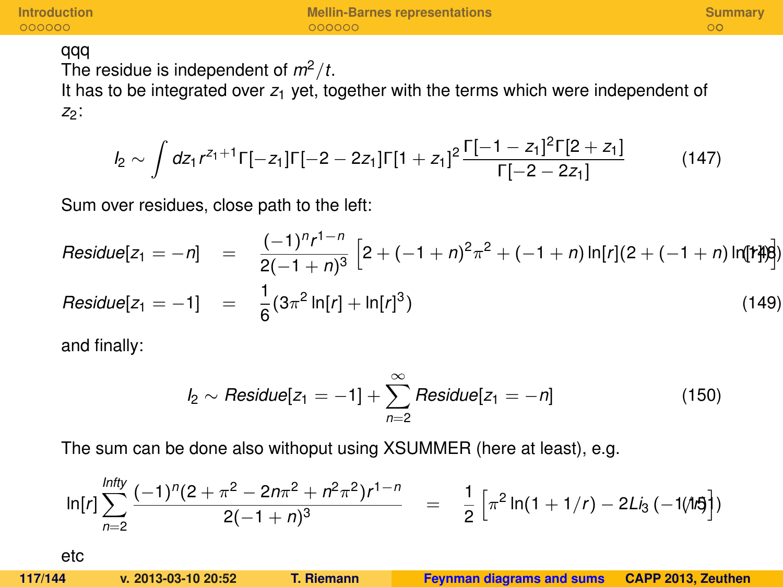#### qqq

The residue is independent of  $m^2/t$ .

It has to be integrated over  $z_1$  yet, together with the terms which were independent of *z*2:

$$
I_2 \sim \int dz_1 r^{z_1+1} \Gamma[-z_1] \Gamma[-2-2z_1] \Gamma[1+z_1]^2 \frac{\Gamma[-1-z_1]^2 \Gamma[2+z_1]}{\Gamma[-2-2z_1]}
$$
(147)

Sum over residues, close path to the left:

Residue
$$
[z_1 = -n]
$$
 =  $\frac{(-1)^n r^{1-n}}{2(-1+n)^3} \left[ 2 + (-1+n)^2 \pi^2 + (-1+n) \ln[r] (2+(-1+n) \ln[r]) \right]$ 

$$
Residue[Z_1 = -1] = \frac{1}{6}(3\pi^2 \ln[r] + \ln[r]^3)
$$
\n(149)

and finally:

$$
I_2 \sim Residue[z_1 = -1] + \sum_{n=2}^{\infty} Residue[z_1 = -n]
$$
 (150)

The sum can be done also withoput using XSUMMER (here at least), e.g.

$$
\ln[r] \sum_{n=2}^{ln fly} \frac{(-1)^n (2 + \pi^2 - 2n\pi^2 + n^2\pi^2) r^{1-n}}{2(-1+n)^3} = \frac{1}{2} \left[ \pi^2 \ln(1 + 1/r) - 2Li_3(-1/l\pi^2) \right]
$$
  
etc  
117/144 v. 2013-03-10 20:52 T. Riemann  
Feynman diagrams and sums CAPP 2013, Zeuthen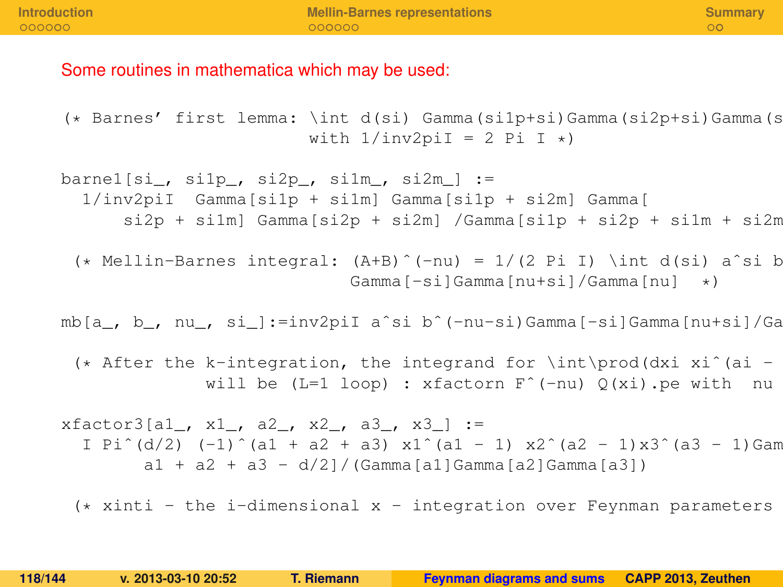#### Some routines in mathematica which may be used:

```
(\star Barnes' first lemma: \int d(si) Gamma(si1p+si)Gamma(si2p+si)Gamma(s
                          with 1/inv2piI = 2 Pi I \star)
```
barne1[si\_, si1p\_, si2p\_, si1m\_, si2m\_] := 1/inv2piI Gamma[si1p + si1m] Gamma[si1p + si2m] Gamma[  $si2p + si1m$ ] Gamma[si2p + si2m] /Gamma[si1p + si2p + si1m + si2m

 $(*$  Mellin-Barnes integral:  $(A+B)^{(-n)} = 1/(2 \text{ Pi} \text{ T})$  \int d(si) a^si b Gamma[-si]Gamma[nu+si]/Gamma[nu] \*)

mb[a, b, nu, si ]:=inv2piI a^si b^(-nu-si)Gamma[-si]Gamma[nu+si]/Ga

(\* After the k-integration, the integrand for \int\prod(dxi xi^(ai will be (L=1 loop) : xfactorn  $F^{\hat{}}$  (-nu)  $Q(xi)$ . pe with nu

 $xfactor3[a1, x1, a2, x2, a3, x3]:=$ I Pi^(d/2) (-1)^(a1 + a2 + a3) x1^(a1 - 1) x2^(a2 - 1)x3^(a3 - 1)Gam  $a1 + a2 + a3 - d/2$ ] / (Gamma[a1]Gamma[a2]Gamma[a3])

 $(*$  xinti - the i-dimensional x - integration over Feynman parameters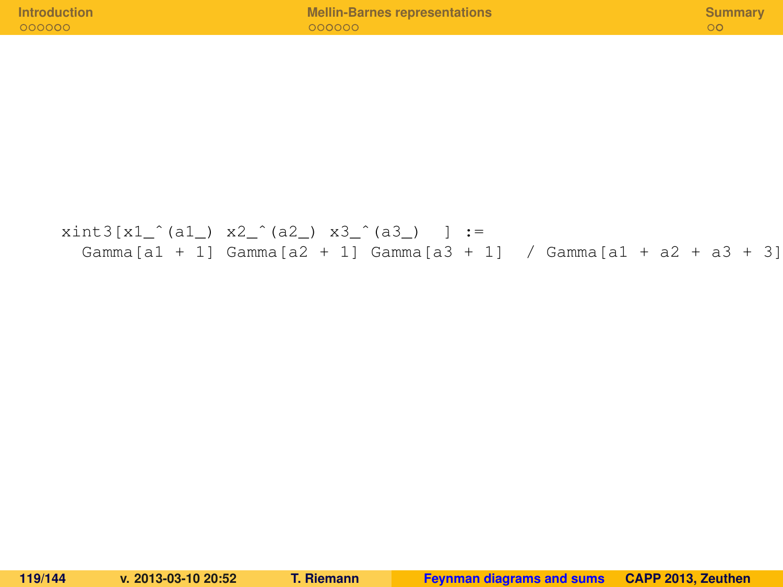| <b>Introduction</b> | <b>Mellin-Barnes representations</b> | Summary |
|---------------------|--------------------------------------|---------|
| 000000              | $-000000-$                           |         |
|                     |                                      |         |

 $xint3[x1](a1) x2^(a2) x3^(a3) :=$ Gamma[a1 + 1] Gamma[a2 + 1] Gamma[a3 + 1] / Gamma[a1 + a2 + a3 + 3]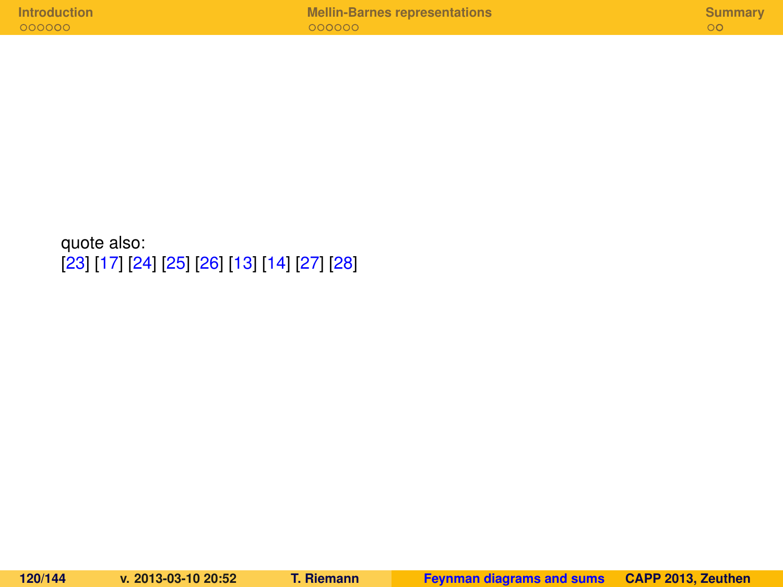quote also: [\[23\]](#page-142-0) [\[17\]](#page-141-0) [\[24\]](#page-142-1) [\[25\]](#page-142-2) [\[26\]](#page-142-3) [\[13\]](#page-140-2) [\[14\]](#page-140-3) [\[27\]](#page-142-4) [\[28\]](#page-142-5)

|  | <b>Introduction</b> |  |  |  |  |
|--|---------------------|--|--|--|--|
|  | 000000              |  |  |  |  |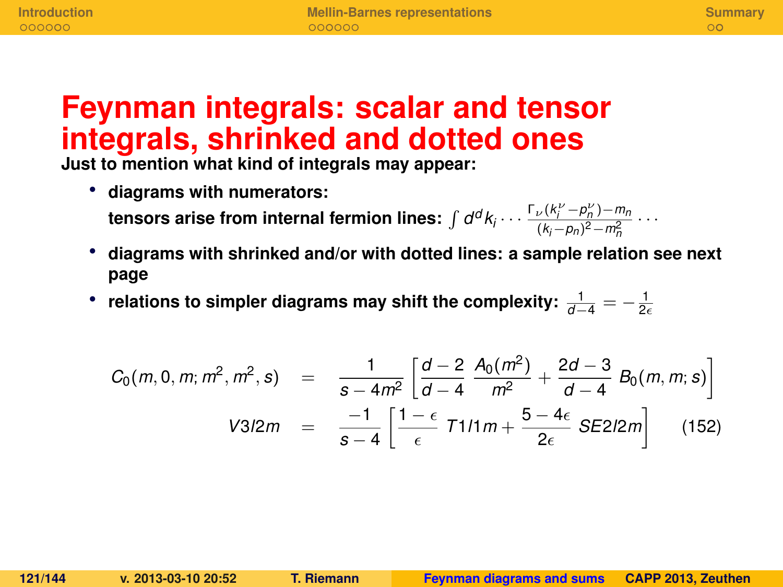# **Feynman integrals: scalar and tensor integrals, shrinked and dotted ones**

**Just to mention what kind of integrals may appear:**

• **diagrams with numerators:**

**tensors arise from internal fermion lines:**  $\int d^d k_i \cdots \frac{\Gamma_\nu(k_i^\nu - p_n^\nu) - m_n}{(k_i - p_n)^2 - m^2}$  $\frac{(k_i - p_n)^2 - m_n^2}{(k_i - p_n)^2 - m_n^2}$  · · ·

- **diagrams with shrinked and/or with dotted lines: a sample relation see next page**
- \* relations to simpler diagrams may shift the complexity:  $\frac{1}{d-4} = -\frac{1}{2\epsilon}$

$$
C_0(m, 0, m; m^2, m^2, s) = \frac{1}{s - 4m^2} \left[ \frac{d - 2}{d - 4} \frac{A_0(m^2)}{m^2} + \frac{2d - 3}{d - 4} B_0(m, m; s) \right]
$$
  

$$
V3/2m = \frac{-1}{s - 4} \left[ \frac{1 - \epsilon}{\epsilon} T1/1m + \frac{5 - 4\epsilon}{2\epsilon} SE2/2m \right]
$$
(152)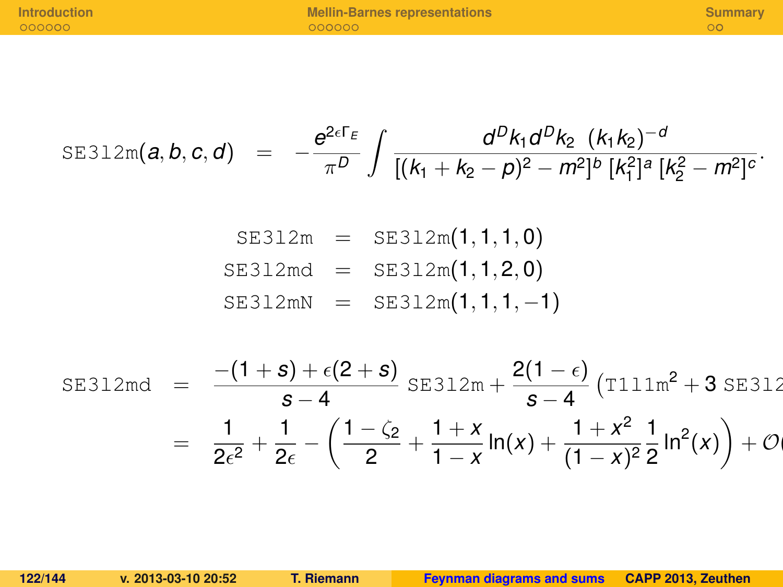$$
\text{SE312m}(a, b, c, d) = -\frac{e^{2\epsilon\Gamma_E}}{\pi^D} \int \frac{d^D k_1 d^D k_2 (k_1 k_2)^{-d}}{[(k_1 + k_2 - p)^2 - m^2]^b [k_1^2]^a [k_2^2 - m^2]^c}.
$$

$$
SE312m = SE312m(1, 1, 1, 0)
$$
  
SE312md = SE312m(1, 1, 2, 0)  
SE312mN = SE312m(1, 1, 1, -1)

SE312md = 
$$
\frac{-(1+s)+\epsilon(2+s)}{s-4} \text{ SE312m} + \frac{2(1-\epsilon)}{s-4} \left( \text{T111m}^2 + 3 \text{ SE312} \right)
$$

$$
= \frac{1}{2\epsilon^2} + \frac{1}{2\epsilon} - \left( \frac{1-\zeta_2}{2} + \frac{1+x}{1-x} \ln(x) + \frac{1+x^2}{(1-x)^2} \frac{1}{2} \ln^2(x) \right) + \mathcal{O}(1)
$$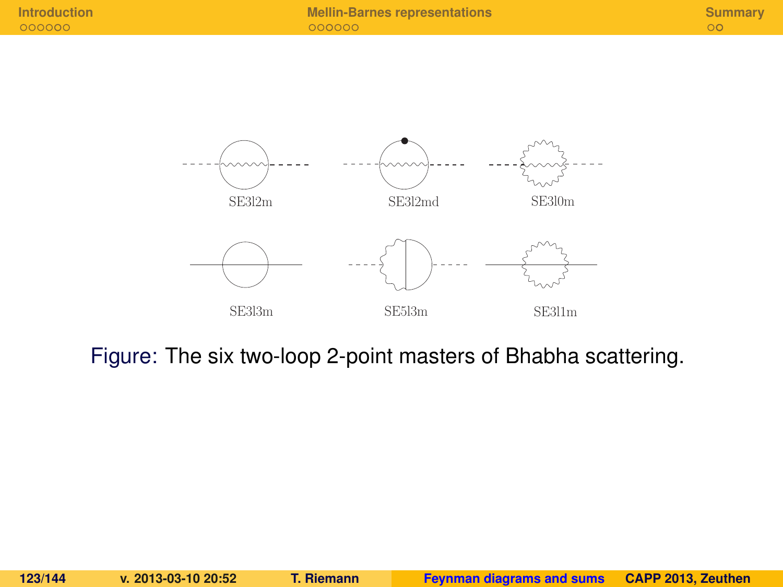

Figure: The six two-loop 2-point masters of Bhabha scattering.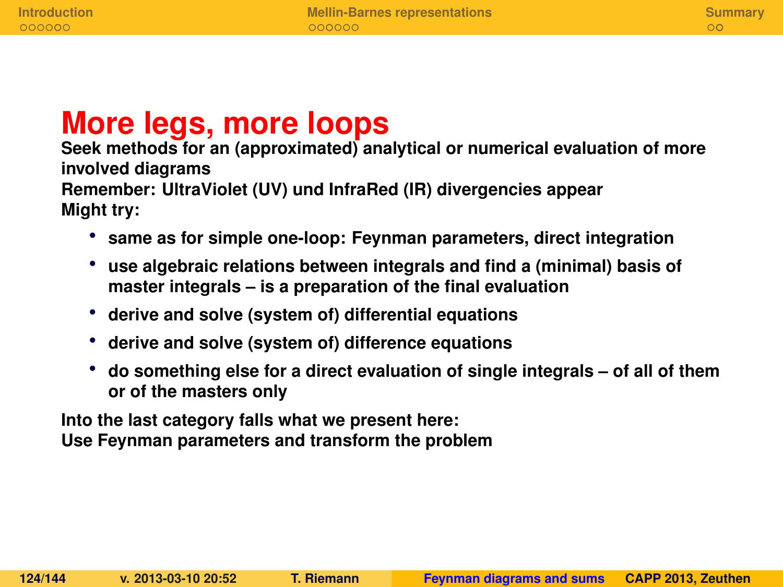# **More legs, more loops**

**Seek methods for an (approximated) analytical or numerical evaluation of more involved diagrams Remember: UltraViolet (UV) und InfraRed (IR) divergencies appear Might try:**

- **same as for simple one-loop: Feynman parameters, direct integration**
- **use algebraic relations between integrals and find a (minimal) basis of master integrals – is a preparation of the final evaluation**
- **derive and solve (system of) differential equations**
- **derive and solve (system of) difference equations**
- **do something else for a direct evaluation of single integrals of all of them or of the masters only**

**Into the last category falls what we present here: Use Feynman parameters and transform the problem**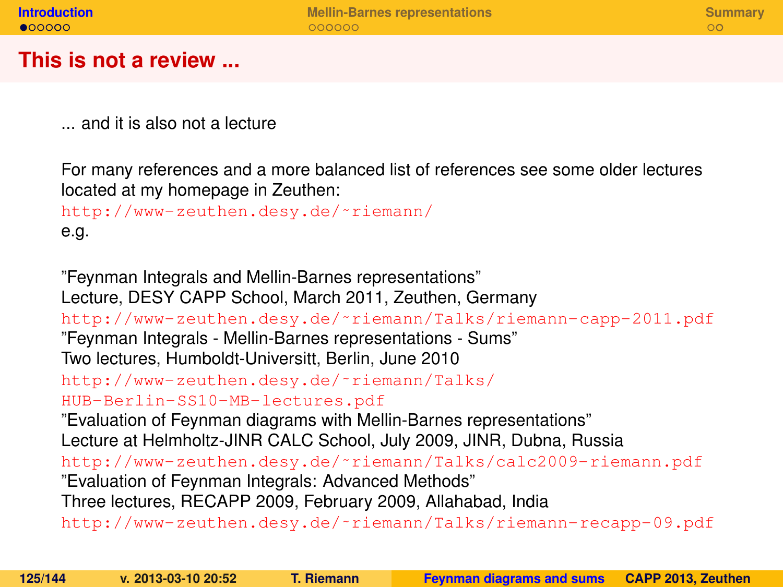#### **This is not a review ...**

... and it is also not a lecture

For many references and a more balanced list of references see some older lectures located at my homepage in Zeuthen:

```
http://www-zeuthen.desy.de/˜riemann/
e.g.
```
<span id="page-124-0"></span>"Feynman Integrals and Mellin-Barnes representations" Lecture, DESY CAPP School, March 2011, Zeuthen, Germany [http://www-zeuthen.desy.de/˜riemann/Talks/riemann-capp-2011.pdf](http://www-zeuthen.desy.de/~riemann/Talks/riemann-capp-2011.pdf) "Feynman Integrals - Mellin-Barnes representations - Sums" Two lectures, Humboldt-Universitt, Berlin, June 2010 [http://www-zeuthen.desy.de/˜riemann/Talks/](http://www-zeuthen.desy.de/~riemann/Talks/HUB-Berlin-SS10-MB-lectures.pdf) [HUB-Berlin-SS10-MB-lectures.pdf](http://www-zeuthen.desy.de/~riemann/Talks/HUB-Berlin-SS10-MB-lectures.pdf) "Evaluation of Feynman diagrams with Mellin-Barnes representations" Lecture at Helmholtz-JINR CALC School, July 2009, JINR, Dubna, Russia [http://www-zeuthen.desy.de/˜riemann/Talks/calc2009-riemann.pdf](http://www-zeuthen.desy.de/~riemann/Talks/calc2009-riemann.pdf) "Evaluation of Feynman Integrals: Advanced Methods" Three lectures, RECAPP 2009, February 2009, Allahabad, India [http://www-zeuthen.desy.de/˜riemann/Talks/riemann-recapp-09.pdf](http://www-zeuthen.desy.de/~riemann/Talks/riemann-recapp-09.pdf)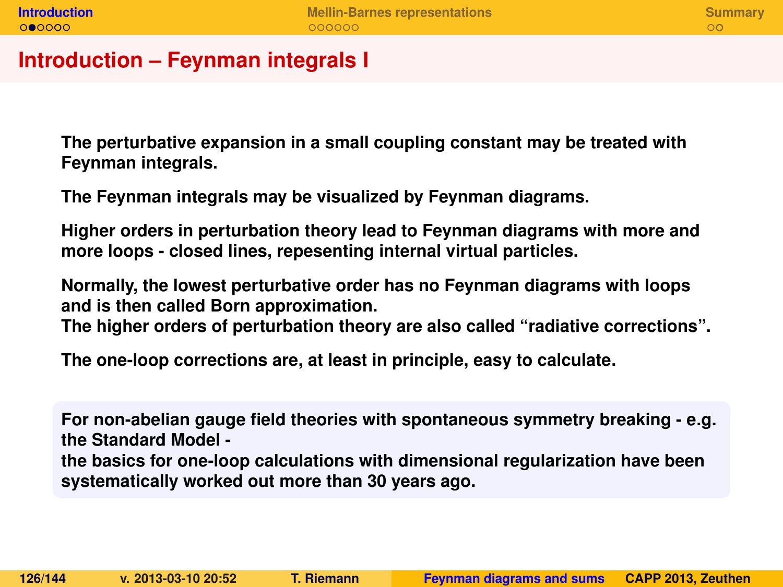#### **Introduction – Feynman integrals I**

**The perturbative expansion in a small coupling constant may be treated with Feynman integrals.**

**The Feynman integrals may be visualized by Feynman diagrams.**

**Higher orders in perturbation theory lead to Feynman diagrams with more and more loops - closed lines, repesenting internal virtual particles.**

**Normally, the lowest perturbative order has no Feynman diagrams with loops and is then called Born approximation.**

**The higher orders of perturbation theory are also called "radiative corrections".**

**The one-loop corrections are, at least in principle, easy to calculate.**

**For non-abelian gauge field theories with spontaneous symmetry breaking - e.g. the Standard Model the basics for one-loop calculations with dimensional regularization have been systematically worked out more than 30 years ago.**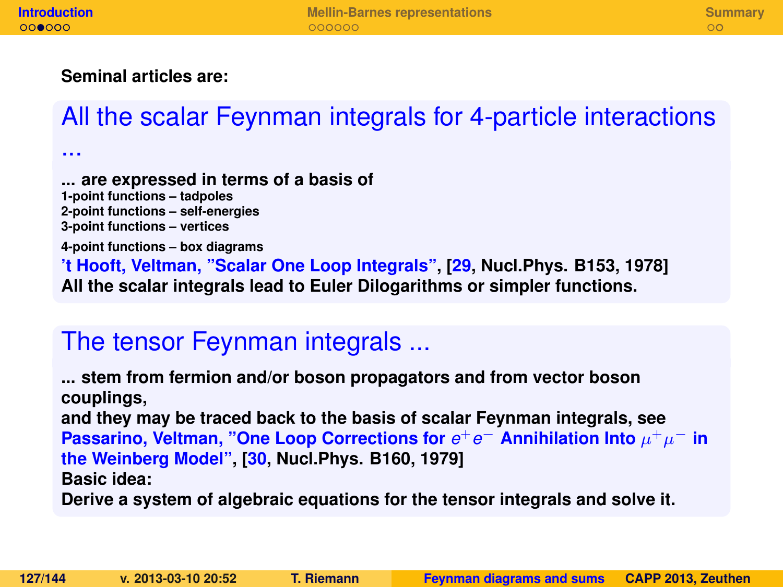...

#### **Seminal articles are:**

# All the scalar Feynman integrals for 4-particle interactions

**... are expressed in terms of a basis of 1-point functions – tadpoles 2-point functions – self-energies 3-point functions – vertices 4-point functions – box diagrams 't Hooft, Veltman, "Scalar One Loop Integrals", [\[29,](#page-143-0) Nucl.Phys. B153, 1978] All the scalar integrals lead to Euler Dilogarithms or simpler functions.**

# The tensor Feynman integrals ...

**... stem from fermion and/or boson propagators and from vector boson couplings, and they may be traced back to the basis of scalar Feynman integrals, see Passarino, Veltman, "One Loop Corrections for**  $e^+e^-$  Annihilation Into  $\mu^+\mu^-$  in **the Weinberg Model", [\[30,](#page-143-1) Nucl.Phys. B160, 1979] Basic idea:**

**Derive a system of algebraic equations for the tensor integrals and solve it.**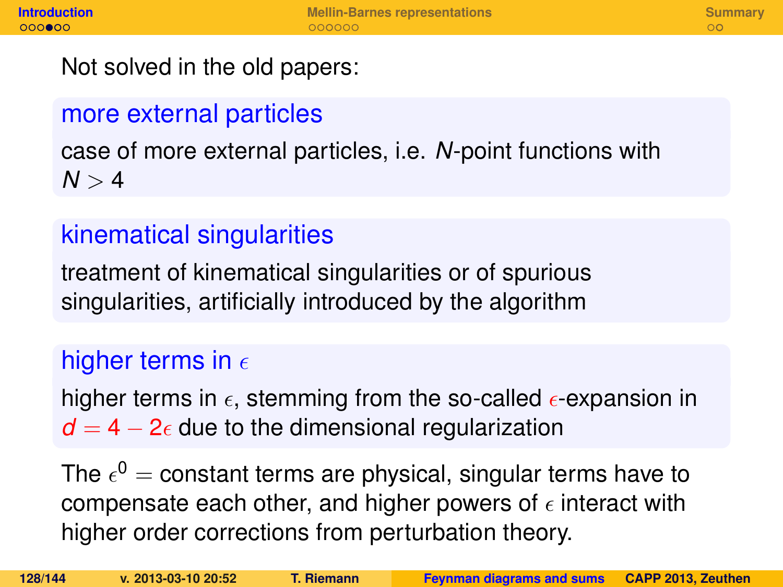Not solved in the old papers:

## more external particles

case of more external particles, i.e. *N*-point functions with  $N > 4$ 

## kinematical singularities

treatment of kinematical singularities or of spurious singularities, artificially introduced by the algorithm

## higher terms in  $\epsilon$

higher terms in  $\epsilon$ , stemming from the so-called  $\epsilon$ -expansion in  $d = 4 - 2\epsilon$  due to the dimensional regularization

The  $\epsilon^0=$  constant terms are physical, singular terms have to compensate each other, and higher powers of  $\epsilon$  interact with higher order corrections from perturbation theory.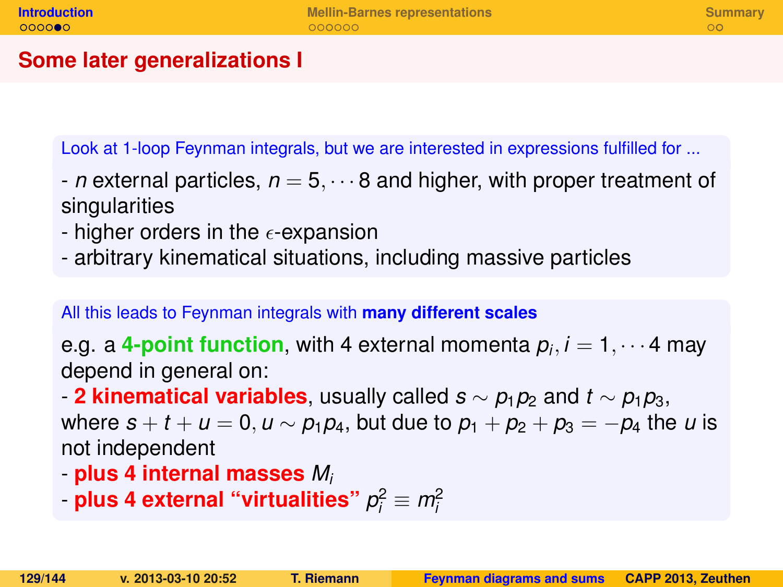### **Some later generalizations I**

Look at 1-loop Feynman integrals, but we are interested in expressions fulfilled for ...

- *n* external particles,  $n = 5, \dots 8$  and higher, with proper treatment of singularities
- higher orders in the  $\epsilon$ -expansion
- arbitrary kinematical situations, including massive particles

All this leads to Feynman integrals with **many different scales**

e.g. a **4-point function**, with 4 external momenta *p<sup>i</sup>* , *i* = 1, · · · 4 may depend in general on:

- **2 kinematical variables**, usually called  $s \sim p_1p_2$  and  $t \sim p_1p_3$ ,

where  $s + t + u = 0, u \sim p_1 p_4$ , but due to  $p_1 + p_2 + p_3 = -p_4$  the *u* is not independent

- **plus 4 internal masses** *M<sup>i</sup>*
- plus 4 external "virtualities"  $p_i^2 \equiv m_i^2$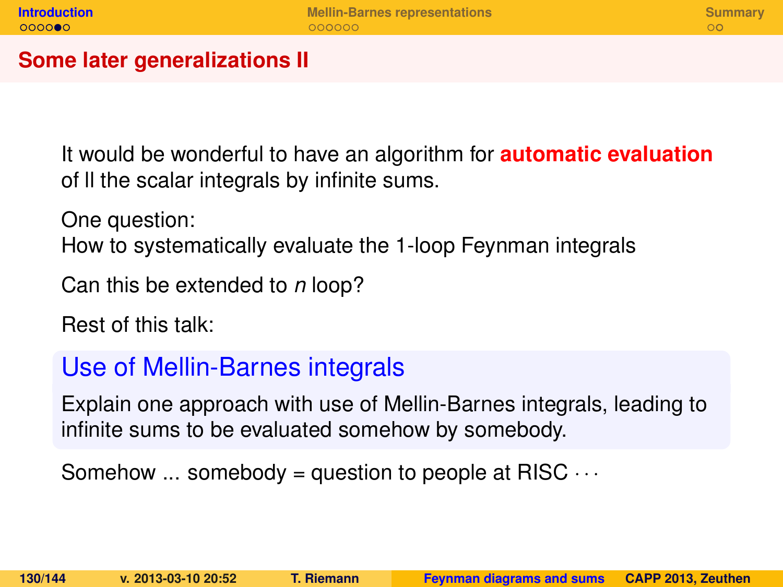#### **Some later generalizations II**

It would be wonderful to have an algorithm for **automatic evaluation** of ll the scalar integrals by infinite sums.

One question:

How to systematically evaluate the 1-loop Feynman integrals

Can this be extended to *n* loop?

Rest of this talk:

### Use of Mellin-Barnes integrals

Explain one approach with use of Mellin-Barnes integrals, leading to infinite sums to be evaluated somehow by somebody.

Somehow  $\ldots$  somebody = question to people at RISC  $\cdots$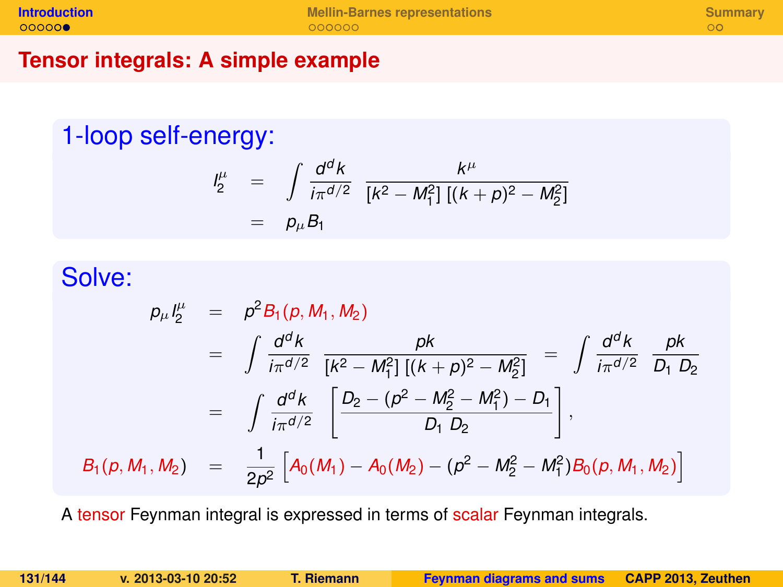#### **Tensor integrals: A simple example**

## 1-loop self-energy:

$$
\begin{array}{rcl}\n l_2^{\mu} & = & \int \frac{d^d k}{i\pi^{d/2}} \frac{k^{\mu}}{[k^2 - M_1^2] \left[ (k+p)^2 - M_2^2 \right]} \\
 & = & p_{\mu} B_1\n \end{array}
$$

## Solve:

$$
\rho_{\mu} l_{2}^{\mu} = \rho^{2} B_{1}(p, M_{1}, M_{2})
$$
\n
$$
= \int \frac{d^{d}k}{i\pi^{d/2}} \frac{pk}{[k^{2} - M_{1}^{2}][(k+p)^{2} - M_{2}^{2}]} = \int \frac{d^{d}k}{i\pi^{d/2}} \frac{pk}{D_{1} D_{2}}
$$
\n
$$
= \int \frac{d^{d}k}{i\pi^{d/2}} \left[ \frac{D_{2} - (p^{2} - M_{2}^{2} - M_{1}^{2}) - D_{1}}{D_{1} D_{2}} \right],
$$
\n
$$
B_{1}(p, M_{1}, M_{2}) = \frac{1}{2p^{2}} \left[ A_{0}(M_{1}) - A_{0}(M_{2}) - (p^{2} - M_{2}^{2} - M_{1}^{2}) B_{0}(p, M_{1}, M_{2}) \right]
$$

A tensor Feynman integral is expressed in terms of scalar Feynman integrals.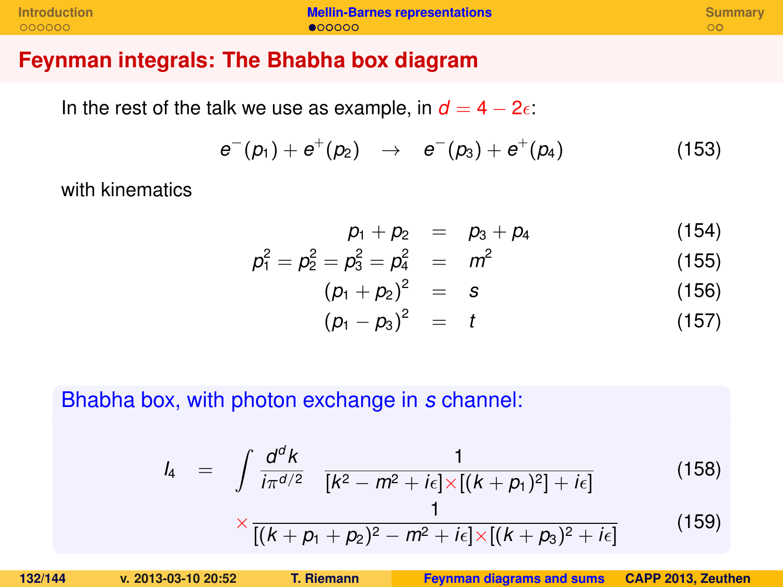| <b>Introduction</b> | <b>Mellin-Barnes representations</b> | Summary |
|---------------------|--------------------------------------|---------|
| 000000              | $\bullet$ 00000                      |         |

#### **Feynman integrals: The Bhabha box diagram**

In the rest of the talk we use as example, in  $d = 4 - 2\epsilon$ .

$$
e^-(p_1)+e^+(p_2) \rightarrow e^-(p_3)+e^+(p_4) \qquad (153)
$$

with kinematics

$$
p_1 + p_2 = p_3 + p_4 \tag{154}
$$

$$
\rho_1^2 = \rho_2^2 = \rho_3^2 = \rho_4^2 = m^2 \tag{155}
$$

$$
(p_1 + p_2)^2 = s \t\t(156)
$$

<span id="page-131-0"></span>
$$
(\rho_1 - \rho_3)^2 = t \tag{157}
$$

Bhabha box, with photon exchange in *s* channel:

$$
l_4 = \int \frac{d^d k}{i\pi^{d/2}} \frac{1}{[k^2 - m^2 + i\epsilon] \times [(k + p_1)^2] + i\epsilon]}
$$
(158)

$$
\times \frac{1}{[(k+p_1+p_2)^2-m^2+i\epsilon]\times[(k+p_3)^2+i\epsilon]}
$$
(159)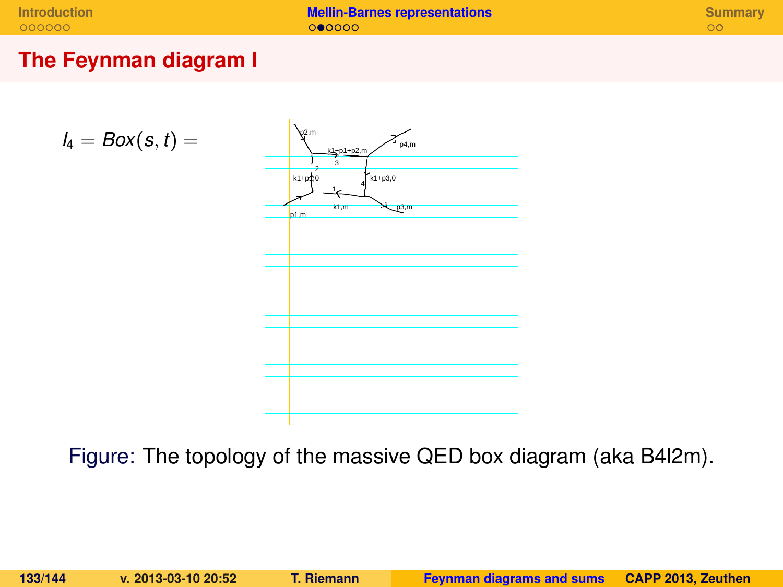**[Introduction](#page-124-0) <b>[Mellin-Barnes representations](#page-131-0) [Summary](#page-138-0)**<br> **Introduction Summary**<br> **Intervention <b>Summary**<br> **Intervention CONS** 

#### **The Feynman diagram I**

$$
I_4 = Box(s,t) =
$$



Figure: The topology of the massive QED box diagram (aka B4l2m).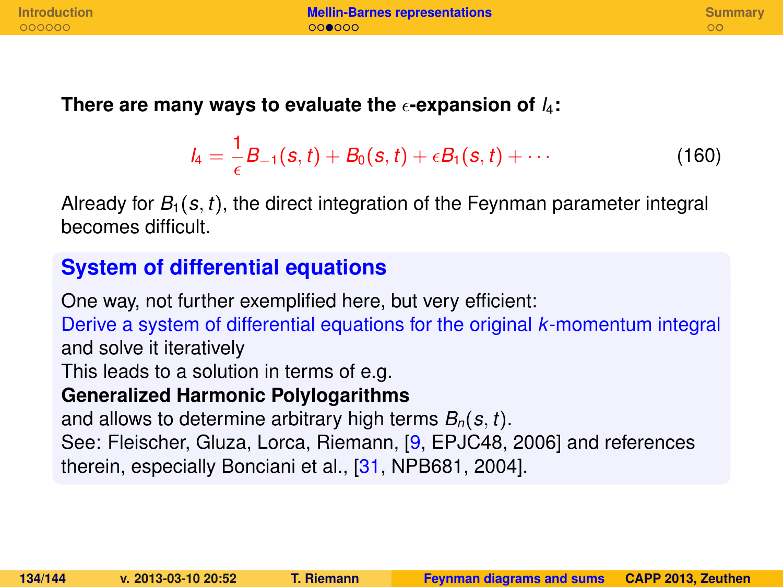#### There are many ways to evaluate the  $\epsilon$ -expansion of  $I_4$ :

$$
I_4 = \frac{1}{\epsilon}B_{-1}(s,t) + B_0(s,t) + \epsilon B_1(s,t) + \cdots
$$
 (160)

Already for  $B_1(s, t)$ , the direct integration of the Feynman parameter integral becomes difficult.

### **System of differential equations**

One way, not further exemplified here, but very efficient: Derive a system of differential equations for the original *k*-momentum integral and solve it iteratively This leads to a solution in terms of e.g. **Generalized Harmonic Polylogarithms** and allows to determine arbitrary high terms *Bn*(*s*, *t*). See: Fleischer, Gluza, Lorca, Riemann, [\[9,](#page-140-0) EPJC48, 2006] and references therein, especially Bonciani et al., [\[31,](#page-143-2) NPB681, 2004].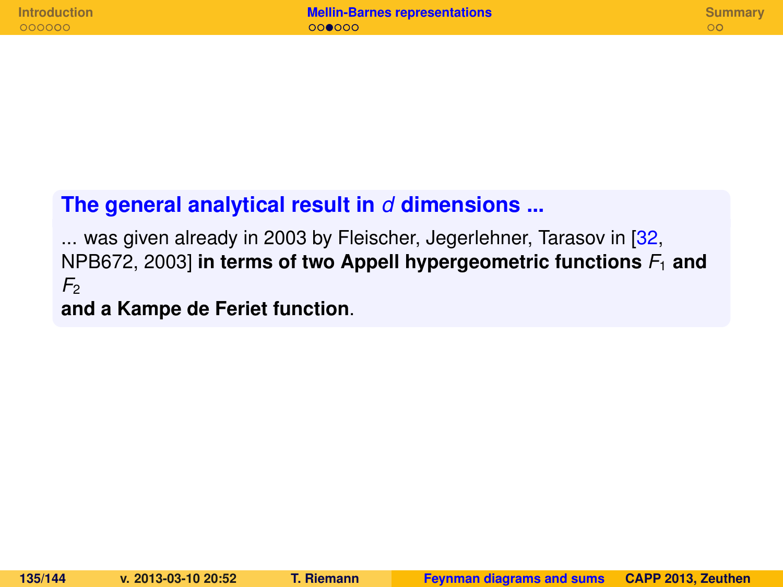### **The general analytical result in** *d* **dimensions ...**

... was given already in 2003 by Fleischer, Jegerlehner, Tarasov in [\[32,](#page-143-3) NPB672, 2003] **in terms of two Appell hypergeometric functions** *F*<sup>1</sup> **and**  $F<sub>2</sub>$ 

**and a Kampe de Feriet function**.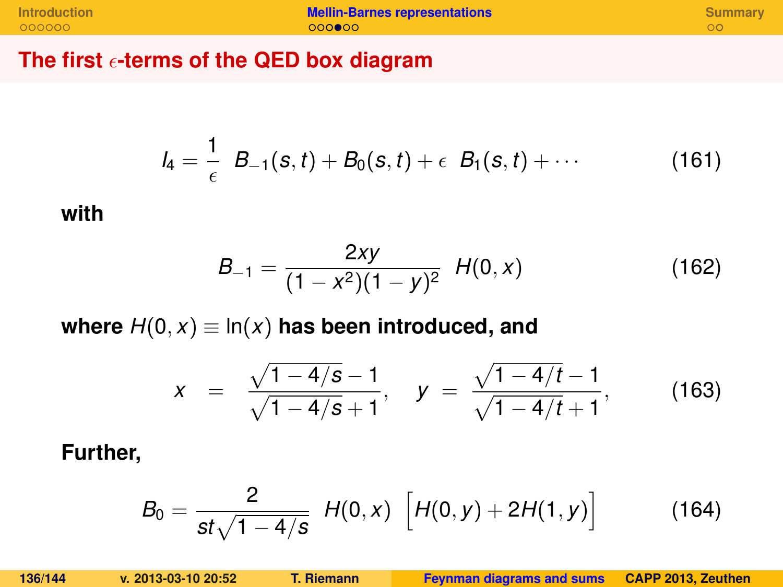**The first -terms of the QED box diagram**

$$
I_4 = \frac{1}{\epsilon} B_{-1}(s,t) + B_0(s,t) + \epsilon B_1(s,t) + \cdots
$$
 (161)

#### **with**

$$
B_{-1} = \frac{2xy}{(1 - x^2)(1 - y)^2} \ H(0, x) \tag{162}
$$

where  $H(0, x) \equiv \ln(x)$  has been introduced, and

$$
x = \frac{\sqrt{1-4/s}-1}{\sqrt{1-4/s}+1}, \quad y = \frac{\sqrt{1-4/t}-1}{\sqrt{1-4/t}+1}, \quad (163)
$$

**Further,**

$$
B_0 = \frac{2}{st\sqrt{1-4/s}} H(0,x) \left[ H(0,y) + 2H(1,y) \right]
$$
 (164)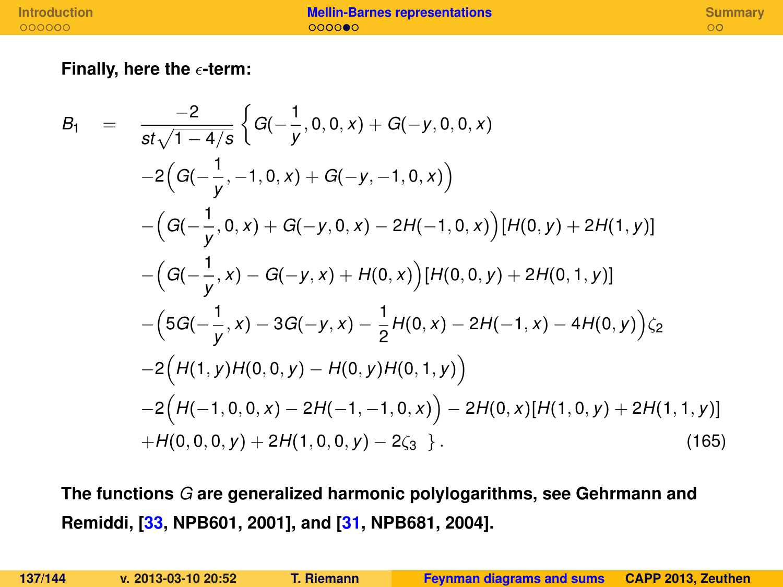#### **Finally, here the -term:**

$$
B_1 = \frac{-2}{st\sqrt{1-4/s}} \Big\{ G(-\frac{1}{y}, 0, 0, x) + G(-y, 0, 0, x) -2\Big(G(-\frac{1}{y}, -1, 0, x) + G(-y, -1, 0, x)\Big) -\Big(G(-\frac{1}{y}, 0, x) + G(-y, 0, x) - 2H(-1, 0, x)\Big)[H(0, y) + 2H(1, y)] -\Big(G(-\frac{1}{y}, x) - G(-y, x) + H(0, x)\Big)[H(0, 0, y) + 2H(0, 1, y)] -\Big(5G(-\frac{1}{y}, x) - 3G(-y, x) - \frac{1}{2}H(0, x) - 2H(-1, x) - 4H(0, y)\Big)\zeta_2 -2\Big(H(1, y)H(0, 0, y) - H(0, y)H(0, 1, y)\Big) -2\Big(H(-1, 0, 0, x) - 2H(-1, -1, 0, x)\Big) - 2H(0, x)[H(1, 0, y) + 2H(1, 1, y)] +H(0, 0, 0, y) + 2H(1, 0, 0, y) - 2\zeta_3 \Big\}.
$$
\n(165)

**The functions** *G* **are generalized harmonic polylogarithms, see Gehrmann and Remiddi, [\[33,](#page-143-4) NPB601, 2001], and [\[31,](#page-143-2) NPB681, 2004].**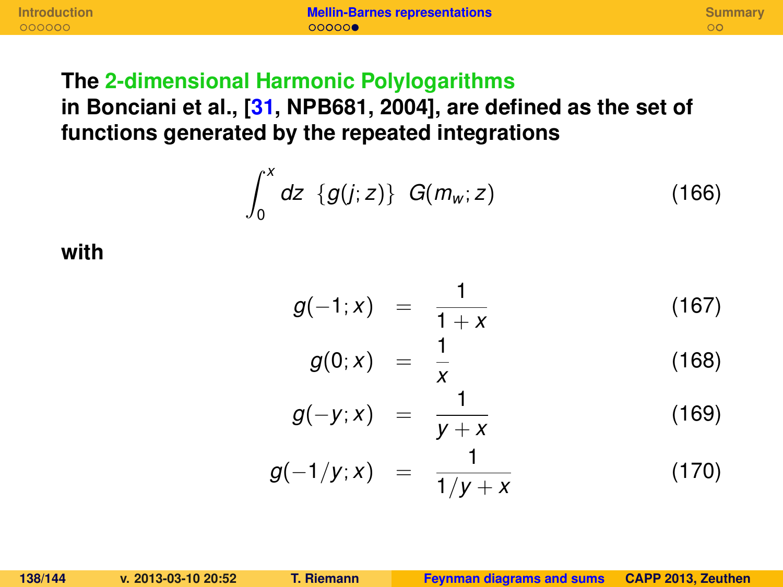**[Introduction](#page-124-0) [Mellin-Barnes representations](#page-131-0) [Summary](#page-138-0)**

### **The 2-dimensional Harmonic Polylogarithms**

**in Bonciani et al., [\[31,](#page-143-2) NPB681, 2004], are defined as the set of functions generated by the repeated integrations**

$$
\int_0^x dz \{g(j;z)\} G(m_w;z) \tag{166}
$$

**with**

$$
g(-1;x) = \frac{1}{1+x}
$$
 (167)

$$
g(0;x) = \frac{1}{x} \tag{168}
$$

$$
g(-y;x) = \frac{1}{y+x} \tag{169}
$$

$$
g(-1/y;x) = \frac{1}{1/y+x}
$$
 (170)

**138/144 v. 2013-03-10 20:52 T. Riemann [Feynman diagrams and sums](#page-0-0) CAPP 2013, Zeuthen**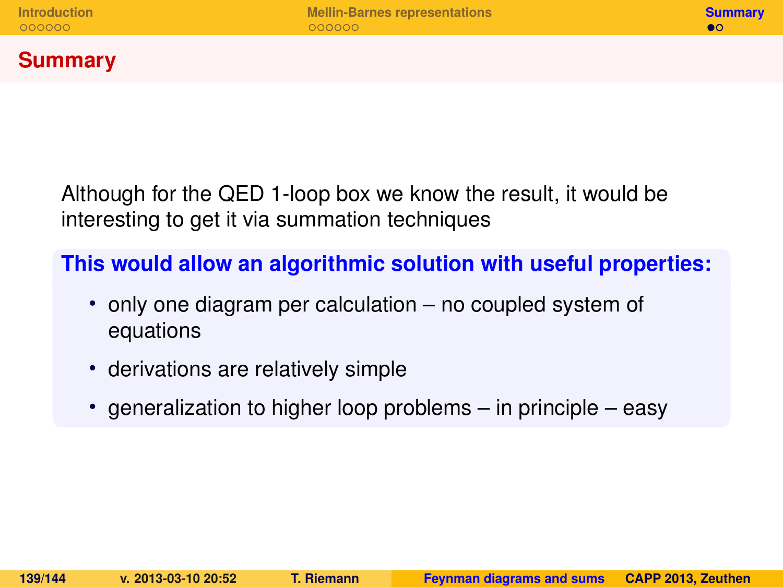### **Summary**

Although for the QED 1-loop box we know the result, it would be interesting to get it via summation techniques

**This would allow an algorithmic solution with useful properties:**

- only one diagram per calculation no coupled system of equations
- derivations are relatively simple
- <span id="page-138-0"></span>• generalization to higher loop problems – in principle – easy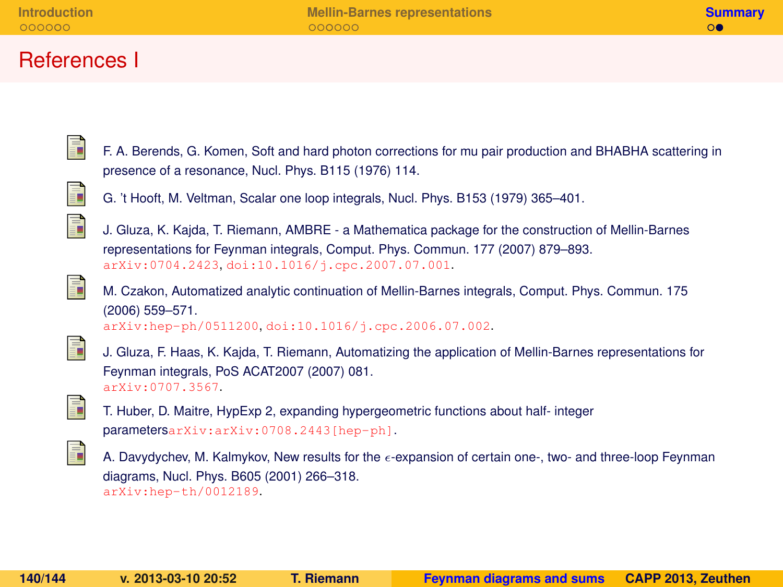### References I



F. A. Berends, G. Komen, Soft and hard photon corrections for mu pair production and BHABHA scattering in presence of a resonance, Nucl. Phys. B115 (1976) 114.



G. 't Hooft, M. Veltman, Scalar one loop integrals, Nucl. Phys. B153 (1979) 365–401.



J. Gluza, K. Kajda, T. Riemann, AMBRE - a Mathematica package for the construction of Mellin-Barnes representations for Feynman integrals, Comput. Phys. Commun. 177 (2007) 879–893. [arXiv:0704.2423](http://arxiv.org/abs/0704.2423), [doi:10.1016/j.cpc.2007.07.001](http://dx.doi.org/10.1016/j.cpc.2007.07.001).

<span id="page-139-0"></span>

M. Czakon, Automatized analytic continuation of Mellin-Barnes integrals, Comput. Phys. Commun. 175 (2006) 559–571. [arXiv:hep-ph/0511200](http://arxiv.org/abs/hep-ph/0511200), [doi:10.1016/j.cpc.2006.07.002](http://dx.doi.org/10.1016/j.cpc.2006.07.002).

ā.

J. Gluza, F. Haas, K. Kajda, T. Riemann, Automatizing the application of Mellin-Barnes representations for Feynman integrals, PoS ACAT2007 (2007) 081. [arXiv:0707.3567](http://arxiv.org/abs/0707.3567).



T. Huber, D. Maitre, HypExp 2, expanding hypergeometric functions about half- integer parameters[arXiv:arXiv:0708.2443\[hep-ph\]](http://arxiv.org/abs/arXiv:0708.2443 [hep-ph]).



A. Davydychev, M. Kalmykov, New results for the  $\epsilon$ -expansion of certain one-, two- and three-loop Feynman diagrams, Nucl. Phys. B605 (2001) 266–318. [arXiv:hep-th/0012189](http://arxiv.org/abs/hep-th/0012189).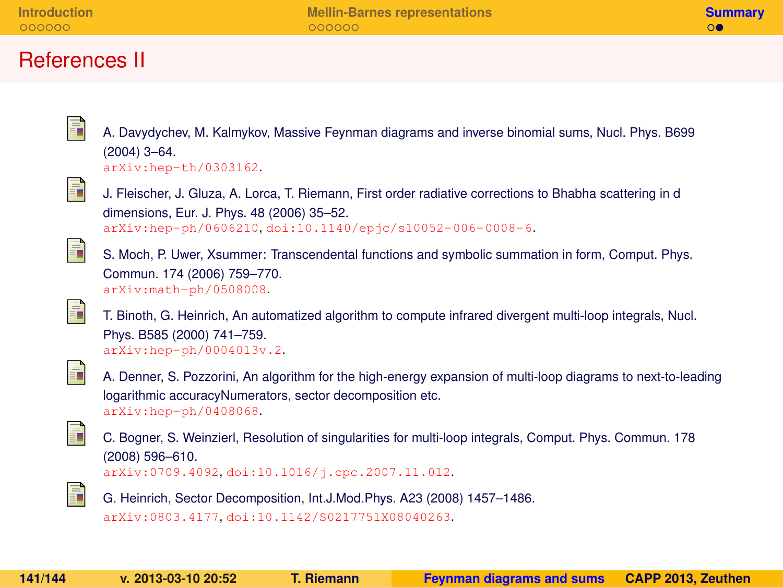### References II

A. Davydychev, M. Kalmykov, Massive Feynman diagrams and inverse binomial sums, Nucl. Phys. B699 (2004) 3–64.

[arXiv:hep-th/0303162](http://arxiv.org/abs/hep-th/0303162).

<span id="page-140-0"></span>

ī

J. Fleischer, J. Gluza, A. Lorca, T. Riemann, First order radiative corrections to Bhabha scattering in d dimensions, Eur. J. Phys. 48 (2006) 35–52. [arXiv:hep-ph/0606210](http://arxiv.org/abs/hep-ph/0606210), [doi:10.1140/epjc/s10052-006-0008-6](http://dx.doi.org/10.1140/epjc/s10052-006-0008-6).

<span id="page-140-1"></span>

S. Moch, P. Uwer, Xsummer: Transcendental functions and symbolic summation in form, Comput. Phys. Commun. 174 (2006) 759–770. [arXiv:math-ph/0508008](http://arxiv.org/abs/math-ph/0508008).



T. Binoth, G. Heinrich, An automatized algorithm to compute infrared divergent multi-loop integrals, Nucl. Phys. B585 (2000) 741–759. [arXiv:hep-ph/0004013v.2](http://arxiv.org/abs/hep-ph/0004013v.2).



A. Denner, S. Pozzorini, An algorithm for the high-energy expansion of multi-loop diagrams to next-to-leading logarithmic accuracyNumerators, sector decomposition etc. [arXiv:hep-ph/0408068](http://arxiv.org/abs/hep-ph/0408068).

<span id="page-140-2"></span>

C. Bogner, S. Weinzierl, Resolution of singularities for multi-loop integrals, Comput. Phys. Commun. 178 (2008) 596–610. [arXiv:0709.4092](http://arxiv.org/abs/0709.4092), [doi:10.1016/j.cpc.2007.11.012](http://dx.doi.org/10.1016/j.cpc.2007.11.012).

<span id="page-140-3"></span>F.

G. Heinrich, Sector Decomposition, Int.J.Mod.Phys. A23 (2008) 1457–1486. [arXiv:0803.4177](http://arxiv.org/abs/0803.4177), [doi:10.1142/S0217751X08040263](http://dx.doi.org/10.1142/S0217751X08040263).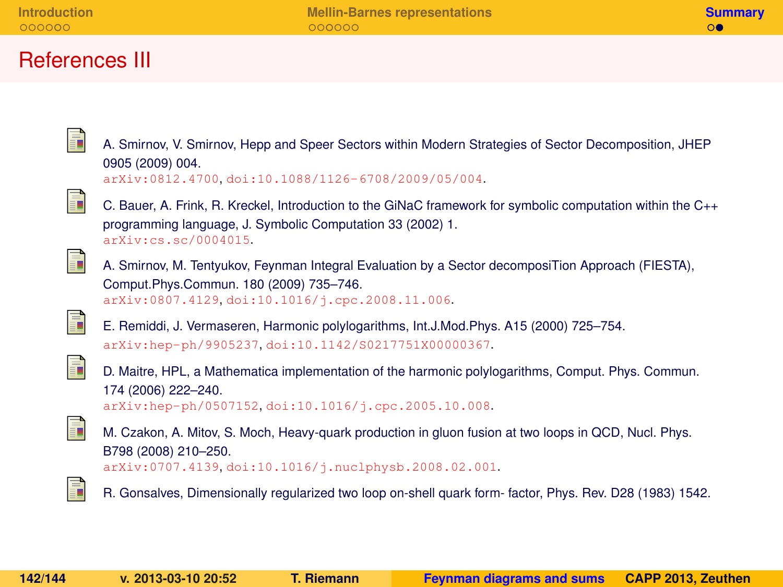### References III

<span id="page-141-0"></span>

| F | A. Smirnov, V. Smirnov, Hepp and Speer Sectors within Modern Strategies of Sector Decomposition, JHEP<br>0905 (2009) 004.<br>arXiv:0812.4700.doi:10.1088/1126-6708/2009/05/004.                   |
|---|---------------------------------------------------------------------------------------------------------------------------------------------------------------------------------------------------|
| ĥ | C. Bauer, A. Frink, R. Kreckel, Introduction to the GiNaC framework for symbolic computation within the C++<br>programming language, J. Symbolic Computation 33 (2002) 1.<br>arXiv:cs.sc/0004015. |
| Ē | A. Smirnov, M. Tentyukov, Feynman Integral Evaluation by a Sector decomposiTion Approach (FIESTA),<br>Comput.Phys.Commun. 180 (2009) 735-746.<br>arXiv:0807.4129.doi:10.1016/j.cpc.2008.11.006.   |
| F | E. Remiddi, J. Vermaseren, Harmonic polylogarithms, Int.J.Mod.Phys. A15 (2000) 725–754.<br>arXiv:hep-ph/9905237.doi:10.1142/S0217751X00000367.                                                    |
| Ē | D. Maitre, HPL, a Mathematica implementation of the harmonic polylogarithms, Comput. Phys. Commun.<br>174 (2006) 222-240.<br>arXiv:hep-ph/0507152.doi:10.1016/j.cpc.2005.10.008.                  |
| h | M. Czakon, A. Mitov, S. Moch, Heavy-quark production in gluon fusion at two loops in QCD, Nucl. Phys.<br>B798 (2008) 210-250.<br>arXiv:0707.4139, doi:10.1016/j.nuclphysb.2008.02.001.            |
| ī | R. Gonsalves, Dimensionally regularized two loop on-shell quark form-factor, Phys. Rev. D28 (1983) 1542.                                                                                          |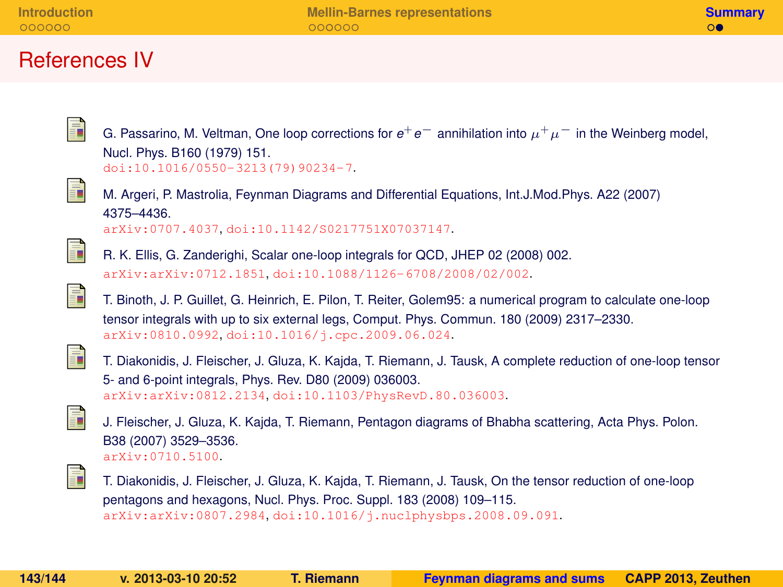#### References IV

G. Passarino, M. Veltman, One loop corrections for  $e^+e^-$  annihilation into  $\mu^+\mu^-$  in the Weinberg model, Nucl. Phys. B160 (1979) 151. [doi:10.1016/0550-3213\(79\)90234-7](http://dx.doi.org/10.1016/0550-3213(79)90234-7).

<span id="page-142-0"></span>

ā.

M. Argeri, P. Mastrolia, Feynman Diagrams and Differential Equations, Int.J.Mod.Phys. A22 (2007) 4375–4436. [arXiv:0707.4037](http://arxiv.org/abs/0707.4037), [doi:10.1142/S0217751X07037147](http://dx.doi.org/10.1142/S0217751X07037147).

<span id="page-142-1"></span>ā.

R. K. Ellis, G. Zanderighi, Scalar one-loop integrals for QCD, JHEP 02 (2008) 002. [arXiv:arXiv:0712.1851](http://arxiv.org/abs/arXiv:0712.1851), [doi:10.1088/1126-6708/2008/02/002](http://dx.doi.org/10.1088/1126-6708/2008/02/002).

<span id="page-142-2"></span>

T. Binoth, J. P. Guillet, G. Heinrich, E. Pilon, T. Reiter, Golem95: a numerical program to calculate one-loop tensor integrals with up to six external legs, Comput. Phys. Commun. 180 (2009) 2317–2330. [arXiv:0810.0992](http://arxiv.org/abs/0810.0992), [doi:10.1016/j.cpc.2009.06.024](http://dx.doi.org/10.1016/j.cpc.2009.06.024).

<span id="page-142-3"></span>

T. Diakonidis, J. Fleischer, J. Gluza, K. Kajda, T. Riemann, J. Tausk, A complete reduction of one-loop tensor 5- and 6-point integrals, Phys. Rev. D80 (2009) 036003. [arXiv:arXiv:0812.2134](http://arxiv.org/abs/arXiv:0812.2134), [doi:10.1103/PhysRevD.80.036003](http://dx.doi.org/10.1103/PhysRevD.80.036003).

<span id="page-142-4"></span>

J. Fleischer, J. Gluza, K. Kajda, T. Riemann, Pentagon diagrams of Bhabha scattering, Acta Phys. Polon. B38 (2007) 3529–3536. [arXiv:0710.5100](http://arxiv.org/abs/0710.5100).

<span id="page-142-5"></span>

T. Diakonidis, J. Fleischer, J. Gluza, K. Kajda, T. Riemann, J. Tausk, On the tensor reduction of one-loop pentagons and hexagons, Nucl. Phys. Proc. Suppl. 183 (2008) 109–115. [arXiv:arXiv:0807.2984](http://arxiv.org/abs/arXiv:0807.2984), [doi:10.1016/j.nuclphysbps.2008.09.091](http://dx.doi.org/10.1016/j.nuclphysbps.2008.09.091).